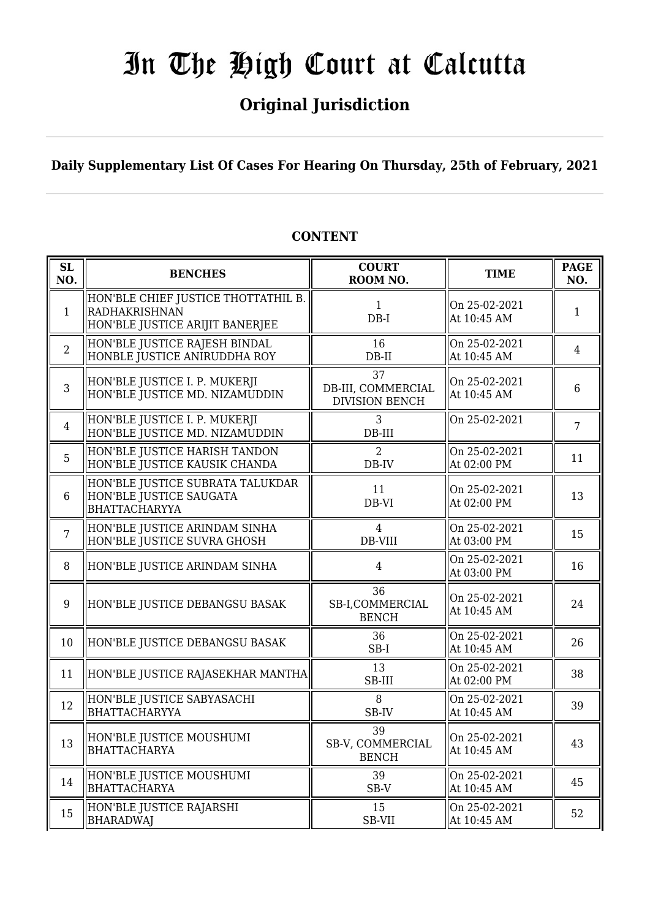## **Original Jurisdiction**

**Daily Supplementary List Of Cases For Hearing On Thursday, 25th of February, 2021**

| <b>SL</b><br>NO. | <b>BENCHES</b>                                                                                 | <b>COURT</b><br>ROOM NO.                          | <b>TIME</b>                  | <b>PAGE</b><br>NO. |
|------------------|------------------------------------------------------------------------------------------------|---------------------------------------------------|------------------------------|--------------------|
| $\mathbf{1}$     | HON'BLE CHIEF JUSTICE THOTTATHIL B.<br><b>RADHAKRISHNAN</b><br>HON'BLE JUSTICE ARIJIT BANERJEE | $\mathbf{1}$<br>$DB-I$                            | On 25-02-2021<br>At 10:45 AM | $\mathbf{1}$       |
| $\overline{2}$   | HON'BLE JUSTICE RAJESH BINDAL<br>HONBLE JUSTICE ANIRUDDHA ROY                                  | 16<br>$DB-II$                                     | On 25-02-2021<br>At 10:45 AM | $\overline{4}$     |
| 3                | HON'BLE JUSTICE I. P. MUKERJI<br>HON'BLE JUSTICE MD. NIZAMUDDIN                                | 37<br>DB-III, COMMERCIAL<br><b>DIVISION BENCH</b> | On 25-02-2021<br>At 10:45 AM | 6                  |
| $\overline{4}$   | HON'BLE JUSTICE I. P. MUKERJI<br>HON'BLE JUSTICE MD. NIZAMUDDIN                                | 3<br>$DB-III$                                     | On 25-02-2021                | $\overline{7}$     |
| 5                | HON'BLE JUSTICE HARISH TANDON<br>HON'BLE JUSTICE KAUSIK CHANDA                                 | $\overline{2}$<br>DB-IV                           | On 25-02-2021<br>At 02:00 PM | 11                 |
| $6\phantom{1}$   | HON'BLE JUSTICE SUBRATA TALUKDAR<br>HON'BLE JUSTICE SAUGATA<br><b>BHATTACHARYYA</b>            | 11<br>DB-VI                                       | On 25-02-2021<br>At 02:00 PM | 13                 |
| $\overline{7}$   | HON'BLE JUSTICE ARINDAM SINHA<br>HON'BLE JUSTICE SUVRA GHOSH                                   | 4<br>DB-VIII                                      | On 25-02-2021<br>At 03:00 PM | 15                 |
| 8                | HON'BLE JUSTICE ARINDAM SINHA                                                                  | 4                                                 | On 25-02-2021<br>At 03:00 PM | 16                 |
| 9                | HON'BLE JUSTICE DEBANGSU BASAK                                                                 | 36<br>SB-I,COMMERCIAL<br><b>BENCH</b>             | On 25-02-2021<br>At 10:45 AM | 24                 |
| 10               | HON'BLE JUSTICE DEBANGSU BASAK                                                                 | 36<br>SB-I                                        | On 25-02-2021<br>At 10:45 AM | 26                 |
| 11               | HON'BLE JUSTICE RAJASEKHAR MANTHA                                                              | 13<br>SB-III                                      | On 25-02-2021<br>At 02:00 PM | 38                 |
| 12               | HON'BLE JUSTICE SABYASACHI<br><b>BHATTACHARYYA</b>                                             | 8<br>SB-IV                                        | On 25-02-2021<br>At 10:45 AM | 39                 |
| 13               | HON'BLE JUSTICE MOUSHUMI<br><b>BHATTACHARYA</b>                                                | 39<br>SB-V, COMMERCIAL<br><b>BENCH</b>            | On 25-02-2021<br>At 10:45 AM | 43                 |
| 14               | HON'BLE JUSTICE MOUSHUMI<br><b>BHATTACHARYA</b>                                                | 39<br>SB-V                                        | On 25-02-2021<br>At 10:45 AM | 45                 |
| 15               | HON'BLE JUSTICE RAJARSHI<br><b>BHARADWAJ</b>                                                   | 15<br>SB-VII                                      | On 25-02-2021<br>At 10:45 AM | 52                 |

### **CONTENT**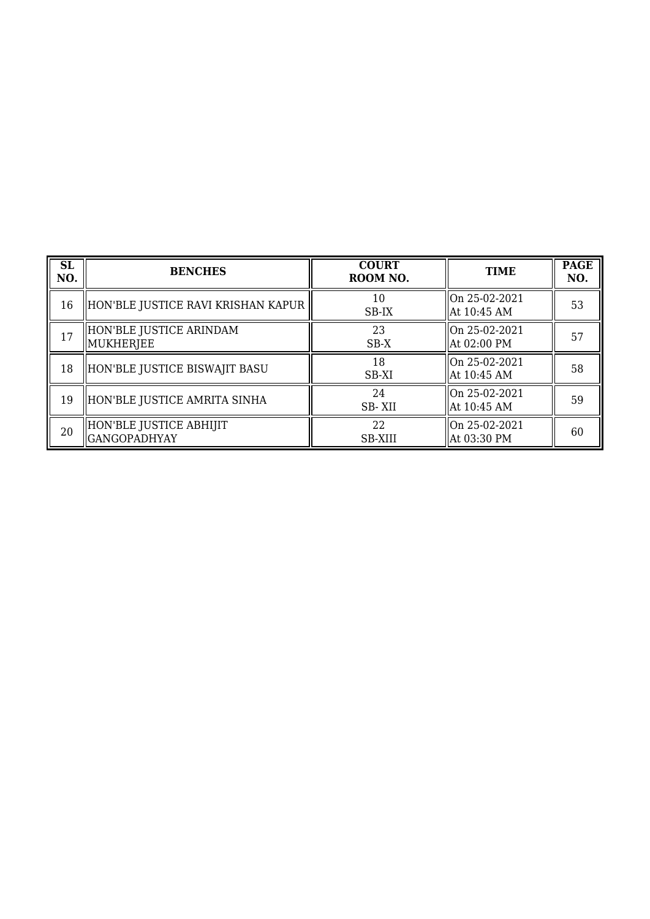| <b>SL</b><br>NO. | <b>BENCHES</b>                           | <b>COURT</b><br>ROOM NO. | <b>TIME</b>                    | <b>PAGE</b><br>NO. |
|------------------|------------------------------------------|--------------------------|--------------------------------|--------------------|
| 16               | HON'BLE JUSTICE RAVI KRISHAN KAPUR       | 10<br>SB-IX              | On 25-02-2021<br>  At 10:45 AM | 53                 |
| 17               | HON'BLE JUSTICE ARINDAM<br>  MUKHERJEE   | 23<br>SB-X               | On 25-02-2021<br>  At 02:00 PM | 57                 |
| 18               | HON'BLE JUSTICE BISWAJIT BASU            | 18<br>SB-XI              | On 25-02-2021<br>  At 10:45 AM | 58                 |
| 19               | HON'BLE JUSTICE AMRITA SINHA             | 24<br>SB-XII             | On 25-02-2021<br>  At 10:45 AM | 59                 |
| 20               | HON'BLE JUSTICE ABHIJIT<br> GANGOPADHYAY | 22<br><b>SB-XIII</b>     | On 25-02-2021<br>  At 03:30 PM | 60                 |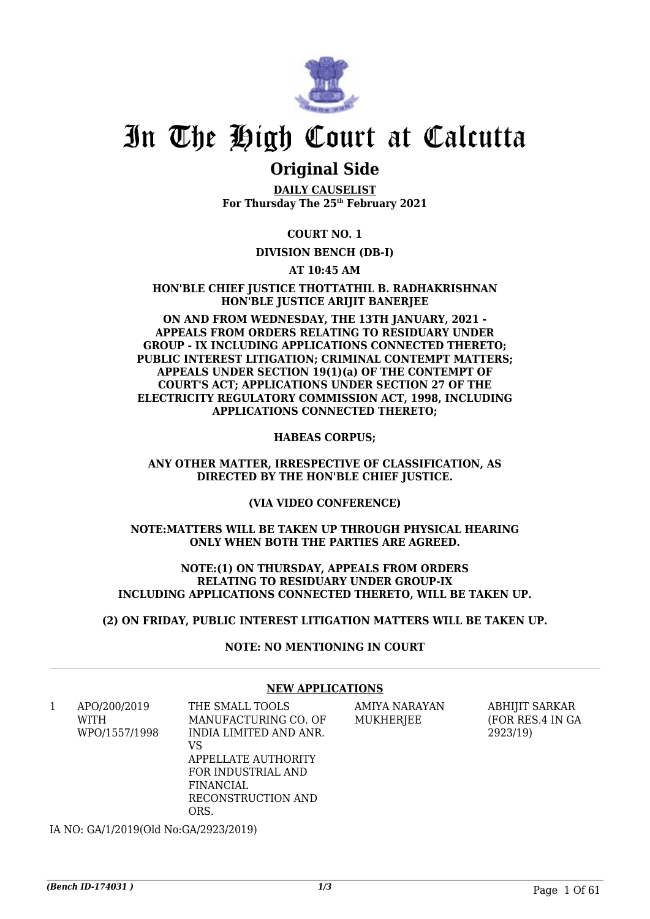

### **Original Side**

**DAILY CAUSELIST For Thursday The 25th February 2021**

**COURT NO. 1**

### **DIVISION BENCH (DB-I)**

**AT 10:45 AM**

**HON'BLE CHIEF JUSTICE THOTTATHIL B. RADHAKRISHNAN HON'BLE JUSTICE ARIJIT BANERJEE**

**ON AND FROM WEDNESDAY, THE 13TH JANUARY, 2021 - APPEALS FROM ORDERS RELATING TO RESIDUARY UNDER GROUP - IX INCLUDING APPLICATIONS CONNECTED THERETO; PUBLIC INTEREST LITIGATION; CRIMINAL CONTEMPT MATTERS; APPEALS UNDER SECTION 19(1)(a) OF THE CONTEMPT OF COURT'S ACT; APPLICATIONS UNDER SECTION 27 OF THE ELECTRICITY REGULATORY COMMISSION ACT, 1998, INCLUDING APPLICATIONS CONNECTED THERETO;**

**HABEAS CORPUS;**

**ANY OTHER MATTER, IRRESPECTIVE OF CLASSIFICATION, AS DIRECTED BY THE HON'BLE CHIEF JUSTICE.**

**(VIA VIDEO CONFERENCE)**

**NOTE:MATTERS WILL BE TAKEN UP THROUGH PHYSICAL HEARING ONLY WHEN BOTH THE PARTIES ARE AGREED.**

**NOTE:(1) ON THURSDAY, APPEALS FROM ORDERS RELATING TO RESIDUARY UNDER GROUP-IX INCLUDING APPLICATIONS CONNECTED THERETO, WILL BE TAKEN UP.**

**(2) ON FRIDAY, PUBLIC INTEREST LITIGATION MATTERS WILL BE TAKEN UP.**

**NOTE: NO MENTIONING IN COURT**

### **NEW APPLICATIONS**

1 APO/200/2019 WITH WPO/1557/1998 THE SMALL TOOLS VS

MANUFACTURING CO. OF INDIA LIMITED AND ANR. APPELLATE AUTHORITY FOR INDUSTRIAL AND FINANCIAL RECONSTRUCTION AND

AMIYA NARAYAN MUKHERJEE

ABHIJIT SARKAR (FOR RES.4 IN GA 2923/19)

IA NO: GA/1/2019(Old No:GA/2923/2019)

ORS.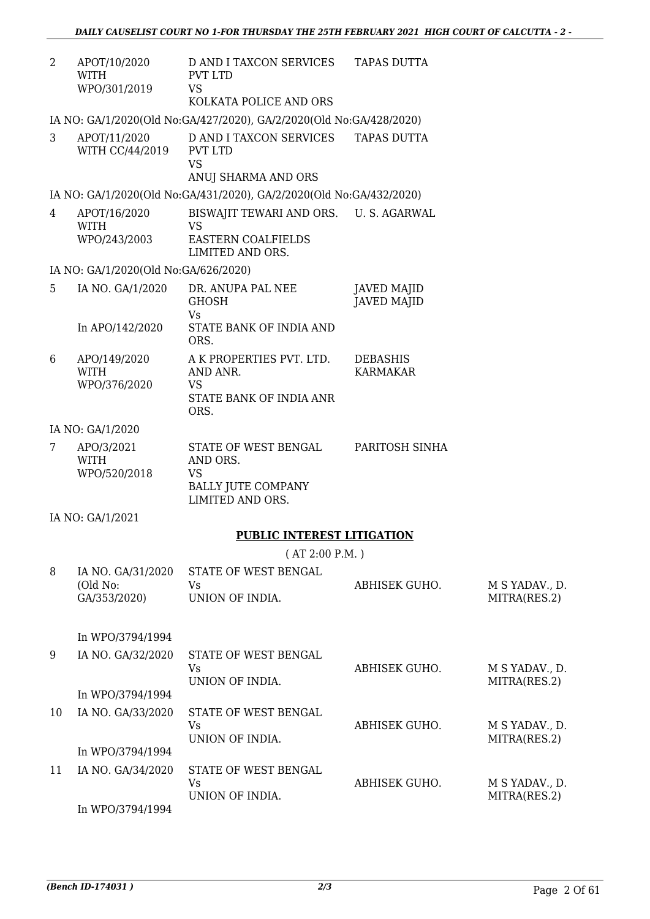| $\overline{2}$ | APOT/10/2020<br>WITH<br>WPO/301/2019          | D AND I TAXCON SERVICES TAPAS DUTTA<br>PVT LTD<br><b>VS</b><br>KOLKATA POLICE AND ORS               |                                          |                                |
|----------------|-----------------------------------------------|-----------------------------------------------------------------------------------------------------|------------------------------------------|--------------------------------|
|                |                                               | IA NO: GA/1/2020(Old No:GA/427/2020), GA/2/2020(Old No:GA/428/2020)                                 |                                          |                                |
| 3              | APOT/11/2020<br>WITH CC/44/2019               | D AND I TAXCON SERVICES<br>PVT LTD<br><b>VS</b><br>ANUJ SHARMA AND ORS                              | <b>TAPAS DUTTA</b>                       |                                |
|                |                                               | IA NO: GA/1/2020(Old No:GA/431/2020), GA/2/2020(Old No:GA/432/2020)                                 |                                          |                                |
| 4              | APOT/16/2020<br><b>WITH</b><br>WPO/243/2003   | BISWAJIT TEWARI AND ORS. U.S. AGARWAL<br><b>VS</b><br><b>EASTERN COALFIELDS</b><br>LIMITED AND ORS. |                                          |                                |
|                | IA NO: GA/1/2020(Old No:GA/626/2020)          |                                                                                                     |                                          |                                |
| 5              | IA NO. GA/1/2020                              | DR. ANUPA PAL NEE<br><b>GHOSH</b><br>Vs                                                             | <b>JAVED MAJID</b><br><b>JAVED MAJID</b> |                                |
|                | In APO/142/2020                               | STATE BANK OF INDIA AND<br>ORS.                                                                     |                                          |                                |
| 6              | APO/149/2020<br><b>WITH</b><br>WPO/376/2020   | A K PROPERTIES PVT. LTD.<br>AND ANR.<br><b>VS</b><br>STATE BANK OF INDIA ANR<br>ORS.                | <b>DEBASHIS</b><br><b>KARMAKAR</b>       |                                |
|                | IA NO: GA/1/2020                              |                                                                                                     |                                          |                                |
| 7              | APO/3/2021<br><b>WITH</b><br>WPO/520/2018     | STATE OF WEST BENGAL<br>AND ORS.<br><b>VS</b><br><b>BALLY JUTE COMPANY</b><br>LIMITED AND ORS.      | PARITOSH SINHA                           |                                |
|                | IA NO: GA/1/2021                              |                                                                                                     |                                          |                                |
|                |                                               | <b>PUBLIC INTEREST LITIGATION</b>                                                                   |                                          |                                |
|                |                                               | (AT 2:00 P.M.)                                                                                      |                                          |                                |
| 8              | IA NO. GA/31/2020<br>(Old No:<br>GA/353/2020) | STATE OF WEST BENGAL<br>Vs<br>UNION OF INDIA.                                                       | ABHISEK GUHO.                            | M S YADAV., D.<br>MITRA(RES.2) |
|                | In WPO/3794/1994                              |                                                                                                     |                                          |                                |
| 9              | IA NO. GA/32/2020                             | STATE OF WEST BENGAL<br>Vs<br>UNION OF INDIA.                                                       | ABHISEK GUHO.                            | M S YADAV., D.<br>MITRA(RES.2) |
|                | In WPO/3794/1994                              |                                                                                                     |                                          |                                |
| 10             | IA NO. GA/33/2020                             | STATE OF WEST BENGAL<br>Vs<br>UNION OF INDIA.                                                       | ABHISEK GUHO.                            | M S YADAV., D.<br>MITRA(RES.2) |
|                | In WPO/3794/1994                              |                                                                                                     |                                          |                                |
| 11             | IA NO. GA/34/2020                             | STATE OF WEST BENGAL<br><b>Vs</b><br>UNION OF INDIA.                                                | ABHISEK GUHO.                            | M S YADAV., D.<br>MITRA(RES.2) |
|                | $L_{\alpha}$ , $MIDQ/270J/100J$               |                                                                                                     |                                          |                                |

In WPO/3794/1994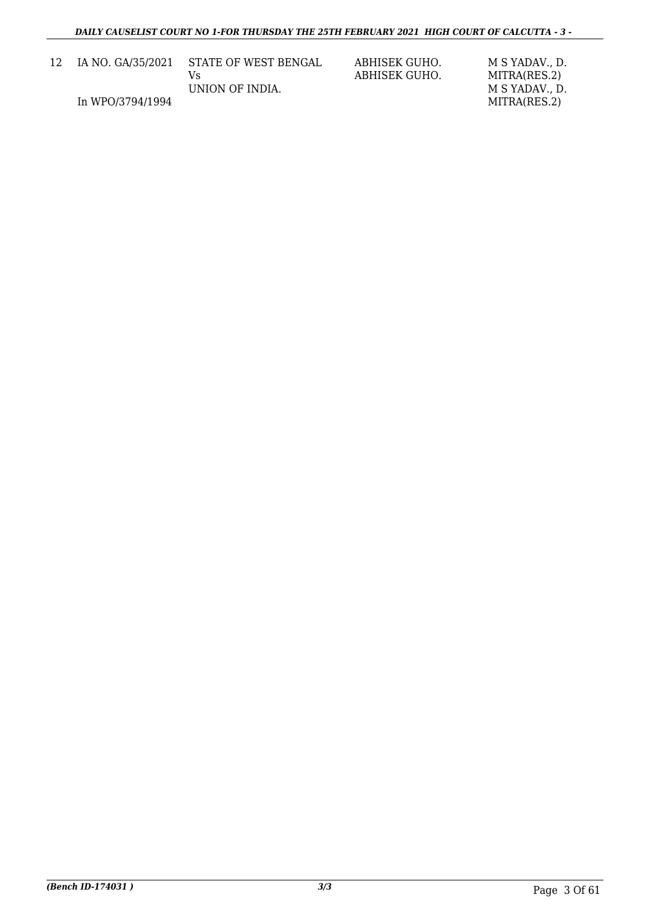| 12 | IA NO. GA/35/2021 | STATE OF WEST BENGAL | ABHISEK GUHO.<br>ABHISEK GUHO. | M S YADAV D.<br>MITRA(RES.2) |
|----|-------------------|----------------------|--------------------------------|------------------------------|
|    |                   | UNION OF INDIA.      |                                | M S YADAV D.                 |
|    | In WPO/3794/1994  |                      |                                | MITRA(RES.2)                 |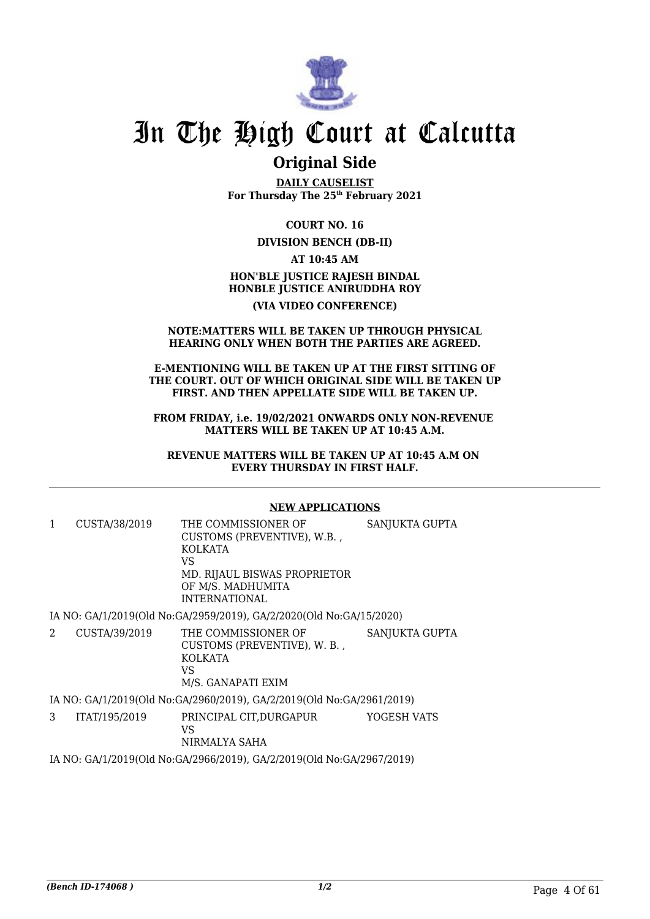

### **Original Side**

**DAILY CAUSELIST For Thursday The 25th February 2021**

**COURT NO. 16 DIVISION BENCH (DB-II) AT 10:45 AM HON'BLE JUSTICE RAJESH BINDAL HONBLE JUSTICE ANIRUDDHA ROY (VIA VIDEO CONFERENCE)**

#### **NOTE:MATTERS WILL BE TAKEN UP THROUGH PHYSICAL HEARING ONLY WHEN BOTH THE PARTIES ARE AGREED.**

#### **E-MENTIONING WILL BE TAKEN UP AT THE FIRST SITTING OF THE COURT. OUT OF WHICH ORIGINAL SIDE WILL BE TAKEN UP FIRST. AND THEN APPELLATE SIDE WILL BE TAKEN UP.**

**FROM FRIDAY, i.e. 19/02/2021 ONWARDS ONLY NON-REVENUE MATTERS WILL BE TAKEN UP AT 10:45 A.M.**

**REVENUE MATTERS WILL BE TAKEN UP AT 10:45 A.M ON EVERY THURSDAY IN FIRST HALF.**

### **NEW APPLICATIONS**

| 1 | CUSTA/38/2019 | THE COMMISSIONER OF<br>CUSTOMS (PREVENTIVE), W.B.,<br>KOLKATA<br>VS<br>MD. RIJAUL BISWAS PROPRIETOR<br>OF M/S. MADHUMITA<br><b>INTERNATIONAL</b> | SANJUKTA GUPTA |
|---|---------------|--------------------------------------------------------------------------------------------------------------------------------------------------|----------------|
|   |               | IA NO: GA/1/2019(Old No: GA/2959/2019), GA/2/2020(Old No: GA/15/2020)                                                                            |                |
| 2 | CUSTA/39/2019 | THE COMMISSIONER OF<br>CUSTOMS (PREVENTIVE), W. B.,<br>KOLKATA<br>VS.<br>M/S. GANAPATI EXIM                                                      | SANJUKTA GUPTA |
|   |               | IA NO: GA/1/2019(Old No:GA/2960/2019), GA/2/2019(Old No:GA/2961/2019)                                                                            |                |
| 3 | ITAT/195/2019 | PRINCIPAL CIT.DURGAPUR<br>VS.<br>NIRMALYA SAHA                                                                                                   | YOGESH VATS    |

IA NO: GA/1/2019(Old No:GA/2966/2019), GA/2/2019(Old No:GA/2967/2019)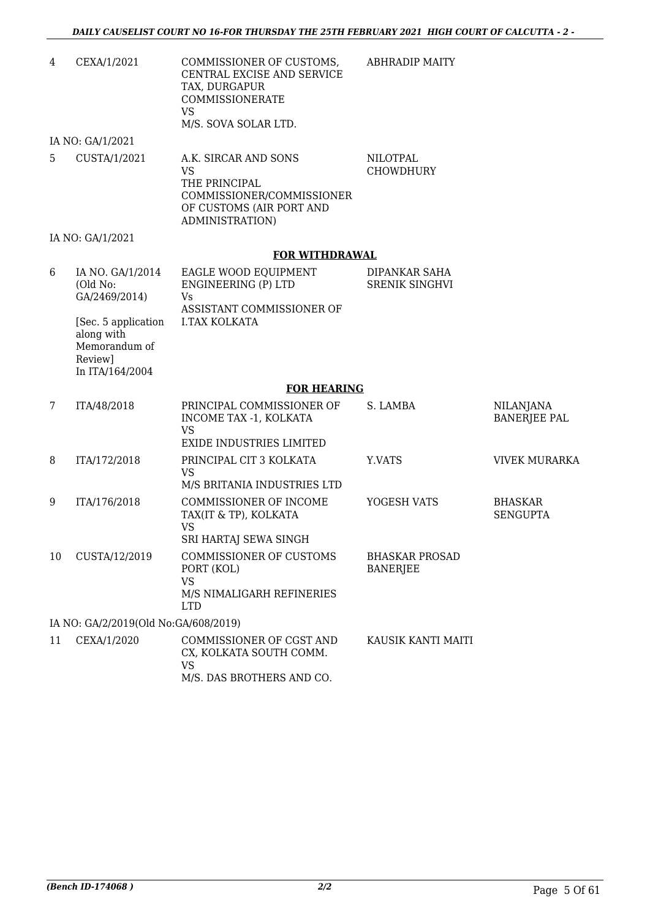| 4  | CEXA/1/2021                                                                       | COMMISSIONER OF CUSTOMS,<br>CENTRAL EXCISE AND SERVICE<br>TAX, DURGAPUR<br>COMMISSIONERATE<br><b>VS</b><br>M/S. SOVA SOLAR LTD. | <b>ABHRADIP MAITY</b>                    |                                         |
|----|-----------------------------------------------------------------------------------|---------------------------------------------------------------------------------------------------------------------------------|------------------------------------------|-----------------------------------------|
|    | IA NO: GA/1/2021                                                                  |                                                                                                                                 |                                          |                                         |
| 5  | CUSTA/1/2021                                                                      | A.K. SIRCAR AND SONS<br><b>VS</b><br>THE PRINCIPAL<br>COMMISSIONER/COMMISSIONER<br>OF CUSTOMS (AIR PORT AND<br>ADMINISTRATION)  | <b>NILOTPAL</b><br><b>CHOWDHURY</b>      |                                         |
|    | IA NO: GA/1/2021                                                                  |                                                                                                                                 |                                          |                                         |
|    |                                                                                   | <b>FOR WITHDRAWAL</b>                                                                                                           |                                          |                                         |
| 6  | IA NO. GA/1/2014<br>(Old No:<br>GA/2469/2014)                                     | EAGLE WOOD EQUIPMENT<br>ENGINEERING (P) LTD<br><b>Vs</b><br>ASSISTANT COMMISSIONER OF                                           | DIPANKAR SAHA<br><b>SRENIK SINGHVI</b>   |                                         |
|    | [Sec. 5 application]<br>along with<br>Memorandum of<br>Review]<br>In ITA/164/2004 | <b>I.TAX KOLKATA</b>                                                                                                            |                                          |                                         |
|    |                                                                                   | <b>FOR HEARING</b>                                                                                                              |                                          |                                         |
| 7  | ITA/48/2018                                                                       | PRINCIPAL COMMISSIONER OF<br>INCOME TAX -1, KOLKATA<br><b>VS</b><br><b>EXIDE INDUSTRIES LIMITED</b>                             | S. LAMBA                                 | <b>NILANJANA</b><br><b>BANERJEE PAL</b> |
| 8  | ITA/172/2018                                                                      | PRINCIPAL CIT 3 KOLKATA<br><b>VS</b>                                                                                            | Y.VATS                                   | <b>VIVEK MURARKA</b>                    |
|    |                                                                                   | M/S BRITANIA INDUSTRIES LTD                                                                                                     |                                          |                                         |
| 9  | ITA/176/2018                                                                      | COMMISSIONER OF INCOME<br>TAX(IT & TP), KOLKATA<br><b>VS</b><br>SRI HARTAJ SEWA SINGH                                           | YOGESH VATS                              | <b>BHASKAR</b><br><b>SENGUPTA</b>       |
| 10 | CUSTA/12/2019                                                                     | COMMISSIONER OF CUSTOMS<br>PORT (KOL)<br><b>VS</b><br>M/S NIMALIGARH REFINERIES<br><b>LTD</b>                                   | <b>BHASKAR PROSAD</b><br><b>BANERJEE</b> |                                         |
|    | IA NO: GA/2/2019(Old No:GA/608/2019)                                              |                                                                                                                                 |                                          |                                         |
| 11 | CEXA/1/2020                                                                       | COMMISSIONER OF CGST AND<br>CX, KOLKATA SOUTH COMM.<br><b>VS</b><br>M/S. DAS BROTHERS AND CO.                                   | KAUSIK KANTI MAITI                       |                                         |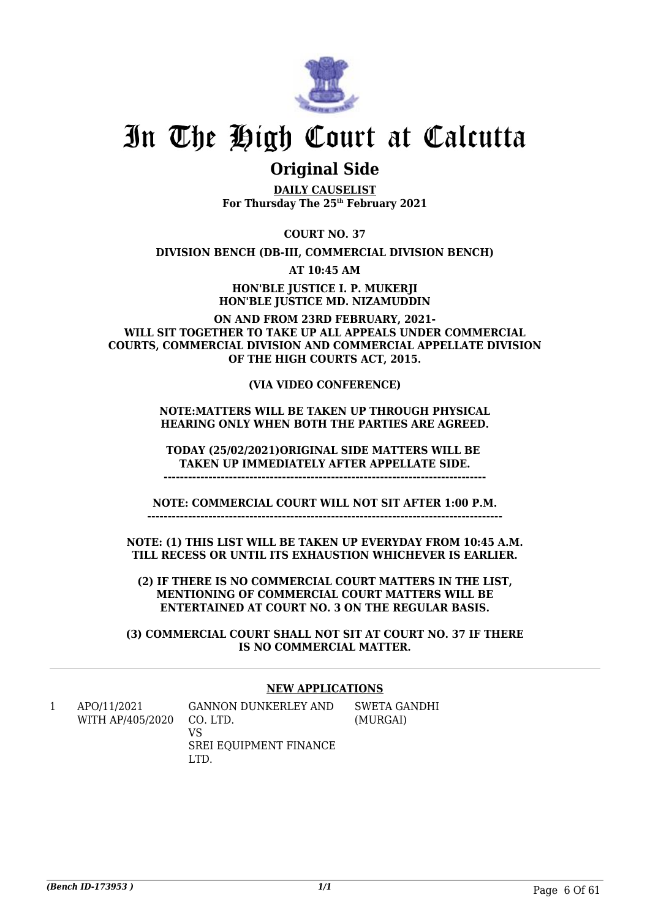

### **Original Side**

**DAILY CAUSELIST For Thursday The 25th February 2021**

**COURT NO. 37**

**DIVISION BENCH (DB-III, COMMERCIAL DIVISION BENCH)**

**AT 10:45 AM**

**HON'BLE JUSTICE I. P. MUKERJI HON'BLE JUSTICE MD. NIZAMUDDIN**

**ON AND FROM 23RD FEBRUARY, 2021- WILL SIT TOGETHER TO TAKE UP ALL APPEALS UNDER COMMERCIAL COURTS, COMMERCIAL DIVISION AND COMMERCIAL APPELLATE DIVISION OF THE HIGH COURTS ACT, 2015.**

### **(VIA VIDEO CONFERENCE)**

### **NOTE:MATTERS WILL BE TAKEN UP THROUGH PHYSICAL HEARING ONLY WHEN BOTH THE PARTIES ARE AGREED.**

**TODAY (25/02/2021)ORIGINAL SIDE MATTERS WILL BE TAKEN UP IMMEDIATELY AFTER APPELLATE SIDE. -------------------------------------------------------------------------------**

**NOTE: COMMERCIAL COURT WILL NOT SIT AFTER 1:00 P.M. ---------------------------------------------------------------------------------------**

**NOTE: (1) THIS LIST WILL BE TAKEN UP EVERYDAY FROM 10:45 A.M. TILL RECESS OR UNTIL ITS EXHAUSTION WHICHEVER IS EARLIER.**

**(2) IF THERE IS NO COMMERCIAL COURT MATTERS IN THE LIST, MENTIONING OF COMMERCIAL COURT MATTERS WILL BE ENTERTAINED AT COURT NO. 3 ON THE REGULAR BASIS.**

**(3) COMMERCIAL COURT SHALL NOT SIT AT COURT NO. 37 IF THERE IS NO COMMERCIAL MATTER.**

### **NEW APPLICATIONS**

1 APO/11/2021 WITH AP/405/2020 GANNON DUNKERLEY AND CO. LTD. VS

SREI EQUIPMENT FINANCE LTD.

SWETA GANDHI (MURGAI)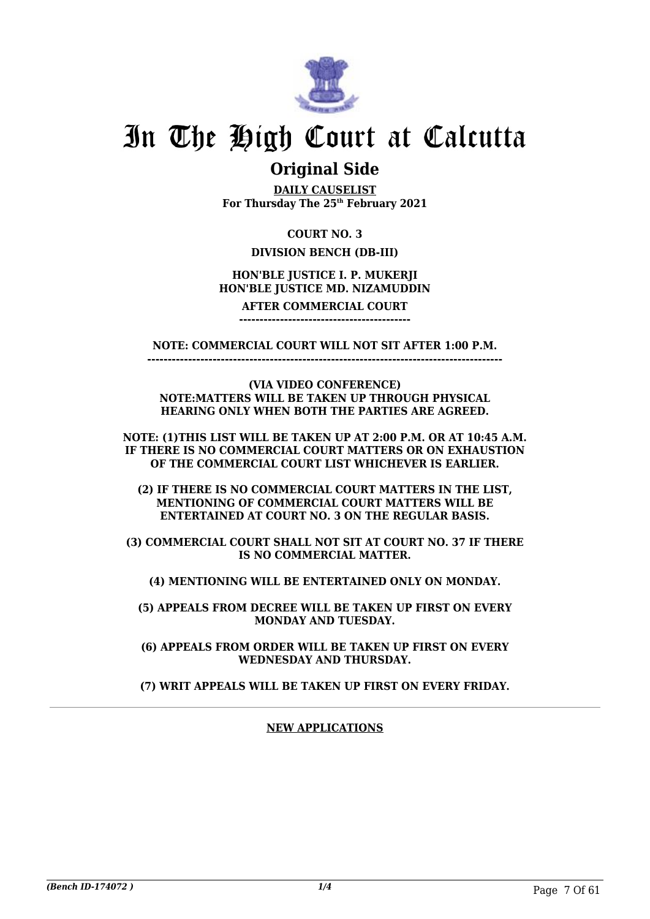

### **Original Side**

**DAILY CAUSELIST For Thursday The 25th February 2021**

### **COURT NO. 3**

### **DIVISION BENCH (DB-III)**

### **HON'BLE JUSTICE I. P. MUKERJI HON'BLE JUSTICE MD. NIZAMUDDIN**

#### **AFTER COMMERCIAL COURT ------------------------------------------**

**NOTE: COMMERCIAL COURT WILL NOT SIT AFTER 1:00 P.M.**

**---------------------------------------------------------------------------------------**

**(VIA VIDEO CONFERENCE) NOTE:MATTERS WILL BE TAKEN UP THROUGH PHYSICAL HEARING ONLY WHEN BOTH THE PARTIES ARE AGREED.**

**NOTE: (1)THIS LIST WILL BE TAKEN UP AT 2:00 P.M. OR AT 10:45 A.M. IF THERE IS NO COMMERCIAL COURT MATTERS OR ON EXHAUSTION OF THE COMMERCIAL COURT LIST WHICHEVER IS EARLIER.**

**(2) IF THERE IS NO COMMERCIAL COURT MATTERS IN THE LIST, MENTIONING OF COMMERCIAL COURT MATTERS WILL BE ENTERTAINED AT COURT NO. 3 ON THE REGULAR BASIS.**

**(3) COMMERCIAL COURT SHALL NOT SIT AT COURT NO. 37 IF THERE IS NO COMMERCIAL MATTER.**

**(4) MENTIONING WILL BE ENTERTAINED ONLY ON MONDAY.**

**(5) APPEALS FROM DECREE WILL BE TAKEN UP FIRST ON EVERY MONDAY AND TUESDAY.**

**(6) APPEALS FROM ORDER WILL BE TAKEN UP FIRST ON EVERY WEDNESDAY AND THURSDAY.**

**(7) WRIT APPEALS WILL BE TAKEN UP FIRST ON EVERY FRIDAY.**

### **NEW APPLICATIONS**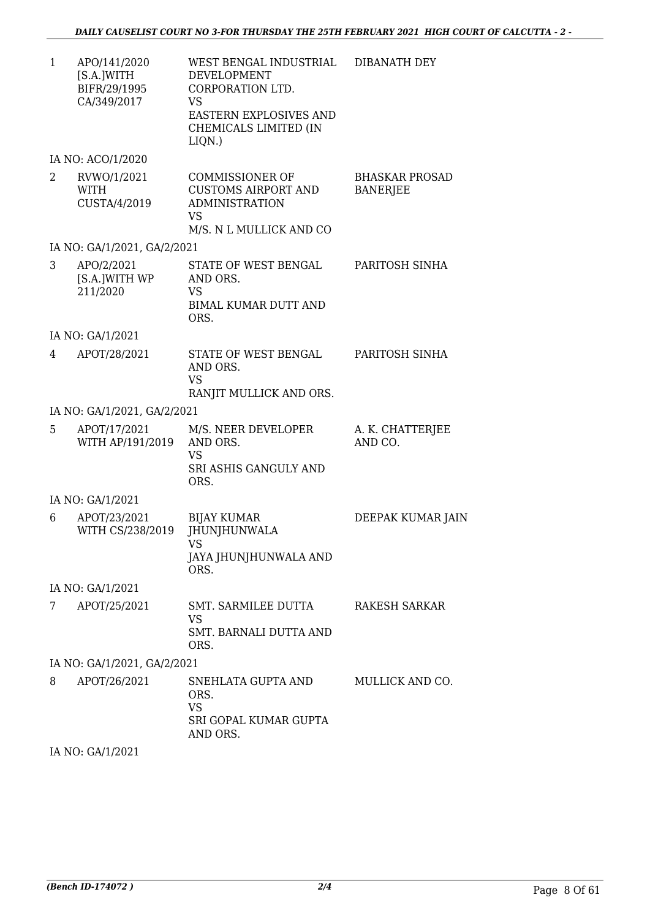1 APO/141/2020 [S.A.]WITH BIFR/29/1995 CA/349/2017 WEST BENGAL INDUSTRIAL DEVELOPMENT CORPORATION LTD. VS EASTERN EXPLOSIVES AND CHEMICALS LIMITED (IN LIQN.) DIBANATH DEY

IA NO: ACO/1/2020

| RVWO/1/2021<br>WITH<br>CUSTA/4/2019 | COMMISSIONER OF<br>CUSTOMS AIRPORT AND<br><b>ADMINISTRATION</b><br>VS<br>M/S. N L MULLICK AND CO | <b>BHASKAR PROSAD</b><br><b>BANERJEE</b> |
|-------------------------------------|--------------------------------------------------------------------------------------------------|------------------------------------------|
| IA NO: GA/1/2021, GA/2/2021         |                                                                                                  |                                          |

| APO/2/2021<br>[S.A.]WITH WP<br>211/2020 | STATE OF WEST BENGAL<br>AND ORS.<br>VS.<br>BIMAL KUMAR DUTT AND<br>ORS. | PARITOSH SINHA |
|-----------------------------------------|-------------------------------------------------------------------------|----------------|
|                                         |                                                                         |                |

IA NO: GA/1/2021

| 4 | APOT/28/2021 | STATE OF WEST BENGAL<br>AND ORS. | PARITOSH SINHA |
|---|--------------|----------------------------------|----------------|
|   |              | VS<br>RANJIT MULLICK AND ORS.    |                |

IA NO: GA/1/2021, GA/2/2021

| 5 | APOT/17/2021<br>WITH AP/191/2019 AND ORS. | M/S. NEER DEVELOPER<br>VS | A. K. CHATTERJEE<br>AND CO. |
|---|-------------------------------------------|---------------------------|-----------------------------|
|   |                                           | SRI ASHIS GANGULY AND     |                             |
|   |                                           | ORS.                      |                             |

IA NO: GA/1/2021

| 6 | APOT/23/2021<br>WITH CS/238/2019 | <b>BIJAY KUMAR</b><br><b>JHUNJHUNWALA</b><br>VS<br>JAYA JHUNJHUNWALA AND<br>ORS. | DEEPAK KUMAR JAIN |
|---|----------------------------------|----------------------------------------------------------------------------------|-------------------|
|   | IA NO: GA/1/2021                 |                                                                                  |                   |
|   | APOT/25/2021                     | SMT. SARMILEE DUTTA<br>VS<br>SMT. BARNALI DUTTA AND                              | RAKESH SARKAR     |

ORS.

IA NO: GA/1/2021, GA/2/2021

| 8 | APOT/26/2021 | SNEHLATA GUPTA AND<br>ORS.<br>VS<br>SRI GOPAL KUMAR GUPTA<br>AND ORS. | MULLICK AND CO. |
|---|--------------|-----------------------------------------------------------------------|-----------------|
|   |              |                                                                       |                 |

IA NO: GA/1/2021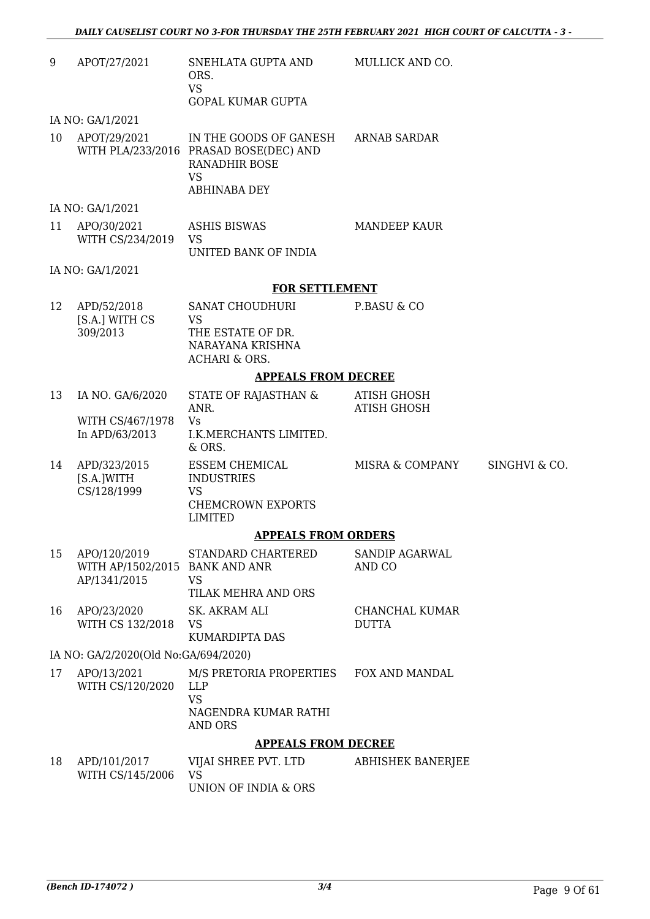| 9  | APOT/27/2021                                                   | SNEHLATA GUPTA AND<br>ORS.<br><b>VS</b><br><b>GOPAL KUMAR GUPTA</b>                                                   | MULLICK AND CO.                          |               |
|----|----------------------------------------------------------------|-----------------------------------------------------------------------------------------------------------------------|------------------------------------------|---------------|
|    | IA NO: GA/1/2021                                               |                                                                                                                       |                                          |               |
| 10 | APOT/29/2021                                                   | IN THE GOODS OF GANESH<br>WITH PLA/233/2016 PRASAD BOSE(DEC) AND<br><b>RANADHIR BOSE</b><br><b>VS</b><br>ABHINABA DEY | ARNAB SARDAR                             |               |
|    | IA NO: GA/1/2021                                               |                                                                                                                       |                                          |               |
| 11 | APO/30/2021<br>WITH CS/234/2019                                | <b>ASHIS BISWAS</b><br><b>VS</b><br>UNITED BANK OF INDIA                                                              | <b>MANDEEP KAUR</b>                      |               |
|    | IA NO: GA/1/2021                                               |                                                                                                                       |                                          |               |
|    |                                                                | <b>FOR SETTLEMENT</b>                                                                                                 |                                          |               |
| 12 | APD/52/2018<br>[S.A.] WITH CS<br>309/2013                      | SANAT CHOUDHURI<br><b>VS</b><br>THE ESTATE OF DR.<br>NARAYANA KRISHNA<br><b>ACHARI &amp; ORS.</b>                     | P.BASU & CO                              |               |
|    |                                                                | <b>APPEALS FROM DECREE</b>                                                                                            |                                          |               |
| 13 | IA NO. GA/6/2020<br>WITH CS/467/1978<br>In APD/63/2013         | STATE OF RAJASTHAN &<br>ANR.<br><b>Vs</b><br>I.K.MERCHANTS LIMITED.<br>& ORS.                                         | <b>ATISH GHOSH</b><br><b>ATISH GHOSH</b> |               |
| 14 | APD/323/2015<br>[S.A.]WITH<br>CS/128/1999                      | ESSEM CHEMICAL<br><b>INDUSTRIES</b><br><b>VS</b><br><b>CHEMCROWN EXPORTS</b><br><b>LIMITED</b>                        | MISRA & COMPANY                          | SINGHVI & CO. |
|    |                                                                | <b>APPEALS FROM ORDERS</b>                                                                                            |                                          |               |
| 15 | APO/120/2019<br>WITH AP/1502/2015 BANK AND ANR<br>AP/1341/2015 | STANDARD CHARTERED<br>VS<br>TILAK MEHRA AND ORS                                                                       | SANDIP AGARWAL<br>AND CO                 |               |
| 16 | APO/23/2020<br>WITH CS 132/2018                                | SK. AKRAM ALI<br><b>VS</b><br><b>KUMARDIPTA DAS</b>                                                                   | CHANCHAL KUMAR<br><b>DUTTA</b>           |               |
|    | IA NO: GA/2/2020(Old No:GA/694/2020)                           |                                                                                                                       |                                          |               |
| 17 | APO/13/2021<br>WITH CS/120/2020                                | M/S PRETORIA PROPERTIES<br><b>LLP</b><br><b>VS</b>                                                                    | FOX AND MANDAL                           |               |
|    |                                                                | NAGENDRA KUMAR RATHI<br><b>AND ORS</b>                                                                                |                                          |               |
|    |                                                                | <b>APPEALS FROM DECREE</b>                                                                                            |                                          |               |
| 18 | APD/101/2017<br>WITH CS/145/2006                               | VIJAI SHREE PVT. LTD<br><b>VS</b><br>UNION OF INDIA & ORS                                                             | <b>ABHISHEK BANERJEE</b>                 |               |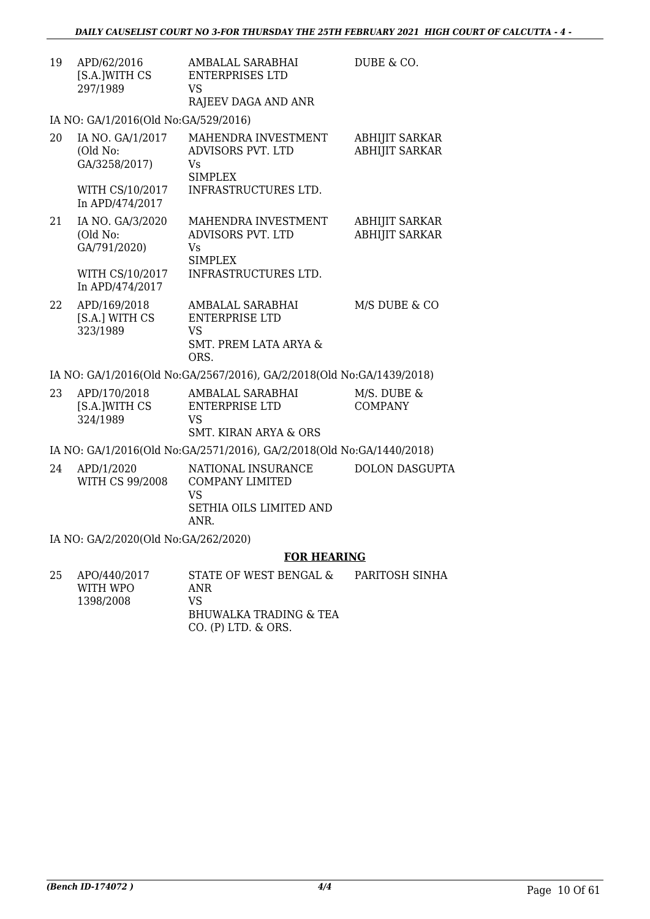| 19 | APD/62/2016<br>[S.A.]WITH CS<br>297/1989                        | AMBALAL SARABHAI<br><b>ENTERPRISES LTD</b><br><b>VS</b><br>RAJEEV DAGA AND ANR              | DUBE & CO.                                     |
|----|-----------------------------------------------------------------|---------------------------------------------------------------------------------------------|------------------------------------------------|
|    | IA NO: GA/1/2016(Old No:GA/529/2016)                            |                                                                                             |                                                |
| 20 | IA NO. GA/1/2017<br>(Old No:<br>GA/3258/2017)                   | MAHENDRA INVESTMENT<br>ADVISORS PVT. LTD<br>Vs<br>SIMPLEX                                   | <b>ABHIJIT SARKAR</b><br><b>ABHIJIT SARKAR</b> |
|    | In APD/474/2017                                                 | WITH CS/10/2017 INFRASTRUCTURES LTD.                                                        |                                                |
| 21 | IA NO. GA/3/2020<br>(Old No:<br>GA/791/2020)<br>WITH CS/10/2017 | MAHENDRA INVESTMENT<br>ADVISORS PVT. LTD<br>Vs<br>SIMPLEX<br>INFRASTRUCTURES LTD.           | <b>ABHIJIT SARKAR</b><br><b>ABHIJIT SARKAR</b> |
|    | In APD/474/2017                                                 |                                                                                             |                                                |
| 22 | APD/169/2018<br>[S.A.] WITH CS<br>323/1989                      | AMBALAL SARABHAI<br><b>ENTERPRISE LTD</b><br>VS<br><b>SMT. PREM LATA ARYA &amp;</b><br>ORS. | M/S DUBE & CO                                  |
|    |                                                                 | IA NO: GA/1/2016(Old No:GA/2567/2016), GA/2/2018(Old No:GA/1439/2018)                       |                                                |
| 23 | APD/170/2018<br>[S.A.]WITH CS<br>324/1989                       | AMBALAL SARABHAI<br><b>ENTERPRISE LTD</b><br><b>VS</b><br>SMT. KIRAN ARYA & ORS             | M/S. DUBE &<br><b>COMPANY</b>                  |

IA NO: GA/1/2016(Old No:GA/2571/2016), GA/2/2018(Old No:GA/1440/2018)

| 24 | APD/1/2020<br>WITH CS 99/2008 | NATIONAL INSURANCE<br>COMPANY LIMITED<br>VS<br>SETHIA OILS LIMITED AND | DOLON DASGUPTA |
|----|-------------------------------|------------------------------------------------------------------------|----------------|
|    |                               | ANR.                                                                   |                |

IA NO: GA/2/2020(Old No:GA/262/2020)

### **FOR HEARING**

| 25 | APO/440/2017<br>WITH WPO | STATE OF WEST BENGAL &<br>ANR | PARITOSH SINHA |
|----|--------------------------|-------------------------------|----------------|
|    | 1398/2008                | VS.                           |                |
|    |                          | BHUWALKA TRADING & TEA        |                |
|    |                          | $CO.$ (P) LTD, $\&$ ORS.      |                |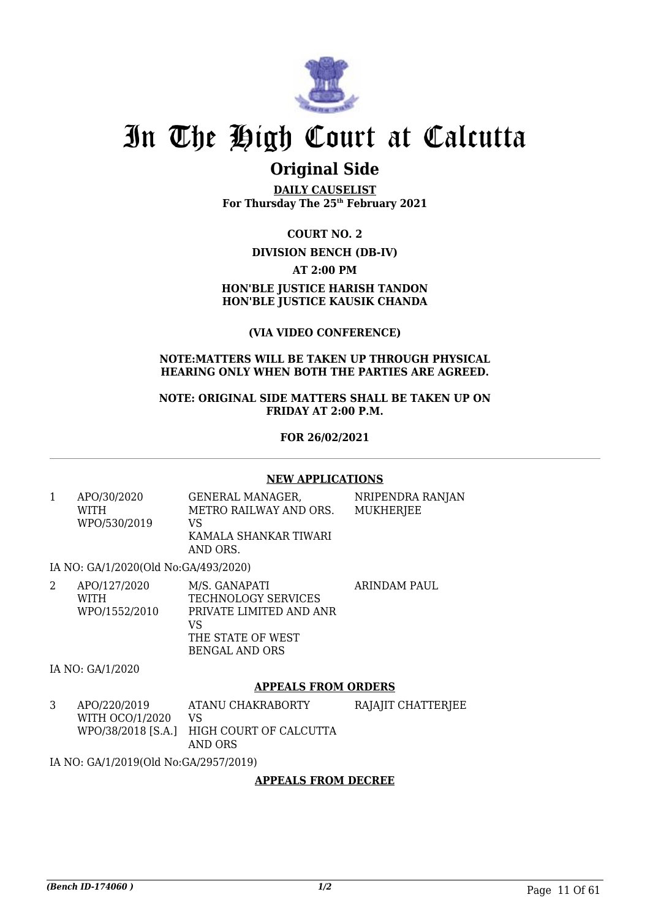

## **Original Side**

**DAILY CAUSELIST For Thursday The 25th February 2021**

**COURT NO. 2 DIVISION BENCH (DB-IV) AT 2:00 PM HON'BLE JUSTICE HARISH TANDON HON'BLE JUSTICE KAUSIK CHANDA**

**(VIA VIDEO CONFERENCE)**

### **NOTE:MATTERS WILL BE TAKEN UP THROUGH PHYSICAL HEARING ONLY WHEN BOTH THE PARTIES ARE AGREED.**

**NOTE: ORIGINAL SIDE MATTERS SHALL BE TAKEN UP ON FRIDAY AT 2:00 P.M.**

**FOR 26/02/2021**

### **NEW APPLICATIONS**

1 APO/30/2020 WITH WPO/530/2019 GENERAL MANAGER, METRO RAILWAY AND ORS. VS KAMALA SHANKAR TIWARI

AND ORS.

NRIPENDRA RANJAN MUKHERJEE

IA NO: GA/1/2020(Old No:GA/493/2020)

| APO/127/2020<br>WITH | M/S. GANAPATI<br>TECHNOLOGY SERVICES | ARINDAM PAUL   |
|----------------------|--------------------------------------|----------------|
| WPO/1552/2010        | PRIVATE LIMITED AND ANR<br>VS        |                |
|                      | THE STATE OF WEST                    |                |
|                      |                                      | BENGAL AND ORS |

IA NO: GA/1/2020

### **APPEALS FROM ORDERS**

3 APO/220/2019 WITH OCO/1/2020 WPO/38/2018 [S.A.] HIGH COURT OF CALCUTTA ATANU CHAKRABORTY VS AND ORS RAJAJIT CHATTERJEE

IA NO: GA/1/2019(Old No:GA/2957/2019)

### **APPEALS FROM DECREE**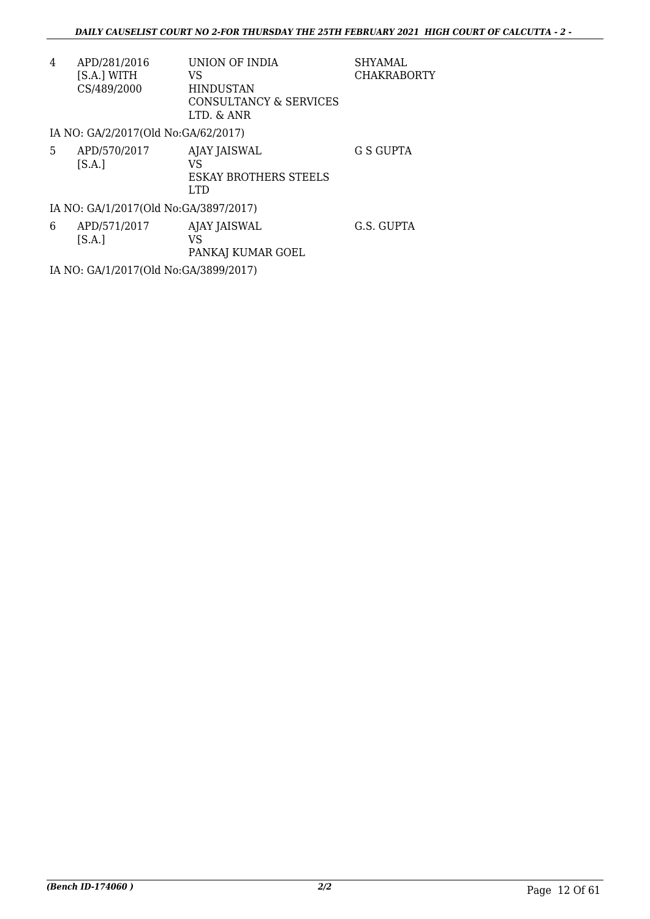| 4 | APD/281/2016                        | UNION OF INDIA               | <b>SHYAMAL</b>     |
|---|-------------------------------------|------------------------------|--------------------|
|   | [S.A.] WITH                         | VS                           | <b>CHAKRABORTY</b> |
|   | CS/489/2000                         | <b>HINDUSTAN</b>             |                    |
|   |                                     | CONSULTANCY & SERVICES       |                    |
|   |                                     | LTD. & ANR                   |                    |
|   | IA NO: GA/2/2017(Old No:GA/62/2017) |                              |                    |
| 5 | APD/570/2017                        | AJAY JAISWAL                 | G S GUPTA          |
|   | [S.A.]                              | VS                           |                    |
|   |                                     | <b>ESKAY BROTHERS STEELS</b> |                    |
|   |                                     | LTD                          |                    |

IA NO: GA/1/2017(Old No:GA/3897/2017)

| 6 | APD/571/2017 | AJAY JAISWAL      | G.S. GUPTA |
|---|--------------|-------------------|------------|
|   | S.A.         | VS                |            |
|   |              | PANKAJ KUMAR GOEL |            |

IA NO: GA/1/2017(Old No:GA/3899/2017)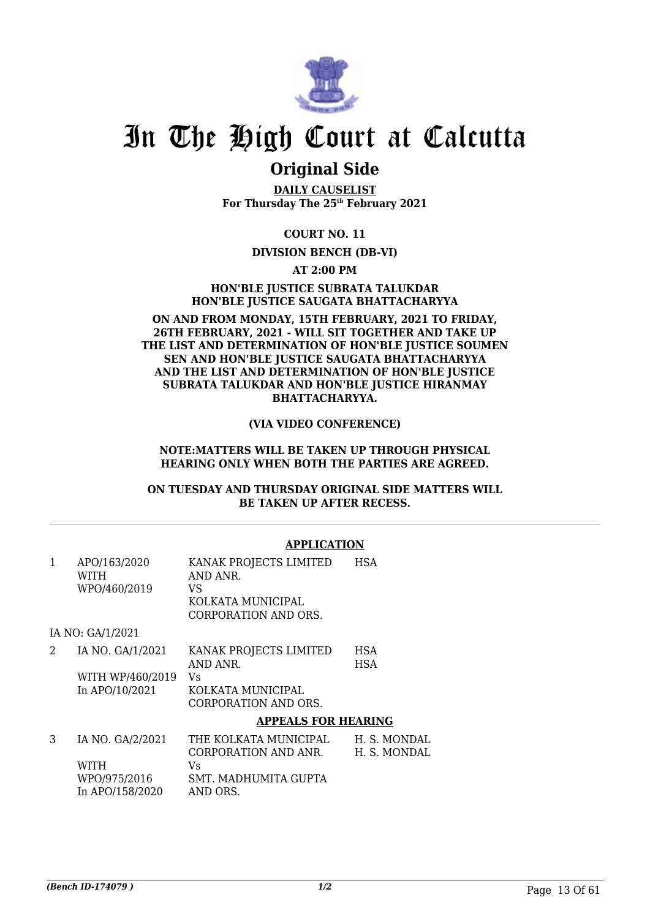

### **Original Side**

**DAILY CAUSELIST For Thursday The 25th February 2021**

**COURT NO. 11**

### **DIVISION BENCH (DB-VI)**

**AT 2:00 PM**

**HON'BLE JUSTICE SUBRATA TALUKDAR HON'BLE JUSTICE SAUGATA BHATTACHARYYA**

### **ON AND FROM MONDAY, 15TH FEBRUARY, 2021 TO FRIDAY, 26TH FEBRUARY, 2021 - WILL SIT TOGETHER AND TAKE UP THE LIST AND DETERMINATION OF HON'BLE JUSTICE SOUMEN SEN AND HON'BLE JUSTICE SAUGATA BHATTACHARYYA AND THE LIST AND DETERMINATION OF HON'BLE JUSTICE SUBRATA TALUKDAR AND HON'BLE JUSTICE HIRANMAY BHATTACHARYYA.**

### **(VIA VIDEO CONFERENCE)**

### **NOTE:MATTERS WILL BE TAKEN UP THROUGH PHYSICAL HEARING ONLY WHEN BOTH THE PARTIES ARE AGREED.**

#### **ON TUESDAY AND THURSDAY ORIGINAL SIDE MATTERS WILL BE TAKEN UP AFTER RECESS.**

### **APPLICATION**

| 1 | APO/163/2020     | KANAK PROJECTS LIMITED     | <b>HSA</b>   |
|---|------------------|----------------------------|--------------|
|   | WITH             | AND ANR.                   |              |
|   | WPO/460/2019     | VS                         |              |
|   |                  | KOLKATA MUNICIPAL          |              |
|   |                  | CORPORATION AND ORS.       |              |
|   | IA NO: GA/1/2021 |                            |              |
| 2 | IA NO. GA/1/2021 | KANAK PROJECTS LIMITED     | <b>HSA</b>   |
|   |                  | AND ANR.                   | <b>HSA</b>   |
|   | WITH WP/460/2019 | Vs                         |              |
|   | In APO/10/2021   | KOLKATA MUNICIPAL          |              |
|   |                  | CORPORATION AND ORS.       |              |
|   |                  | <b>APPEALS FOR HEARING</b> |              |
| 3 | IA NO. GA/2/2021 | THE KOLKATA MUNICIPAL      | H. S. MONDAL |
|   |                  | CORPORATION AND ANR.       | H. S. MONDAL |
|   | WITH             | Vs.                        |              |
|   | WPO/975/2016     | SMT. MADHUMITA GUPTA       |              |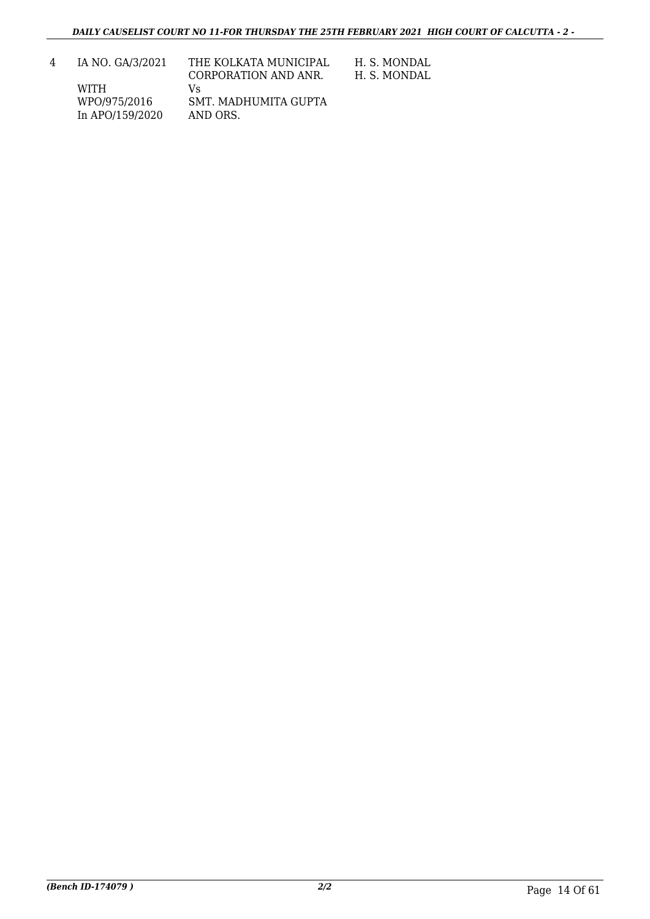| 4 | IA NO. GA/3/2021 | THE KOLKATA MUNICIPAL<br>CORPORATION AND ANR. | H. S. MONDAL<br>H. S. MONDAL |
|---|------------------|-----------------------------------------------|------------------------------|
|   | WITH             | Vs                                            |                              |
|   | WPO/975/2016     | SMT. MADHUMITA GUPTA                          |                              |
|   | In APO/159/2020  | AND ORS.                                      |                              |
|   |                  |                                               |                              |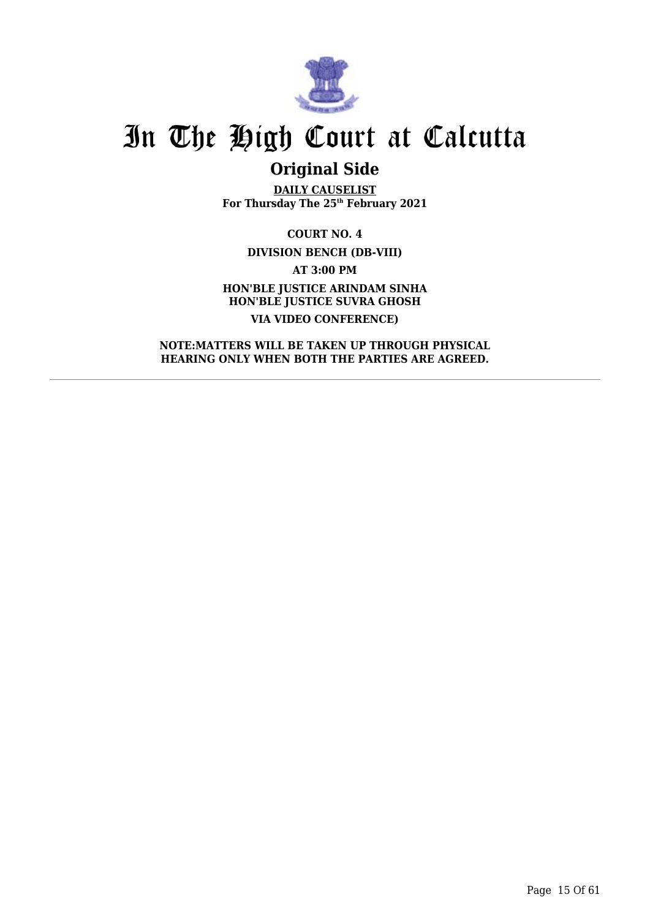

## **Original Side**

**DAILY CAUSELIST For Thursday The 25th February 2021**

**COURT NO. 4 DIVISION BENCH (DB-VIII) AT 3:00 PM HON'BLE JUSTICE ARINDAM SINHA HON'BLE JUSTICE SUVRA GHOSH VIA VIDEO CONFERENCE)**

**NOTE:MATTERS WILL BE TAKEN UP THROUGH PHYSICAL HEARING ONLY WHEN BOTH THE PARTIES ARE AGREED.**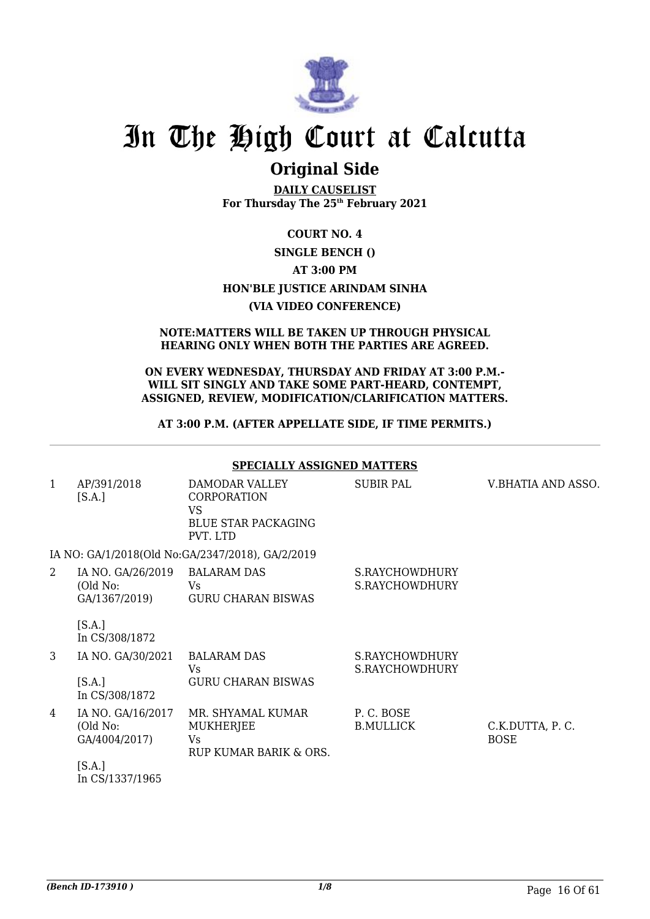

## **Original Side**

**DAILY CAUSELIST For Thursday The 25th February 2021**

### **COURT NO. 4 SINGLE BENCH () AT 3:00 PM HON'BLE JUSTICE ARINDAM SINHA (VIA VIDEO CONFERENCE)**

### **NOTE:MATTERS WILL BE TAKEN UP THROUGH PHYSICAL HEARING ONLY WHEN BOTH THE PARTIES ARE AGREED.**

### **ON EVERY WEDNESDAY, THURSDAY AND FRIDAY AT 3:00 P.M.- WILL SIT SINGLY AND TAKE SOME PART-HEARD, CONTEMPT, ASSIGNED, REVIEW, MODIFICATION/CLARIFICATION MATTERS.**

### **AT 3:00 P.M. (AFTER APPELLATE SIDE, IF TIME PERMITS.)**

|                | <b>SPECIALLY ASSIGNED MATTERS</b>                          |                                                                                             |                                  |                                |  |  |
|----------------|------------------------------------------------------------|---------------------------------------------------------------------------------------------|----------------------------------|--------------------------------|--|--|
| $\mathbf{1}$   | AP/391/2018<br>[S.A.]                                      | DAMODAR VALLEY<br><b>CORPORATION</b><br><b>VS</b><br><b>BLUE STAR PACKAGING</b><br>PVT. LTD | SUBIR PAL                        | V.BHATIA AND ASSO.             |  |  |
|                |                                                            | IA NO: GA/1/2018(Old No:GA/2347/2018), GA/2/2019                                            |                                  |                                |  |  |
| $\overline{2}$ | IA NO. GA/26/2019 BALARAM DAS<br>(Old No:<br>GA/1367/2019) | Vs<br><b>GURU CHARAN BISWAS</b>                                                             | S.RAYCHOWDHURY<br>S.RAYCHOWDHURY |                                |  |  |
|                | [S.A.]<br>In CS/308/1872                                   |                                                                                             |                                  |                                |  |  |
| $\mathcal{S}$  | IA NO. GA/30/2021                                          | <b>BALARAM DAS</b><br>Vs.                                                                   | S.RAYCHOWDHURY<br>S.RAYCHOWDHURY |                                |  |  |
|                | [S.A.]<br>In CS/308/1872                                   | <b>GURU CHARAN BISWAS</b>                                                                   |                                  |                                |  |  |
| 4              | IA NO. GA/16/2017<br>(Old No:<br>GA/4004/2017)             | MR. SHYAMAL KUMAR<br><b>MUKHERJEE</b><br>Vs.<br>RUP KUMAR BARIK & ORS.                      | P.C. BOSE<br><b>B.MULLICK</b>    | C.K.DUTTA, P.C.<br><b>BOSE</b> |  |  |
|                | [S.A.]<br>In CS/1337/1965                                  |                                                                                             |                                  |                                |  |  |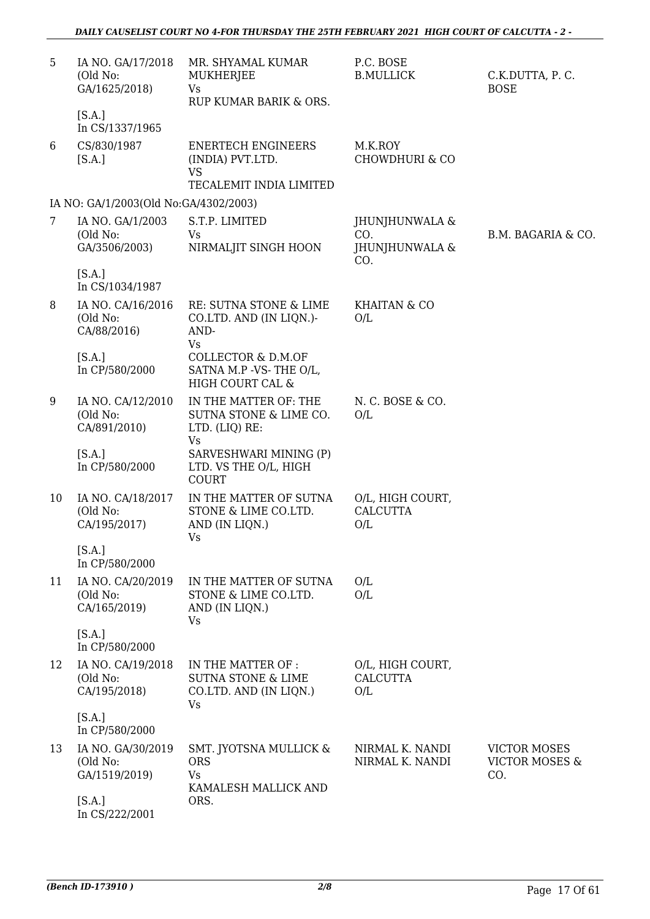| 5  | IA NO. GA/17/2018<br>(Old No:<br>GA/1625/2018)<br>[S.A.]<br>In CS/1337/1965 | MR. SHYAMAL KUMAR<br>MUKHERJEE<br><b>Vs</b><br>RUP KUMAR BARIK & ORS.                      | P.C. BOSE<br><b>B.MULLICK</b>                  | C.K.DUTTA, P.C.<br><b>BOSE</b>                          |
|----|-----------------------------------------------------------------------------|--------------------------------------------------------------------------------------------|------------------------------------------------|---------------------------------------------------------|
| 6  | CS/830/1987<br>[S.A.]                                                       | <b>ENERTECH ENGINEERS</b><br>(INDIA) PVT.LTD.<br><b>VS</b><br>TECALEMIT INDIA LIMITED      | M.K.ROY<br><b>CHOWDHURI &amp; CO</b>           |                                                         |
|    | IA NO: GA/1/2003(Old No:GA/4302/2003)                                       |                                                                                            |                                                |                                                         |
| 7  | IA NO. GA/1/2003<br>(Old No:<br>GA/3506/2003)                               | S.T.P. LIMITED<br>Vs<br>NIRMALJIT SINGH HOON                                               | JHUNJHUNWALA &<br>CO.<br>JHUNJHUNWALA &<br>CO. | B.M. BAGARIA & CO.                                      |
|    | [S.A.]<br>In CS/1034/1987                                                   |                                                                                            |                                                |                                                         |
| 8  | IA NO. CA/16/2016<br>(Old No:<br>CA/88/2016)                                | RE: SUTNA STONE & LIME<br>CO.LTD. AND (IN LIQN.)-<br>AND-<br><b>Vs</b>                     | <b>KHAITAN &amp; CO</b><br>O/L                 |                                                         |
|    | [S.A.]<br>In CP/580/2000                                                    | COLLECTOR & D.M.OF<br>SATNA M.P -VS-THE O/L,<br>HIGH COURT CAL &                           |                                                |                                                         |
| 9  | IA NO. CA/12/2010<br>(Old No:<br>CA/891/2010)                               | IN THE MATTER OF: THE<br>SUTNA STONE & LIME CO.<br>LTD. (LIQ) RE:<br><b>Vs</b>             | N. C. BOSE & CO.<br>O/L                        |                                                         |
|    | [S.A.]<br>In CP/580/2000                                                    | SARVESHWARI MINING (P)<br>LTD. VS THE O/L, HIGH<br><b>COURT</b>                            |                                                |                                                         |
| 10 | IA NO. CA/18/2017<br>(Old No:<br>CA/195/2017)                               | IN THE MATTER OF SUTNA<br>STONE & LIME CO.LTD.<br>AND (IN LIQN.)<br>Vs                     | O/L, HIGH COURT,<br><b>CALCUTTA</b><br>O/L     |                                                         |
|    | [S.A.]<br>In CP/580/2000                                                    |                                                                                            |                                                |                                                         |
| 11 | IA NO. CA/20/2019<br>(Old No:<br>CA/165/2019)                               | IN THE MATTER OF SUTNA<br>STONE & LIME CO.LTD.<br>AND (IN LIQN.)<br>Vs                     | O/L<br>O/L                                     |                                                         |
|    | [S.A.]<br>In CP/580/2000                                                    |                                                                                            |                                                |                                                         |
| 12 | IA NO. CA/19/2018<br>(Old No:<br>CA/195/2018)                               | IN THE MATTER OF :<br><b>SUTNA STONE &amp; LIME</b><br>CO.LTD. AND (IN LIQN.)<br><b>Vs</b> | O/L, HIGH COURT,<br><b>CALCUTTA</b><br>O/L     |                                                         |
|    | [S.A.]<br>In CP/580/2000                                                    |                                                                                            |                                                |                                                         |
| 13 | IA NO. GA/30/2019<br>(Old No:<br>GA/1519/2019)                              | SMT. JYOTSNA MULLICK &<br><b>ORS</b><br><b>Vs</b><br>KAMALESH MALLICK AND                  | NIRMAL K. NANDI<br>NIRMAL K. NANDI             | <b>VICTOR MOSES</b><br><b>VICTOR MOSES &amp;</b><br>CO. |
|    | [S.A.]<br>In CS/222/2001                                                    | ORS.                                                                                       |                                                |                                                         |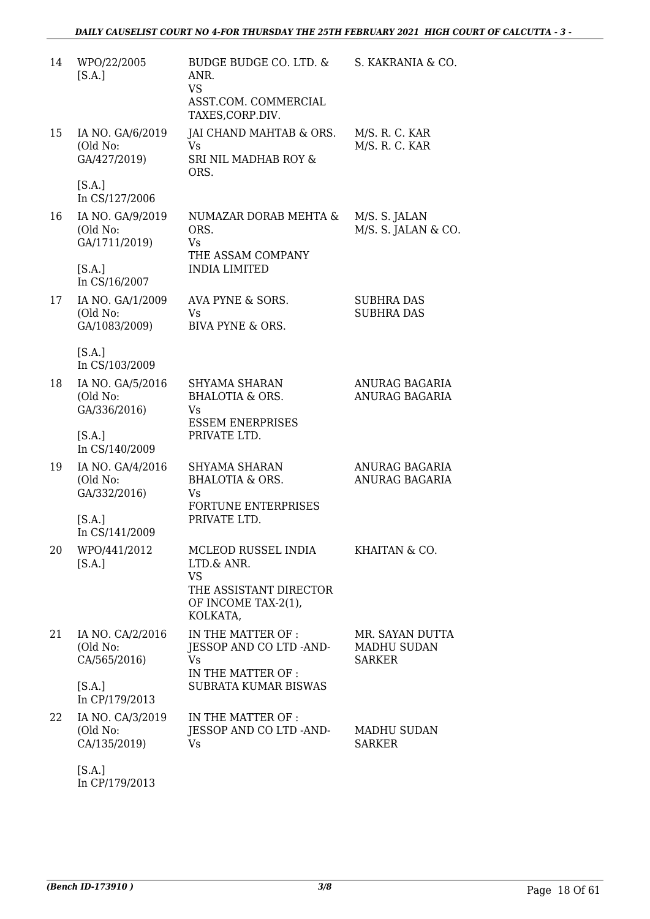| 14 | WPO/22/2005<br>[S.A.]                         | BUDGE BUDGE CO. LTD. &<br>ANR.<br><b>VS</b><br>ASST.COM. COMMERCIAL<br>TAXES, CORP.DIV.                     | S. KAKRANIA & CO.                                      |
|----|-----------------------------------------------|-------------------------------------------------------------------------------------------------------------|--------------------------------------------------------|
| 15 | IA NO. GA/6/2019<br>(Old No:<br>GA/427/2019)  | JAI CHAND MAHTAB & ORS.<br><b>Vs</b><br>SRI NIL MADHAB ROY &<br>ORS.                                        | M/S. R. C. KAR<br>M/S. R. C. KAR                       |
|    | [S.A.]<br>In CS/127/2006                      |                                                                                                             |                                                        |
| 16 | IA NO. GA/9/2019<br>(Old No:<br>GA/1711/2019) | NUMAZAR DORAB MEHTA &<br>ORS.<br><b>Vs</b><br>THE ASSAM COMPANY                                             | M/S. S. JALAN<br>M/S. S. JALAN & CO.                   |
|    | [S.A.]<br>In CS/16/2007                       | <b>INDIA LIMITED</b>                                                                                        |                                                        |
| 17 | IA NO. GA/1/2009<br>(Old No:<br>GA/1083/2009) | AVA PYNE & SORS.<br>Vs<br>BIVA PYNE & ORS.                                                                  | SUBHRA DAS<br><b>SUBHRA DAS</b>                        |
|    | [S.A.]<br>In CS/103/2009                      |                                                                                                             |                                                        |
| 18 | IA NO. GA/5/2016<br>(Old No:<br>GA/336/2016)  | <b>SHYAMA SHARAN</b><br><b>BHALOTIA &amp; ORS.</b><br>Vs<br><b>ESSEM ENERPRISES</b>                         | ANURAG BAGARIA<br>ANURAG BAGARIA                       |
|    | [S.A.]<br>In CS/140/2009                      | PRIVATE LTD.                                                                                                |                                                        |
| 19 | IA NO. GA/4/2016<br>(Old No:<br>GA/332/2016)  | <b>SHYAMA SHARAN</b><br><b>BHALOTIA &amp; ORS.</b><br>Vs<br><b>FORTUNE ENTERPRISES</b>                      | ANURAG BAGARIA<br><b>ANURAG BAGARIA</b>                |
|    | [S.A.]<br>In CS/141/2009                      | PRIVATE LTD.                                                                                                |                                                        |
| 20 | WPO/441/2012<br>[S.A.]                        | MCLEOD RUSSEL INDIA<br>LTD.& ANR.<br><b>VS</b><br>THE ASSISTANT DIRECTOR<br>OF INCOME TAX-2(1),<br>KOLKATA, | KHAITAN & CO.                                          |
| 21 | IA NO. CA/2/2016<br>(Old No:<br>CA/565/2016)  | IN THE MATTER OF :<br>JESSOP AND CO LTD -AND-<br><b>Vs</b><br>IN THE MATTER OF:                             | MR. SAYAN DUTTA<br><b>MADHU SUDAN</b><br><b>SARKER</b> |
|    | [S.A.]<br>In CP/179/2013                      | <b>SUBRATA KUMAR BISWAS</b>                                                                                 |                                                        |
| 22 | IA NO. CA/3/2019<br>(Old No:<br>CA/135/2019)  | IN THE MATTER OF:<br>JESSOP AND CO LTD -AND-<br><b>Vs</b>                                                   | <b>MADHU SUDAN</b><br><b>SARKER</b>                    |
|    | <b>EQ A 1</b>                                 |                                                                                                             |                                                        |

[S.A.] In CP/179/2013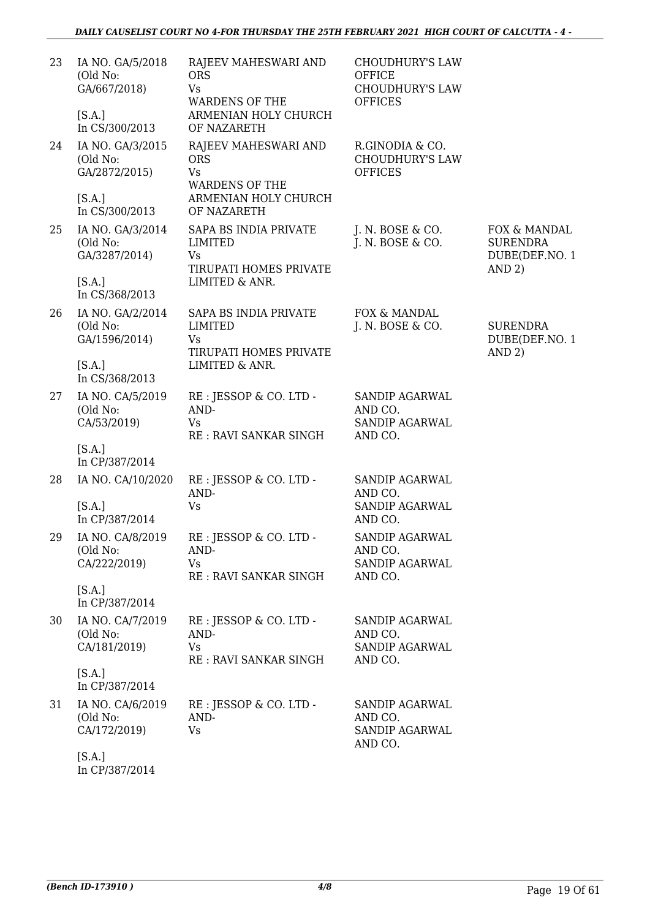| 23 | IA NO. GA/5/2018<br>(Old No:<br>GA/667/2018)<br>[S.A.]                    | RAJEEV MAHESWARI AND<br><b>ORS</b><br><b>Vs</b><br><b>WARDENS OF THE</b><br>ARMENIAN HOLY CHURCH                | <b>CHOUDHURY'S LAW</b><br><b>OFFICE</b><br><b>CHOUDHURY'S LAW</b><br><b>OFFICES</b> |                                                             |
|----|---------------------------------------------------------------------------|-----------------------------------------------------------------------------------------------------------------|-------------------------------------------------------------------------------------|-------------------------------------------------------------|
|    | In CS/300/2013                                                            | OF NAZARETH                                                                                                     |                                                                                     |                                                             |
| 24 | IA NO. GA/3/2015<br>(Old No:<br>GA/2872/2015)<br>[S.A.]<br>In CS/300/2013 | RAJEEV MAHESWARI AND<br><b>ORS</b><br><b>Vs</b><br><b>WARDENS OF THE</b><br>ARMENIAN HOLY CHURCH<br>OF NAZARETH | R.GINODIA & CO.<br><b>CHOUDHURY'S LAW</b><br><b>OFFICES</b>                         |                                                             |
|    |                                                                           |                                                                                                                 |                                                                                     |                                                             |
| 25 | IA NO. GA/3/2014<br>(Old No:<br>GA/3287/2014)                             | SAPA BS INDIA PRIVATE<br>LIMITED<br><b>Vs</b><br>TIRUPATI HOMES PRIVATE                                         | J. N. BOSE & CO.<br>J. N. BOSE & CO.                                                | FOX & MANDAL<br><b>SURENDRA</b><br>DUBE(DEF.NO. 1<br>AND 2) |
|    | [S.A.]<br>In CS/368/2013                                                  | LIMITED & ANR.                                                                                                  |                                                                                     |                                                             |
| 26 | IA NO. GA/2/2014<br>(Old No:<br>GA/1596/2014)                             | SAPA BS INDIA PRIVATE<br>LIMITED<br>Vs                                                                          | FOX & MANDAL<br>J. N. BOSE & CO.                                                    | <b>SURENDRA</b><br>DUBE(DEF.NO. 1                           |
|    | [S.A.]<br>In CS/368/2013                                                  | TIRUPATI HOMES PRIVATE<br>LIMITED & ANR.                                                                        |                                                                                     | AND 2)                                                      |
| 27 | IA NO. CA/5/2019<br>(Old No:<br>CA/53/2019)                               | RE : JESSOP & CO. LTD -<br>AND-<br><b>Vs</b><br>RE: RAVI SANKAR SINGH                                           | SANDIP AGARWAL<br>AND CO.<br><b>SANDIP AGARWAL</b><br>AND CO.                       |                                                             |
|    | [S.A.]<br>In CP/387/2014                                                  |                                                                                                                 |                                                                                     |                                                             |
| 28 | IA NO. CA/10/2020                                                         | RE : JESSOP & CO. LTD -<br>AND-                                                                                 | SANDIP AGARWAL<br>AND CO.                                                           |                                                             |
|    | [S.A.]<br>In CP/387/2014                                                  | <b>Vs</b>                                                                                                       | SANDIP AGARWAL<br>AND CO.                                                           |                                                             |
|    | 29 IA NO. CA/8/2019<br>(Old No:<br>CA/222/2019)                           | RE : JESSOP & CO. LTD -<br>AND-<br>Vs<br>RE: RAVI SANKAR SINGH                                                  | SANDIP AGARWAL<br>AND CO.<br>SANDIP AGARWAL<br>AND CO.                              |                                                             |
|    | [S.A.]<br>In CP/387/2014                                                  |                                                                                                                 |                                                                                     |                                                             |
| 30 | IA NO. CA/7/2019<br>(Old No:<br>CA/181/2019)                              | RE : JESSOP & CO. LTD -<br>AND-<br>Vs<br>RE: RAVI SANKAR SINGH                                                  | <b>SANDIP AGARWAL</b><br>AND CO.<br><b>SANDIP AGARWAL</b><br>AND CO.                |                                                             |
|    | [S.A.]<br>In CP/387/2014                                                  |                                                                                                                 |                                                                                     |                                                             |
| 31 | IA NO. CA/6/2019<br>(Old No:<br>CA/172/2019)                              | RE : JESSOP & CO. LTD -<br>AND-<br><b>Vs</b>                                                                    | SANDIP AGARWAL<br>AND CO.<br>SANDIP AGARWAL<br>AND CO.                              |                                                             |
|    | [S.A.]                                                                    |                                                                                                                 |                                                                                     |                                                             |

In CP/387/2014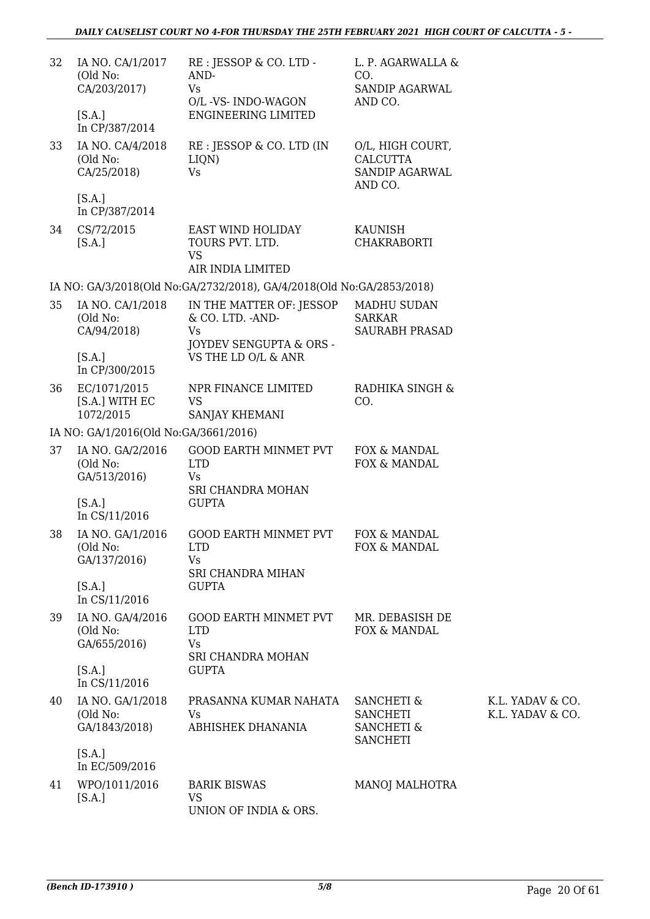| 32 | IA NO. CA/1/2017<br>(Old No:<br>CA/203/2017)<br>[S.A.]<br>In CP/387/2014 | RE : JESSOP & CO. LTD -<br>AND-<br><b>Vs</b><br>O/L -VS- INDO-WAGON<br><b>ENGINEERING LIMITED</b> | L. P. AGARWALLA &<br>CO.<br>SANDIP AGARWAL<br>AND CO.                                |                                      |
|----|--------------------------------------------------------------------------|---------------------------------------------------------------------------------------------------|--------------------------------------------------------------------------------------|--------------------------------------|
| 33 | IA NO. CA/4/2018<br>(Old No:<br>CA/25/2018)                              | RE : JESSOP & CO. LTD (IN<br>LIQN)<br><b>Vs</b>                                                   | O/L, HIGH COURT,<br><b>CALCUTTA</b><br>SANDIP AGARWAL<br>AND CO.                     |                                      |
|    | [S.A.]<br>In CP/387/2014                                                 |                                                                                                   |                                                                                      |                                      |
| 34 | CS/72/2015<br>[S.A.]                                                     | EAST WIND HOLIDAY<br>TOURS PVT. LTD.<br><b>VS</b>                                                 | KAUNISH<br><b>CHAKRABORTI</b>                                                        |                                      |
|    |                                                                          | AIR INDIA LIMITED                                                                                 |                                                                                      |                                      |
|    |                                                                          | IA NO: GA/3/2018(Old No:GA/2732/2018), GA/4/2018(Old No:GA/2853/2018)                             |                                                                                      |                                      |
| 35 | IA NO. CA/1/2018<br>(Old No:<br>CA/94/2018)                              | IN THE MATTER OF: JESSOP<br>& CO. LTD. - AND-<br><b>Vs</b><br>JOYDEV SENGUPTA & ORS -             | <b>MADHU SUDAN</b><br><b>SARKAR</b><br><b>SAURABH PRASAD</b>                         |                                      |
|    | [S.A.]<br>In CP/300/2015                                                 | VS THE LD O/L & ANR                                                                               |                                                                                      |                                      |
| 36 | EC/1071/2015<br>[S.A.] WITH EC<br>1072/2015                              | NPR FINANCE LIMITED<br><b>VS</b><br>SANJAY KHEMANI                                                | RADHIKA SINGH &<br>CO.                                                               |                                      |
|    | IA NO: GA/1/2016(Old No:GA/3661/2016)                                    |                                                                                                   |                                                                                      |                                      |
| 37 | IA NO. GA/2/2016<br>(Old No:<br>GA/513/2016)                             | <b>GOOD EARTH MINMET PVT</b><br><b>LTD</b><br>Vs                                                  | FOX & MANDAL<br>FOX & MANDAL                                                         |                                      |
|    | [S.A.]<br>In CS/11/2016                                                  | SRI CHANDRA MOHAN<br><b>GUPTA</b>                                                                 |                                                                                      |                                      |
| 38 | IA NO. GA/1/2016<br>(Old No:<br>GA/137/2016)                             | <b>GOOD EARTH MINMET PVT</b><br><b>LTD</b><br><b>Vs</b><br>SRI CHANDRA MIHAN                      | FOX & MANDAL<br>FOX & MANDAL                                                         |                                      |
|    | [S.A.]<br>In CS/11/2016                                                  | <b>GUPTA</b>                                                                                      |                                                                                      |                                      |
| 39 | IA NO. GA/4/2016<br>(Old No:<br>GA/655/2016)                             | <b>GOOD EARTH MINMET PVT</b><br><b>LTD</b><br>Vs<br>SRI CHANDRA MOHAN                             | MR. DEBASISH DE<br>FOX & MANDAL                                                      |                                      |
|    | [S.A.]<br>In CS/11/2016                                                  | <b>GUPTA</b>                                                                                      |                                                                                      |                                      |
| 40 | IA NO. GA/1/2018<br>(Old No:<br>GA/1843/2018)                            | PRASANNA KUMAR NAHATA<br>Vs<br>ABHISHEK DHANANIA                                                  | <b>SANCHETI &amp;</b><br><b>SANCHETI</b><br><b>SANCHETI &amp;</b><br><b>SANCHETI</b> | K.L. YADAV & CO.<br>K.L. YADAV & CO. |
|    | [S.A.]<br>In EC/509/2016                                                 |                                                                                                   |                                                                                      |                                      |
| 41 | WPO/1011/2016<br>[S.A.]                                                  | <b>BARIK BISWAS</b><br><b>VS</b><br>UNION OF INDIA & ORS.                                         | MANOJ MALHOTRA                                                                       |                                      |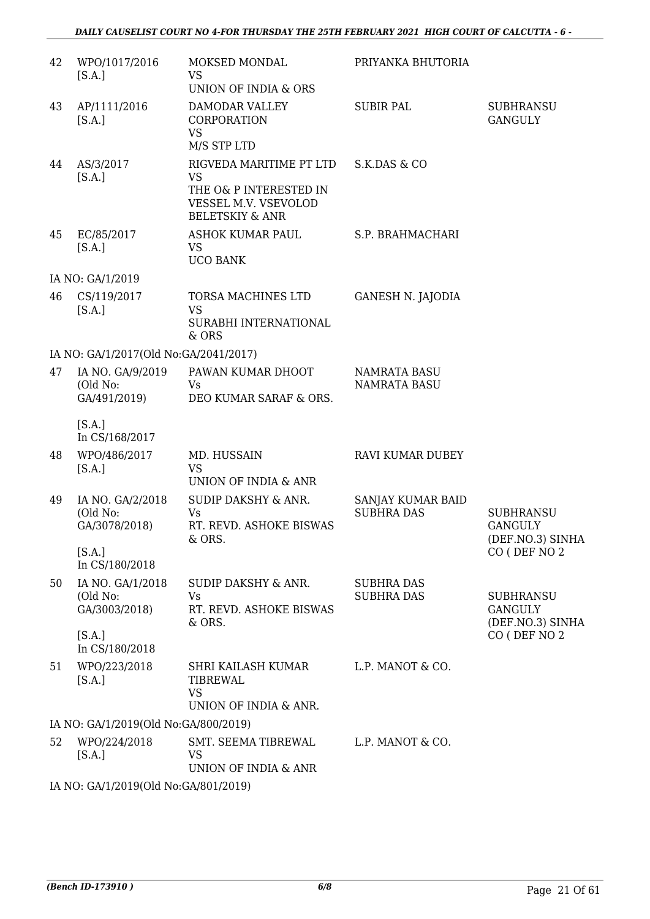| 42 | WPO/1017/2016<br>[S.A.]                                 | MOKSED MONDAL<br><b>VS</b><br>UNION OF INDIA & ORS                                                                   | PRIYANKA BHUTORIA                          |                                                                        |
|----|---------------------------------------------------------|----------------------------------------------------------------------------------------------------------------------|--------------------------------------------|------------------------------------------------------------------------|
| 43 | AP/1111/2016<br>[S.A.]                                  | DAMODAR VALLEY<br>CORPORATION<br><b>VS</b><br>M/S STP LTD                                                            | <b>SUBIR PAL</b>                           | <b>SUBHRANSU</b><br><b>GANGULY</b>                                     |
| 44 | AS/3/2017<br>[S.A.]                                     | RIGVEDA MARITIME PT LTD<br><b>VS</b><br>THE O& P INTERESTED IN<br>VESSEL M.V. VSEVOLOD<br><b>BELETSKIY &amp; ANR</b> | S.K.DAS & CO                               |                                                                        |
| 45 | EC/85/2017<br>[S.A.]                                    | ASHOK KUMAR PAUL<br>VS<br><b>UCO BANK</b>                                                                            | S.P. BRAHMACHARI                           |                                                                        |
|    | IA NO: GA/1/2019                                        |                                                                                                                      |                                            |                                                                        |
| 46 | CS/119/2017<br>[S.A.]                                   | TORSA MACHINES LTD<br><b>VS</b><br>SURABHI INTERNATIONAL<br>& ORS                                                    | GANESH N. JAJODIA                          |                                                                        |
|    | IA NO: GA/1/2017(Old No:GA/2041/2017)                   |                                                                                                                      |                                            |                                                                        |
| 47 | IA NO. GA/9/2019<br>(Old No:<br>GA/491/2019)            | PAWAN KUMAR DHOOT<br>Vs<br>DEO KUMAR SARAF & ORS.                                                                    | <b>NAMRATA BASU</b><br><b>NAMRATA BASU</b> |                                                                        |
|    | [S.A.]<br>In CS/168/2017                                |                                                                                                                      |                                            |                                                                        |
| 48 | WPO/486/2017<br>[S.A.]                                  | MD. HUSSAIN<br><b>VS</b><br>UNION OF INDIA & ANR                                                                     | RAVI KUMAR DUBEY                           |                                                                        |
| 49 | IA NO. GA/2/2018<br>(Old No:<br>GA/3078/2018)<br>[S.A.] | SUDIP DAKSHY & ANR.<br>Vs<br>RT. REVD. ASHOKE BISWAS<br>& ORS.                                                       | SANJAY KUMAR BAID<br><b>SUBHRA DAS</b>     | <b>SUBHRANSU</b><br>GANGULY<br>(DEF.NO.3) SINHA<br>CO (DEF NO 2        |
|    | In CS/180/2018                                          |                                                                                                                      |                                            |                                                                        |
| 50 | IA NO. GA/1/2018<br>(Old No:<br>GA/3003/2018)<br>[S.A.] | <b>SUDIP DAKSHY &amp; ANR.</b><br>Vs<br>RT. REVD. ASHOKE BISWAS<br>& ORS.                                            | <b>SUBHRA DAS</b><br><b>SUBHRA DAS</b>     | <b>SUBHRANSU</b><br><b>GANGULY</b><br>(DEF.NO.3) SINHA<br>CO (DEF NO 2 |
|    | In CS/180/2018                                          |                                                                                                                      |                                            |                                                                        |
| 51 | WPO/223/2018<br>[S.A.]                                  | SHRI KAILASH KUMAR<br>TIBREWAL<br><b>VS</b><br>UNION OF INDIA & ANR.                                                 | L.P. MANOT & CO.                           |                                                                        |
|    | IA NO: GA/1/2019(Old No:GA/800/2019)                    |                                                                                                                      |                                            |                                                                        |
| 52 | WPO/224/2018<br>[S.A.]                                  | SMT. SEEMA TIBREWAL<br><b>VS</b><br>UNION OF INDIA & ANR                                                             | L.P. MANOT & CO.                           |                                                                        |
|    |                                                         |                                                                                                                      |                                            |                                                                        |

IA NO: GA/1/2019(Old No:GA/801/2019)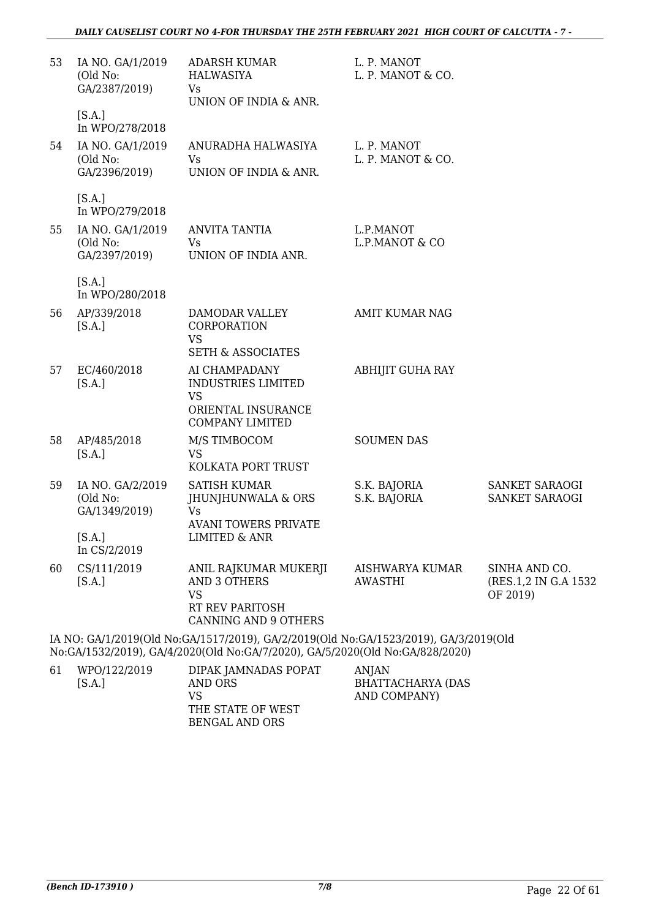### *DAILY CAUSELIST COURT NO 4-FOR THURSDAY THE 25TH FEBRUARY 2021 HIGH COURT OF CALCUTTA - 7 -*

| 53 | IA NO. GA/1/2019<br>(Old No:<br>GA/2387/2019) | <b>ADARSH KUMAR</b><br>HALWASIYA<br>Vs<br>UNION OF INDIA & ANR.                                                                                                | L. P. MANOT<br>L. P. MANOT & CO.  |                                                   |
|----|-----------------------------------------------|----------------------------------------------------------------------------------------------------------------------------------------------------------------|-----------------------------------|---------------------------------------------------|
|    | [S.A.]<br>In WPO/278/2018                     |                                                                                                                                                                |                                   |                                                   |
| 54 | IA NO. GA/1/2019<br>(Old No:<br>GA/2396/2019) | ANURADHA HALWASIYA<br><b>Vs</b><br>UNION OF INDIA & ANR.                                                                                                       | L. P. MANOT<br>L. P. MANOT & CO.  |                                                   |
|    | [S.A.]<br>In WPO/279/2018                     |                                                                                                                                                                |                                   |                                                   |
| 55 | IA NO. GA/1/2019<br>(Old No:<br>GA/2397/2019) | <b>ANVITA TANTIA</b><br>Vs<br>UNION OF INDIA ANR.                                                                                                              | L.P.MANOT<br>L.P.MANOT & CO       |                                                   |
|    | [S.A.]<br>In WPO/280/2018                     |                                                                                                                                                                |                                   |                                                   |
| 56 | AP/339/2018<br>[S.A.]                         | DAMODAR VALLEY<br>CORPORATION<br><b>VS</b><br><b>SETH &amp; ASSOCIATES</b>                                                                                     | <b>AMIT KUMAR NAG</b>             |                                                   |
| 57 | EC/460/2018<br>[S.A.]                         | AI CHAMPADANY<br><b>INDUSTRIES LIMITED</b><br><b>VS</b><br>ORIENTAL INSURANCE<br><b>COMPANY LIMITED</b>                                                        | <b>ABHIJIT GUHA RAY</b>           |                                                   |
| 58 | AP/485/2018<br>[S.A.]                         | M/S TIMBOCOM<br><b>VS</b><br>KOLKATA PORT TRUST                                                                                                                | <b>SOUMEN DAS</b>                 |                                                   |
| 59 | IA NO. GA/2/2019<br>(Old No:<br>GA/1349/2019) | <b>SATISH KUMAR</b><br>JHUNJHUNWALA & ORS<br><b>Vs</b><br><b>AVANI TOWERS PRIVATE</b>                                                                          | S.K. BAJORIA<br>S.K. BAJORIA      | SANKET SARAOGI<br>SANKET SARAOGI                  |
|    | [S.A.]<br>In CS/2/2019                        | LIMITED & ANR                                                                                                                                                  |                                   |                                                   |
| 60 | CS/111/2019<br>[S.A.]                         | ANIL RAJKUMAR MUKERJI<br><b>AND 3 OTHERS</b><br><b>VS</b><br>RT REV PARITOSH<br><b>CANNING AND 9 OTHERS</b>                                                    | AISHWARYA KUMAR<br><b>AWASTHI</b> | SINHA AND CO.<br>(RES.1,2 IN G.A 1532<br>OF 2019) |
|    |                                               | IA NO: GA/1/2019(Old No:GA/1517/2019), GA/2/2019(Old No:GA/1523/2019), GA/3/2019(Old<br>$(2010)$ $0.1102020011M$ , $0.170020$ , $0.150020(011M)$ , $0.1020020$ |                                   |                                                   |

No:GA/1532/2019), GA/4/2020(Old No:GA/7/2020), GA/5/2020(Old No:GA/828/2020)

| 61 | WPO/122/2019 | DIPAK JAMNADAS POPAT | ANIAN             |
|----|--------------|----------------------|-------------------|
|    | [S.A.]       | AND ORS              | BHATTACHARYA (DAS |
|    |              | VS                   | AND COMPANY)      |
|    |              | THE STATE OF WEST    |                   |
|    |              | BENGAL AND ORS       |                   |
|    |              |                      |                   |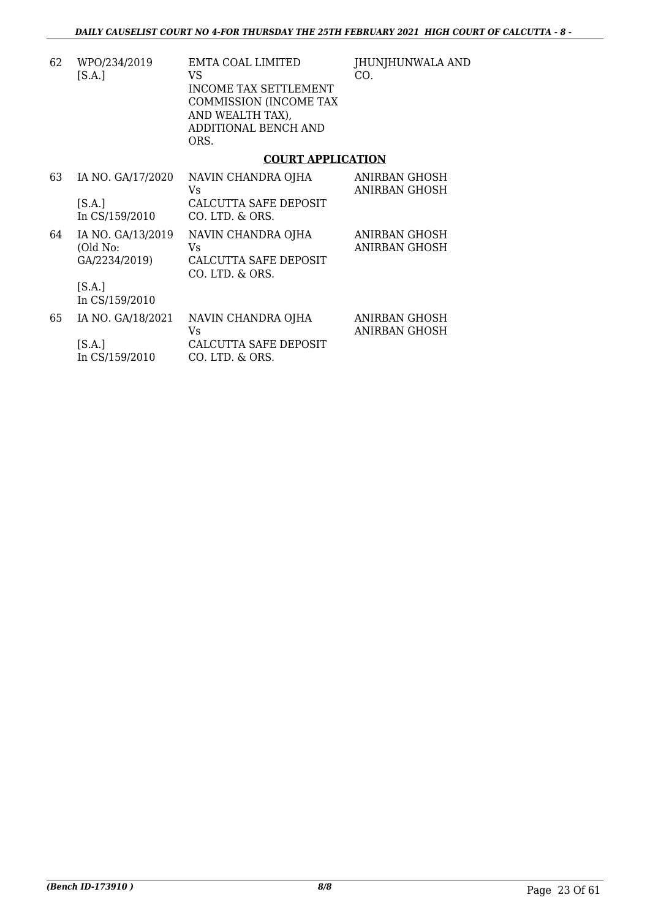| 62 | WPO/234/2019 | EMTA COAL LIMITED      | IHU |
|----|--------------|------------------------|-----|
|    | [S.A.]       | VS                     | CO. |
|    |              | INCOME TAX SETTLEMENT  |     |
|    |              | COMMISSION (INCOME TAX |     |
|    |              | AND WEALTH TAX).       |     |
|    |              | ADDITIONAL BENCH AND   |     |
|    |              | ORS.                   |     |
|    |              |                        |     |

## JNJHUNWALA AND

### **COURT APPLICATION**

| 63 | IA NO. GA/17/2020<br>[S.A.]<br>In CS/159/2010  | NAVIN CHANDRA OJHA<br>Vs<br>CALCUTTA SAFE DEPOSIT<br>CO. LTD. & ORS.  | <b>ANIRBAN GHOSH</b><br>ANIRBAN GHOSH |
|----|------------------------------------------------|-----------------------------------------------------------------------|---------------------------------------|
| 64 | IA NO. GA/13/2019<br>(Old No:<br>GA/2234/2019) | NAVIN CHANDRA OJHA<br>Vs.<br>CALCUTTA SAFE DEPOSIT<br>CO. LTD. & ORS. | ANIRBAN GHOSH<br>ANIRBAN GHOSH        |
|    | [S.A.]<br>In CS/159/2010                       |                                                                       |                                       |
| 65 | IA NO. GA/18/2021                              | NAVIN CHANDRA OJHA<br>Vs                                              | ANIRBAN GHOSH<br>ANIRBAN GHOSH        |
|    | [S.A.]<br>In CS/159/2010                       | CALCUTTA SAFE DEPOSIT<br>CO. LTD. & ORS.                              |                                       |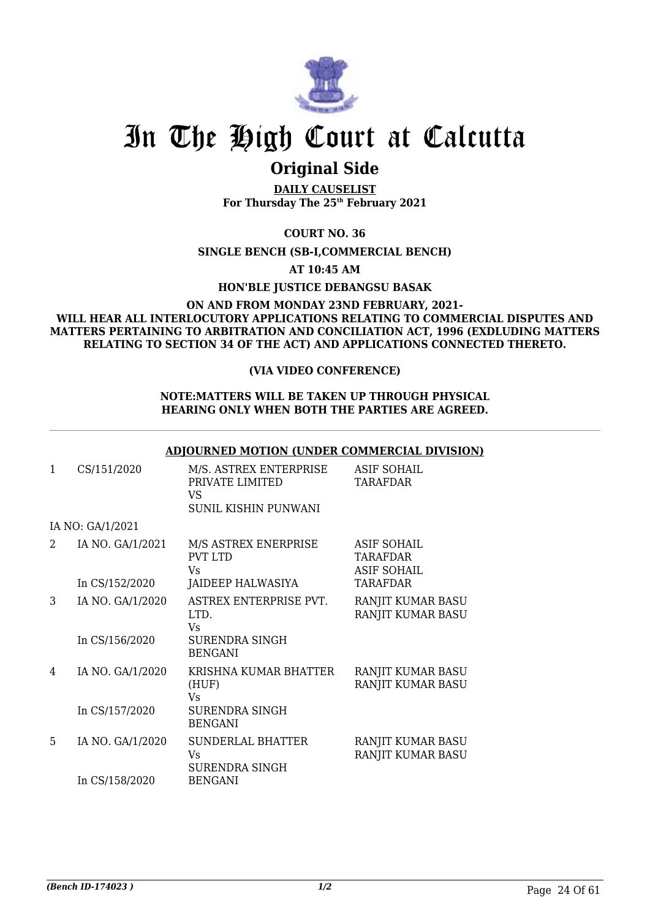

### **Original Side**

**DAILY CAUSELIST For Thursday The 25th February 2021**

**COURT NO. 36**

**SINGLE BENCH (SB-I,COMMERCIAL BENCH)**

**AT 10:45 AM**

**HON'BLE JUSTICE DEBANGSU BASAK**

### **ON AND FROM MONDAY 23ND FEBRUARY, 2021- WILL HEAR ALL INTERLOCUTORY APPLICATIONS RELATING TO COMMERCIAL DISPUTES AND MATTERS PERTAINING TO ARBITRATION AND CONCILIATION ACT, 1996 (EXDLUDING MATTERS RELATING TO SECTION 34 OF THE ACT) AND APPLICATIONS CONNECTED THERETO.**

### **(VIA VIDEO CONFERENCE)**

#### **NOTE:MATTERS WILL BE TAKEN UP THROUGH PHYSICAL HEARING ONLY WHEN BOTH THE PARTIES ARE AGREED.**

|   |                  | <b>ADJOURNED MOTION (UNDER COMMERCIAL DIVISION)</b>                     |                                                      |
|---|------------------|-------------------------------------------------------------------------|------------------------------------------------------|
| 1 | CS/151/2020      | M/S. ASTREX ENTERPRISE<br>PRIVATE LIMITED<br>VS<br>SUNIL KISHIN PUNWANI | <b>ASIF SOHAIL</b><br><b>TARAFDAR</b>                |
|   | IA NO: GA/1/2021 |                                                                         |                                                      |
| 2 | IA NO. GA/1/2021 | M/S ASTREX ENERPRISE<br><b>PVT LTD</b><br>Vs.                           | ASIF SOHAIL<br><b>TARAFDAR</b><br><b>ASIF SOHAIL</b> |
|   | In CS/152/2020   | JAIDEEP HALWASIYA                                                       | <b>TARAFDAR</b>                                      |
| 3 | IA NO. GA/1/2020 | ASTREX ENTERPRISE PVT.<br>LTD.<br>Vs                                    | RANJIT KUMAR BASU<br>RANJIT KUMAR BASU               |
|   | In CS/156/2020   | SURENDRA SINGH<br><b>BENGANI</b>                                        |                                                      |
| 4 | IA NO. GA/1/2020 | KRISHNA KUMAR BHATTER<br>(HUF)<br>Vs                                    | RANJIT KUMAR BASU<br>RANJIT KUMAR BASU               |
|   | In CS/157/2020   | <b>SURENDRA SINGH</b><br><b>BENGANI</b>                                 |                                                      |
| 5 | IA NO. GA/1/2020 | SUNDERLAL BHATTER<br>Vs<br>SURENDRA SINGH                               | RANJIT KUMAR BASU<br>RANJIT KUMAR BASU               |
|   | In CS/158/2020   | BENGANI                                                                 |                                                      |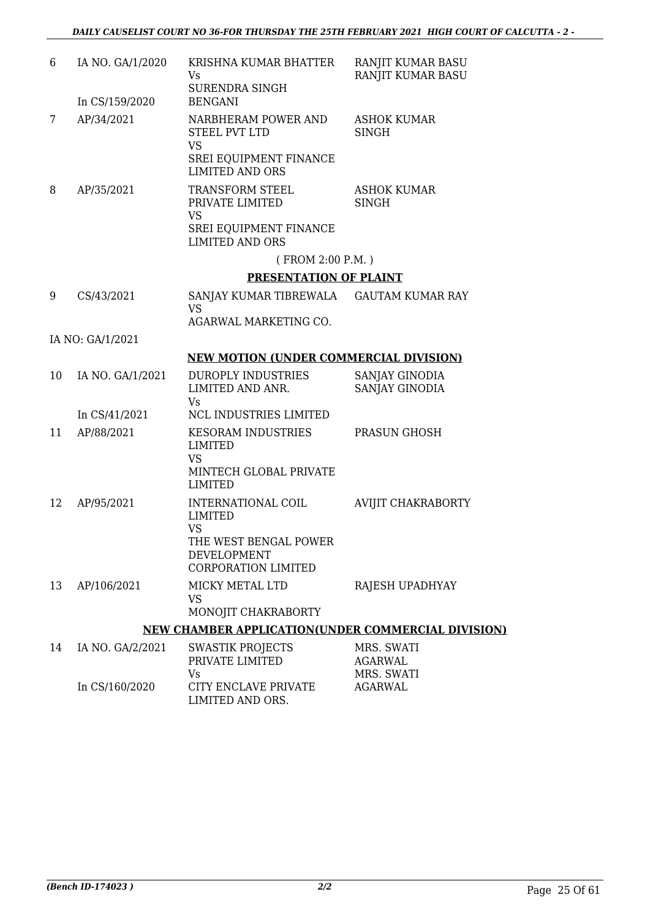| 6  | IA NO. GA/1/2020 | KRISHNA KUMAR BHATTER<br>Vs                                                                                                    | RANJIT KUMAR BASU<br>RANJIT KUMAR BASU     |
|----|------------------|--------------------------------------------------------------------------------------------------------------------------------|--------------------------------------------|
|    | In CS/159/2020   | SURENDRA SINGH<br><b>BENGANI</b>                                                                                               |                                            |
| 7  | AP/34/2021       | NARBHERAM POWER AND<br><b>STEEL PVT LTD</b><br><b>VS</b><br><b>SREI EQUIPMENT FINANCE</b><br><b>LIMITED AND ORS</b>            | <b>ASHOK KUMAR</b><br><b>SINGH</b>         |
| 8  | AP/35/2021       | TRANSFORM STEEL<br>PRIVATE LIMITED<br><b>VS</b><br>SREI EQUIPMENT FINANCE<br><b>LIMITED AND ORS</b>                            | <b>ASHOK KUMAR</b><br><b>SINGH</b>         |
|    |                  | (FROM 2:00 P.M.)                                                                                                               |                                            |
|    |                  | PRESENTATION OF PLAINT                                                                                                         |                                            |
| 9  | CS/43/2021       | SANJAY KUMAR TIBREWALA GAUTAM KUMAR RAY<br><b>VS</b>                                                                           |                                            |
|    |                  | AGARWAL MARKETING CO.                                                                                                          |                                            |
|    | IA NO: GA/1/2021 |                                                                                                                                |                                            |
|    |                  | <b>NEW MOTION (UNDER COMMERCIAL DIVISION)</b>                                                                                  |                                            |
| 10 | IA NO. GA/1/2021 | <b>DUROPLY INDUSTRIES</b><br>LIMITED AND ANR.<br><b>Vs</b>                                                                     | SANJAY GINODIA<br>SANJAY GINODIA           |
|    | In CS/41/2021    | NCL INDUSTRIES LIMITED                                                                                                         |                                            |
| 11 | AP/88/2021       | <b>KESORAM INDUSTRIES</b><br><b>LIMITED</b><br><b>VS</b><br>MINTECH GLOBAL PRIVATE<br><b>LIMITED</b>                           | PRASUN GHOSH                               |
| 12 | AP/95/2021       | INTERNATIONAL COIL<br><b>LIMITED</b><br><b>VS</b><br>THE WEST BENGAL POWER<br><b>DEVELOPMENT</b><br><b>CORPORATION LIMITED</b> | AVIJIT CHAKRABORTY                         |
| 13 | AP/106/2021      | MICKY METAL LTD<br><b>VS</b><br>MONOJIT CHAKRABORTY                                                                            | RAJESH UPADHYAY                            |
|    |                  | NEW CHAMBER APPLICATION(UNDER COMMERCIAL DIVISION)                                                                             |                                            |
| 14 | IA NO. GA/2/2021 | <b>SWASTIK PROJECTS</b><br>PRIVATE LIMITED<br>Vs                                                                               | MRS. SWATI<br><b>AGARWAL</b><br>MRS. SWATI |

CITY ENCLAVE PRIVATE LIMITED AND ORS.

In CS/160/2020

AGARWAL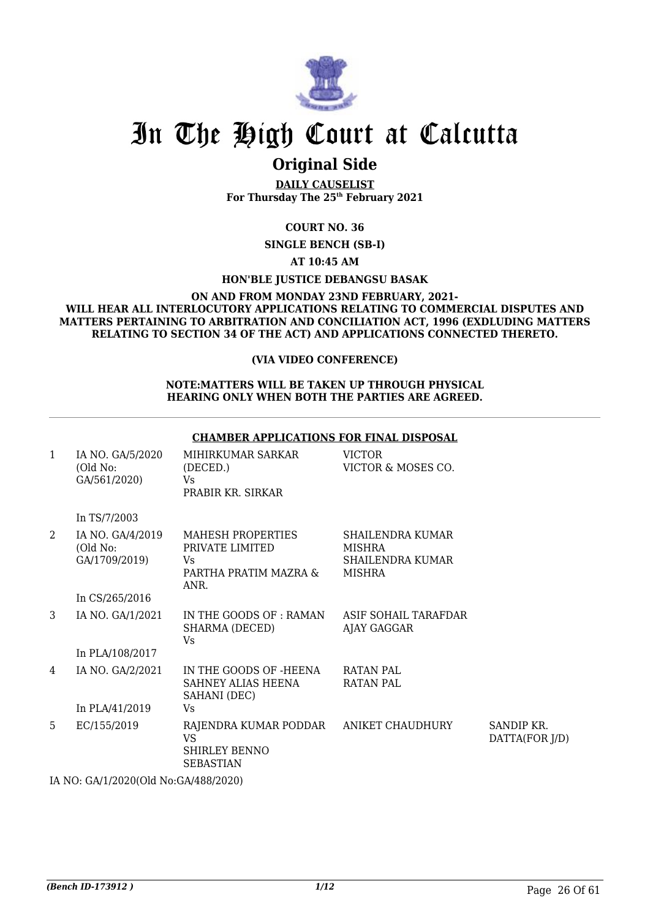

### **Original Side**

**DAILY CAUSELIST For Thursday The 25th February 2021**

### **COURT NO. 36**

**SINGLE BENCH (SB-I)**

**AT 10:45 AM**

**HON'BLE JUSTICE DEBANGSU BASAK**

#### **ON AND FROM MONDAY 23ND FEBRUARY, 2021- WILL HEAR ALL INTERLOCUTORY APPLICATIONS RELATING TO COMMERCIAL DISPUTES AND MATTERS PERTAINING TO ARBITRATION AND CONCILIATION ACT, 1996 (EXDLUDING MATTERS RELATING TO SECTION 34 OF THE ACT) AND APPLICATIONS CONNECTED THERETO.**

### **(VIA VIDEO CONFERENCE)**

#### **NOTE:MATTERS WILL BE TAKEN UP THROUGH PHYSICAL HEARING ONLY WHEN BOTH THE PARTIES ARE AGREED.**

#### **CHAMBER APPLICATIONS FOR FINAL DISPOSAL** 1 IA NO. GA/5/2020 (Old No: GA/561/2020) In TS/7/2003 MIHIRKUMAR SARKAR (DECED.) Vs PRABIR KR. SIRKAR VICTOR VICTOR & MOSES CO. 2 IA NO. GA/4/2019 (Old No: GA/1709/2019) In CS/265/2016 MAHESH PROPERTIES PRIVATE LIMITED  $V<sub>c</sub>$ PARTHA PRATIM MAZRA & ANR. SHAILENDRA KUMAR MISHRA SHAILENDRA KUMAR MISHRA 3 IA NO. GA/1/2021 In PLA/108/2017 IN THE GOODS OF : RAMAN SHARMA (DECED) Vs ASIF SOHAIL TARAFDAR AJAY GAGGAR 4 IA NO. GA/2/2021 In PLA/41/2019 IN THE GOODS OF -HEENA SAHNEY ALIAS HEENA SAHANI (DEC) Vs RATAN PAL RATAN PAL 5 EC/155/2019 RAJENDRA KUMAR PODDAR VS SHIRLEY BENNO SEBASTIAN ANIKET CHAUDHURY SANDIP KR. DATTA(FOR J/D)

IA NO: GA/1/2020(Old No:GA/488/2020)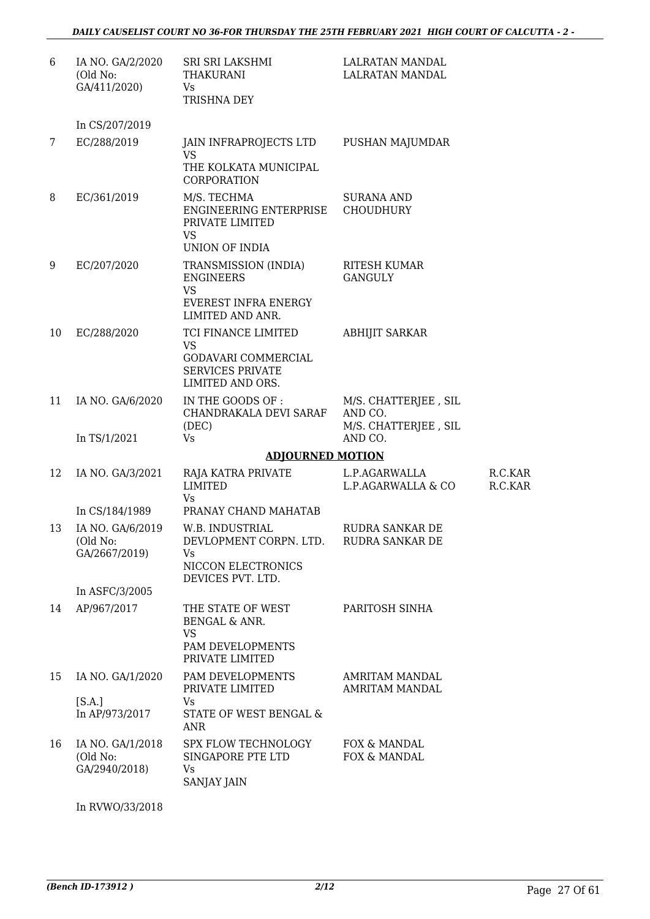| 6  | IA NO. GA/2/2020<br>(Old No:<br>GA/411/2020)  | SRI SRI LAKSHMI<br><b>THAKURANI</b><br>Vs<br>TRISHNA DEY                                          | LALRATAN MANDAL<br><b>LALRATAN MANDAL</b>               |                    |
|----|-----------------------------------------------|---------------------------------------------------------------------------------------------------|---------------------------------------------------------|--------------------|
|    | In CS/207/2019                                |                                                                                                   |                                                         |                    |
| 7  | EC/288/2019                                   | JAIN INFRAPROJECTS LTD<br><b>VS</b><br>THE KOLKATA MUNICIPAL<br>CORPORATION                       | PUSHAN MAJUMDAR                                         |                    |
| 8  | EC/361/2019                                   | M/S. TECHMA<br>ENGINEERING ENTERPRISE<br>PRIVATE LIMITED<br><b>VS</b>                             | SURANA AND<br><b>CHOUDHURY</b>                          |                    |
|    |                                               | UNION OF INDIA                                                                                    |                                                         |                    |
| 9  | EC/207/2020                                   | TRANSMISSION (INDIA)<br><b>ENGINEERS</b><br>VS<br><b>EVEREST INFRA ENERGY</b><br>LIMITED AND ANR. | <b>RITESH KUMAR</b><br><b>GANGULY</b>                   |                    |
| 10 | EC/288/2020                                   | TCI FINANCE LIMITED                                                                               | <b>ABHIJIT SARKAR</b>                                   |                    |
|    |                                               | <b>VS</b><br>GODAVARI COMMERCIAL<br><b>SERVICES PRIVATE</b><br>LIMITED AND ORS.                   |                                                         |                    |
| 11 | IA NO. GA/6/2020                              | IN THE GOODS OF :<br>CHANDRAKALA DEVI SARAF<br>(DEC)                                              | M/S. CHATTERJEE, SIL<br>AND CO.<br>M/S. CHATTERJEE, SIL |                    |
|    | In TS/1/2021                                  | Vs                                                                                                | AND CO.                                                 |                    |
|    |                                               | <b>ADJOURNED MOTION</b>                                                                           |                                                         |                    |
| 12 | IA NO. GA/3/2021                              | RAJA KATRA PRIVATE<br>LIMITED<br><b>Vs</b>                                                        | L.P.AGARWALLA<br>L.P.AGARWALLA & CO                     | R.C.KAR<br>R.C.KAR |
|    | In CS/184/1989                                | PRANAY CHAND MAHATAB                                                                              |                                                         |                    |
| 13 | IA NO. GA/6/2019<br>(Old No:<br>GA/2667/2019) | W.B. INDUSTRIAL<br>DEVLOPMENT CORPN. LTD.<br>Vs<br>NICCON ELECTRONICS<br>DEVICES PVT. LTD.        | <b>RUDRA SANKAR DE</b><br>RUDRA SANKAR DE               |                    |
|    | In ASFC/3/2005                                |                                                                                                   |                                                         |                    |
| 14 | AP/967/2017                                   | THE STATE OF WEST<br><b>BENGAL &amp; ANR.</b><br><b>VS</b><br>PAM DEVELOPMENTS<br>PRIVATE LIMITED | PARITOSH SINHA                                          |                    |
| 15 | IA NO. GA/1/2020                              | PAM DEVELOPMENTS<br>PRIVATE LIMITED                                                               | <b>AMRITAM MANDAL</b><br><b>AMRITAM MANDAL</b>          |                    |
|    | [S.A.]<br>In AP/973/2017                      | Vs<br>STATE OF WEST BENGAL &<br>ANR                                                               |                                                         |                    |
| 16 | IA NO. GA/1/2018<br>(Old No:<br>GA/2940/2018) | SPX FLOW TECHNOLOGY<br>SINGAPORE PTE LTD<br>Vs<br><b>SANJAY JAIN</b>                              | FOX & MANDAL<br>FOX & MANDAL                            |                    |

In RVWO/33/2018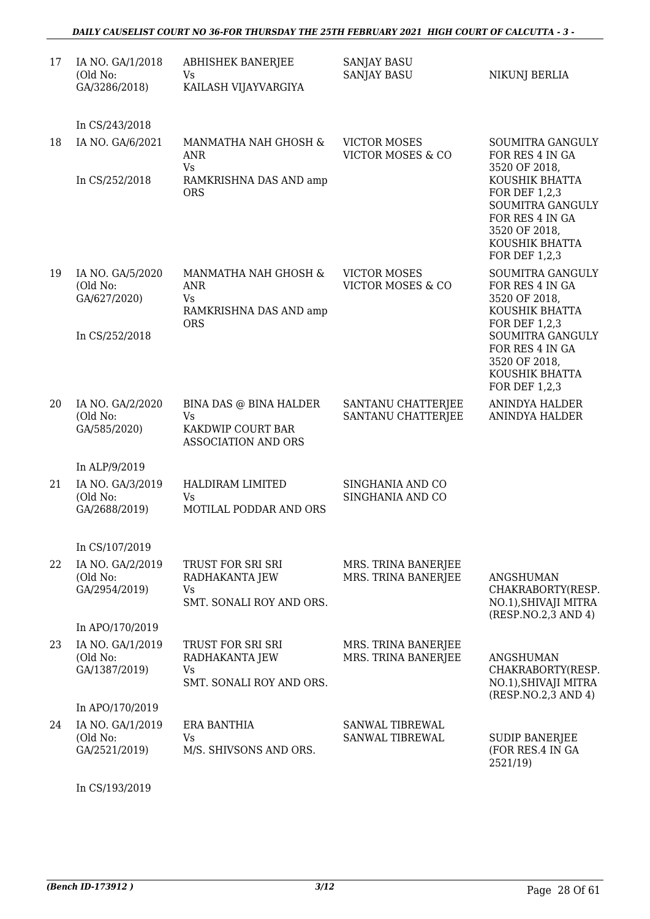| 17 | IA NO. GA/1/2018<br>(Old No:<br>GA/3286/2018) | <b>ABHISHEK BANERJEE</b><br>Vs.<br>KAILASH VIJAYVARGIYA                         | <b>SANJAY BASU</b><br><b>SANJAY BASU</b>            | NIKUNJ BERLIA                                                                                                              |
|----|-----------------------------------------------|---------------------------------------------------------------------------------|-----------------------------------------------------|----------------------------------------------------------------------------------------------------------------------------|
|    | In CS/243/2018                                |                                                                                 |                                                     |                                                                                                                            |
| 18 | IA NO. GA/6/2021                              | MANMATHA NAH GHOSH &<br>ANR<br><b>Vs</b>                                        | <b>VICTOR MOSES</b><br>VICTOR MOSES & CO            | <b>SOUMITRA GANGULY</b><br>FOR RES 4 IN GA<br>3520 OF 2018,                                                                |
|    | In CS/252/2018                                | RAMKRISHNA DAS AND amp<br><b>ORS</b>                                            |                                                     | KOUSHIK BHATTA<br>FOR DEF 1,2,3<br>SOUMITRA GANGULY<br>FOR RES 4 IN GA<br>3520 OF 2018,<br>KOUSHIK BHATTA<br>FOR DEF 1,2,3 |
| 19 | IA NO. GA/5/2020<br>(Old No:<br>GA/627/2020)  | MANMATHA NAH GHOSH &<br>ANR<br>Vs<br>RAMKRISHNA DAS AND amp<br><b>ORS</b>       | <b>VICTOR MOSES</b><br><b>VICTOR MOSES &amp; CO</b> | <b>SOUMITRA GANGULY</b><br>FOR RES 4 IN GA<br>3520 OF 2018,<br>KOUSHIK BHATTA<br>FOR DEF 1,2,3                             |
|    | In CS/252/2018                                |                                                                                 |                                                     | SOUMITRA GANGULY<br>FOR RES 4 IN GA<br>3520 OF 2018,<br>KOUSHIK BHATTA<br><b>FOR DEF 1,2,3</b>                             |
| 20 | IA NO. GA/2/2020<br>(Old No:<br>GA/585/2020)  | BINA DAS @ BINA HALDER<br>Vs<br>KAKDWIP COURT BAR<br><b>ASSOCIATION AND ORS</b> | SANTANU CHATTERJEE<br>SANTANU CHATTERJEE            | ANINDYA HALDER<br><b>ANINDYA HALDER</b>                                                                                    |
|    | In ALP/9/2019                                 |                                                                                 |                                                     |                                                                                                                            |
| 21 | IA NO. GA/3/2019<br>(Old No:<br>GA/2688/2019) | HALDIRAM LIMITED<br>Vs<br>MOTILAL PODDAR AND ORS                                | SINGHANIA AND CO<br>SINGHANIA AND CO                |                                                                                                                            |
|    | In CS/107/2019                                |                                                                                 |                                                     |                                                                                                                            |
| 22 | IA NO. GA/2/2019<br>(Old No:<br>GA/2954/2019) | TRUST FOR SRI SRI<br>RADHAKANTA JEW<br>Vs<br>SMT. SONALI ROY AND ORS.           | MRS. TRINA BANERJEE<br>MRS. TRINA BANERJEE          | <b>ANGSHUMAN</b><br>CHAKRABORTY(RESP.<br>NO.1), SHIVAJI MITRA<br>(RESP.NO.2,3 AND 4)                                       |
|    | In APO/170/2019                               |                                                                                 |                                                     |                                                                                                                            |
| 23 | IA NO. GA/1/2019<br>(Old No:<br>GA/1387/2019) | TRUST FOR SRI SRI<br>RADHAKANTA JEW<br>Vs<br>SMT. SONALI ROY AND ORS.           | MRS. TRINA BANERJEE<br>MRS. TRINA BANERJEE          | <b>ANGSHUMAN</b><br>CHAKRABORTY(RESP.<br>NO.1), SHIVAJI MITRA<br>(RESP.NO.2,3 AND 4)                                       |
|    | In APO/170/2019                               |                                                                                 |                                                     |                                                                                                                            |
| 24 | IA NO. GA/1/2019<br>(Old No:<br>GA/2521/2019) | <b>ERA BANTHIA</b><br>Vs<br>M/S. SHIVSONS AND ORS.                              | <b>SANWAL TIBREWAL</b><br>SANWAL TIBREWAL           | <b>SUDIP BANERJEE</b><br>(FOR RES.4 IN GA<br>2521/19)                                                                      |

In CS/193/2019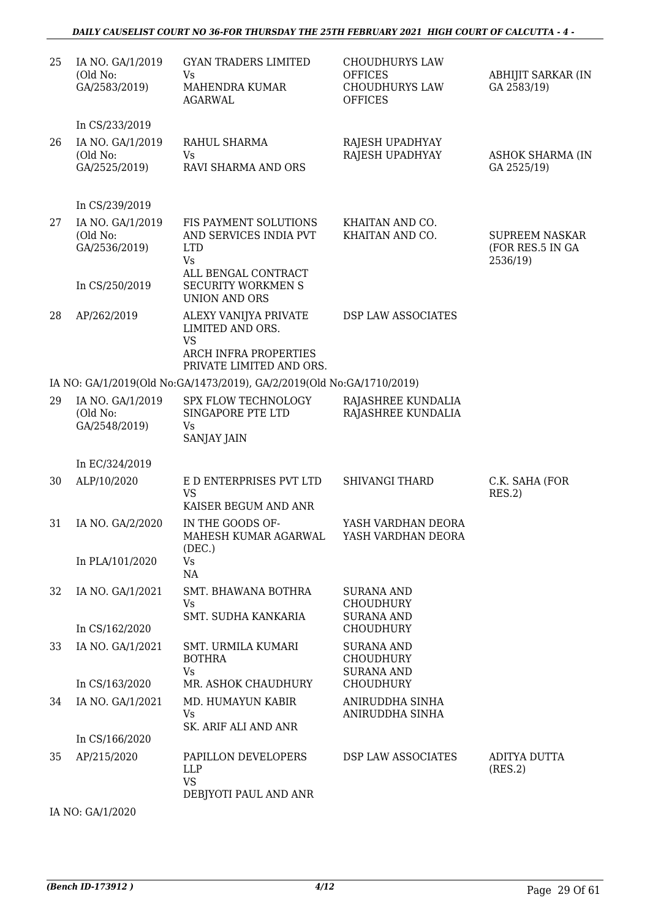### *DAILY CAUSELIST COURT NO 36-FOR THURSDAY THE 25TH FEBRUARY 2021 HIGH COURT OF CALCUTTA - 4 -*

| 25 | IA NO. GA/1/2019<br>(Old No:<br>GA/2583/2019) | <b>GYAN TRADERS LIMITED</b><br>Vs<br>MAHENDRA KUMAR<br><b>AGARWAL</b>                      | <b>CHOUDHURYS LAW</b><br><b>OFFICES</b><br><b>CHOUDHURYS LAW</b><br><b>OFFICES</b> | <b>ABHIJIT SARKAR (IN</b><br>GA 2583/19)              |
|----|-----------------------------------------------|--------------------------------------------------------------------------------------------|------------------------------------------------------------------------------------|-------------------------------------------------------|
|    | In CS/233/2019                                |                                                                                            |                                                                                    |                                                       |
| 26 | IA NO. GA/1/2019<br>(Old No:<br>GA/2525/2019) | RAHUL SHARMA<br>Vs<br>RAVI SHARMA AND ORS                                                  | RAJESH UPADHYAY<br>RAJESH UPADHYAY                                                 | <b>ASHOK SHARMA (IN</b><br>GA 2525/19)                |
|    | In CS/239/2019                                |                                                                                            |                                                                                    |                                                       |
| 27 | IA NO. GA/1/2019<br>(Old No:<br>GA/2536/2019) | FIS PAYMENT SOLUTIONS<br>AND SERVICES INDIA PVT<br><b>LTD</b><br>Vs<br>ALL BENGAL CONTRACT | KHAITAN AND CO.<br>KHAITAN AND CO.                                                 | <b>SUPREEM NASKAR</b><br>(FOR RES.5 IN GA<br>2536/19) |
|    | In CS/250/2019                                | <b>SECURITY WORKMEN S</b><br><b>UNION AND ORS</b>                                          |                                                                                    |                                                       |
| 28 | AP/262/2019                                   | ALEXY VANIJYA PRIVATE<br>LIMITED AND ORS.<br><b>VS</b>                                     | DSP LAW ASSOCIATES                                                                 |                                                       |
|    |                                               | <b>ARCH INFRA PROPERTIES</b><br>PRIVATE LIMITED AND ORS.                                   |                                                                                    |                                                       |
|    |                                               | IA NO: GA/1/2019(Old No:GA/1473/2019), GA/2/2019(Old No:GA/1710/2019)                      |                                                                                    |                                                       |
| 29 | IA NO. GA/1/2019<br>(Old No:<br>GA/2548/2019) | SPX FLOW TECHNOLOGY<br>SINGAPORE PTE LTD<br>Vs<br><b>SANJAY JAIN</b>                       | RAJASHREE KUNDALIA<br>RAJASHREE KUNDALIA                                           |                                                       |
|    | In EC/324/2019                                |                                                                                            |                                                                                    |                                                       |
| 30 | ALP/10/2020                                   | E D ENTERPRISES PVT LTD<br><b>VS</b><br>KAISER BEGUM AND ANR                               | <b>SHIVANGI THARD</b>                                                              | C.K. SAHA (FOR<br>RES.2)                              |
| 31 | IA NO. GA/2/2020                              | IN THE GOODS OF-<br>MAHESH KUMAR AGARWAL<br>(DEC.)                                         | YASH VARDHAN DEORA<br>YASH VARDHAN DEORA                                           |                                                       |
|    | In PLA/101/2020                               | Vs<br>NA                                                                                   |                                                                                    |                                                       |
| 32 | IA NO. GA/1/2021                              | SMT. BHAWANA BOTHRA<br>Vs<br>SMT. SUDHA KANKARIA                                           | <b>SURANA AND</b><br><b>CHOUDHURY</b><br><b>SURANA AND</b>                         |                                                       |
|    | In CS/162/2020                                |                                                                                            | <b>CHOUDHURY</b>                                                                   |                                                       |
| 33 | IA NO. GA/1/2021                              | <b>SMT. URMILA KUMARI</b><br><b>BOTHRA</b><br>Vs                                           | <b>SURANA AND</b><br><b>CHOUDHURY</b><br><b>SURANA AND</b>                         |                                                       |
|    | In CS/163/2020                                | MR. ASHOK CHAUDHURY                                                                        | <b>CHOUDHURY</b>                                                                   |                                                       |
| 34 | IA NO. GA/1/2021                              | MD. HUMAYUN KABIR<br>Vs<br>SK. ARIF ALI AND ANR                                            | ANIRUDDHA SINHA<br>ANIRUDDHA SINHA                                                 |                                                       |
|    | In CS/166/2020                                |                                                                                            |                                                                                    |                                                       |
| 35 | AP/215/2020                                   | PAPILLON DEVELOPERS<br>LLP<br><b>VS</b><br>DEBJYOTI PAUL AND ANR                           | DSP LAW ASSOCIATES                                                                 | ADITYA DUTTA<br>(RES.2)                               |

IA NO: GA/1/2020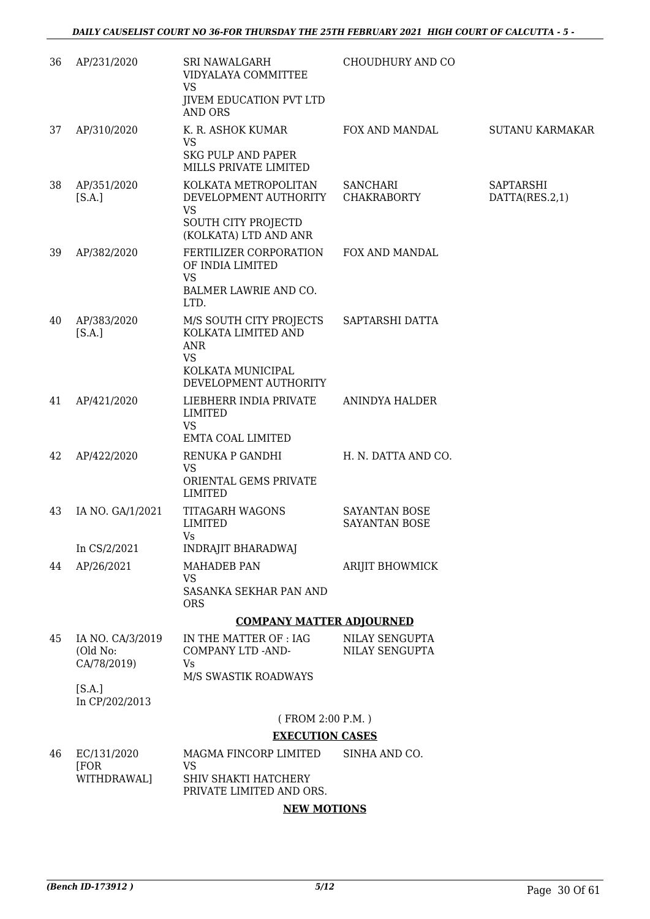| 36 | AP/231/2020                                 | SRI NAWALGARH<br>VIDYALAYA COMMITTEE<br><b>VS</b><br>JIVEM EDUCATION PVT LTD<br><b>AND ORS</b>                          | CHOUDHURY AND CO                             |                                    |
|----|---------------------------------------------|-------------------------------------------------------------------------------------------------------------------------|----------------------------------------------|------------------------------------|
| 37 | AP/310/2020                                 | K. R. ASHOK KUMAR<br><b>VS</b>                                                                                          | FOX AND MANDAL                               | SUTANU KARMAKAR                    |
|    |                                             | <b>SKG PULP AND PAPER</b><br><b>MILLS PRIVATE LIMITED</b>                                                               |                                              |                                    |
| 38 | AP/351/2020<br>[S.A.]                       | KOLKATA METROPOLITAN<br>DEVELOPMENT AUTHORITY<br><b>VS</b>                                                              | <b>SANCHARI</b><br><b>CHAKRABORTY</b>        | <b>SAPTARSHI</b><br>DATTA(RES.2,1) |
|    |                                             | SOUTH CITY PROJECTD<br>(KOLKATA) LTD AND ANR                                                                            |                                              |                                    |
| 39 | AP/382/2020                                 | FERTILIZER CORPORATION<br>OF INDIA LIMITED<br><b>VS</b><br>BALMER LAWRIE AND CO.<br>LTD.                                | FOX AND MANDAL                               |                                    |
| 40 | AP/383/2020<br>[S.A.]                       | M/S SOUTH CITY PROJECTS<br>KOLKATA LIMITED AND<br><b>ANR</b><br><b>VS</b><br>KOLKATA MUNICIPAL<br>DEVELOPMENT AUTHORITY | SAPTARSHI DATTA                              |                                    |
| 41 | AP/421/2020                                 | LIEBHERR INDIA PRIVATE<br>LIMITED<br><b>VS</b><br>EMTA COAL LIMITED                                                     | ANINDYA HALDER                               |                                    |
| 42 | AP/422/2020                                 | RENUKA P GANDHI<br><b>VS</b><br>ORIENTAL GEMS PRIVATE<br><b>LIMITED</b>                                                 | H. N. DATTA AND CO.                          |                                    |
| 43 | IA NO. GA/1/2021                            | TITAGARH WAGONS<br>LIMITED<br>Vs                                                                                        | <b>SAYANTAN BOSE</b><br><b>SAYANTAN BOSE</b> |                                    |
|    | In CS/2/2021                                | <b>INDRAJIT BHARADWAJ</b>                                                                                               |                                              |                                    |
| 44 | AP/26/2021                                  | <b>MAHADEB PAN</b><br>VS<br>SASANKA SEKHAR PAN AND<br><b>ORS</b>                                                        | ARIJIT BHOWMICK                              |                                    |
|    |                                             | <b>COMPANY MATTER ADJOURNED</b>                                                                                         |                                              |                                    |
| 45 | IA NO. CA/3/2019<br>(Old No:<br>CA/78/2019) | IN THE MATTER OF : IAG<br>COMPANY LTD -AND-<br>Vs<br>M/S SWASTIK ROADWAYS                                               | NILAY SENGUPTA<br>NILAY SENGUPTA             |                                    |
|    | [S.A.]<br>In CP/202/2013                    |                                                                                                                         |                                              |                                    |
|    |                                             | (FROM 2:00 P.M.)                                                                                                        |                                              |                                    |
|    |                                             | <b>EXECUTION CASES</b>                                                                                                  |                                              |                                    |
| 46 | EC/131/2020<br>[FOR                         | MAGMA FINCORP LIMITED<br>VS                                                                                             | SINHA AND CO.                                |                                    |
|    | WITHDRAWAL]                                 | SHIV SHAKTI HATCHERY<br>PRIVATE LIMITED AND ORS.                                                                        |                                              |                                    |
|    |                                             | <b>NEW MOTIONS</b>                                                                                                      |                                              |                                    |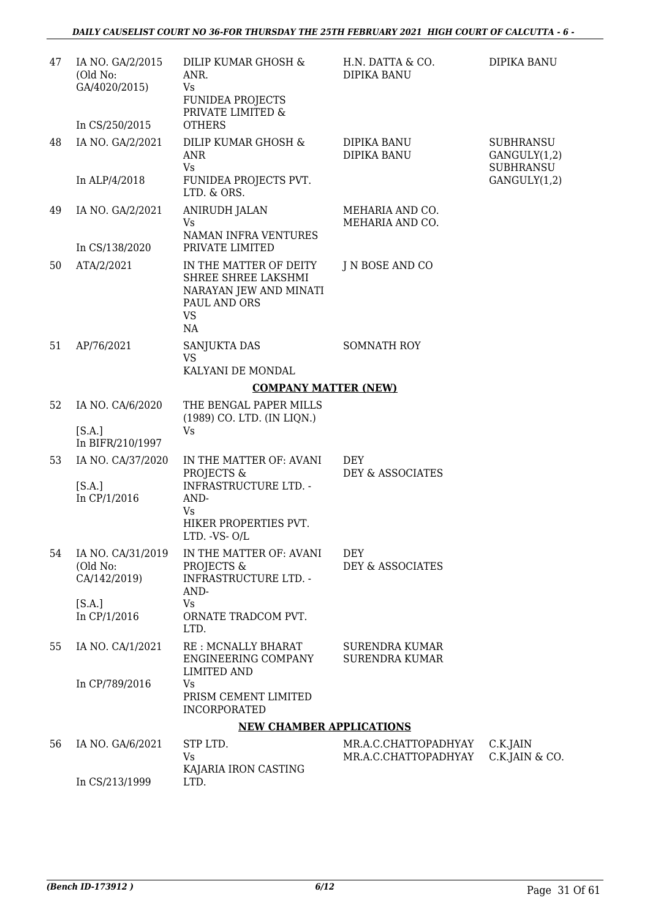| 47 | IA NO. GA/2/2015<br>(Old No:<br>GA/4020/2015)  | DILIP KUMAR GHOSH &<br>ANR.<br>Vs<br><b>FUNIDEA PROJECTS</b><br>PRIVATE LIMITED &                          | H.N. DATTA & CO.<br><b>DIPIKA BANU</b>       | DIPIKA BANU                                                          |
|----|------------------------------------------------|------------------------------------------------------------------------------------------------------------|----------------------------------------------|----------------------------------------------------------------------|
|    | In CS/250/2015                                 | <b>OTHERS</b>                                                                                              |                                              |                                                                      |
| 48 | IA NO. GA/2/2021<br>In ALP/4/2018              | DILIP KUMAR GHOSH &<br>ANR<br>Vs<br>FUNIDEA PROJECTS PVT.                                                  | DIPIKA BANU<br>DIPIKA BANU                   | <b>SUBHRANSU</b><br>GANGULY(1,2)<br><b>SUBHRANSU</b><br>GANGULY(1,2) |
|    |                                                | LTD. & ORS.                                                                                                |                                              |                                                                      |
| 49 | IA NO. GA/2/2021<br>In CS/138/2020             | <b>ANIRUDH JALAN</b><br>Vs<br>NAMAN INFRA VENTURES<br>PRIVATE LIMITED                                      | MEHARIA AND CO.<br>MEHARIA AND CO.           |                                                                      |
| 50 | ATA/2/2021                                     | IN THE MATTER OF DEITY<br>SHREE SHREE LAKSHMI<br>NARAYAN JEW AND MINATI<br>PAUL AND ORS<br><b>VS</b><br>NA | J N BOSE AND CO                              |                                                                      |
| 51 | AP/76/2021                                     | <b>SANJUKTA DAS</b><br><b>VS</b><br>KALYANI DE MONDAL                                                      | <b>SOMNATH ROY</b>                           |                                                                      |
|    |                                                | <b>COMPANY MATTER (NEW)</b>                                                                                |                                              |                                                                      |
| 52 |                                                | THE BENGAL PAPER MILLS                                                                                     |                                              |                                                                      |
|    | IA NO. CA/6/2020<br>[S.A.]<br>In BIFR/210/1997 | (1989) CO. LTD. (IN LIQN.)<br>Vs                                                                           |                                              |                                                                      |
| 53 | IA NO. CA/37/2020<br>[S.A.]<br>In CP/1/2016    | IN THE MATTER OF: AVANI<br>PROJECTS &<br><b>INFRASTRUCTURE LTD. -</b><br>AND-                              | <b>DEY</b><br>DEY & ASSOCIATES               |                                                                      |
|    |                                                | Vs<br>HIKER PROPERTIES PVT.<br>$LTD.$ -VS- $O/L$                                                           |                                              |                                                                      |
| 54 | IA NO. CA/31/2019<br>(Old No:<br>CA/142/2019)  | IN THE MATTER OF: AVANI<br>PROJECTS &<br><b>INFRASTRUCTURE LTD. -</b><br>AND-                              | <b>DEY</b><br>DEY & ASSOCIATES               |                                                                      |
|    | [S.A.]<br>In CP/1/2016                         | Vs<br>ORNATE TRADCOM PVT.<br>LTD.                                                                          |                                              |                                                                      |
| 55 | IA NO. CA/1/2021                               | RE : MCNALLY BHARAT<br>ENGINEERING COMPANY<br><b>LIMITED AND</b>                                           | SURENDRA KUMAR<br><b>SURENDRA KUMAR</b>      |                                                                      |
|    | In CP/789/2016                                 | Vs<br>PRISM CEMENT LIMITED<br><b>INCORPORATED</b>                                                          |                                              |                                                                      |
|    |                                                | <b>NEW CHAMBER APPLICATIONS</b>                                                                            |                                              |                                                                      |
| 56 | IA NO. GA/6/2021                               | STP LTD.<br>Vs                                                                                             | MR.A.C.CHATTOPADHYAY<br>MR.A.C.CHATTOPADHYAY | C.K.JAIN<br>C.K.JAIN & CO.                                           |
|    | In CS/213/1999                                 | KAJARIA IRON CASTING<br>LTD.                                                                               |                                              |                                                                      |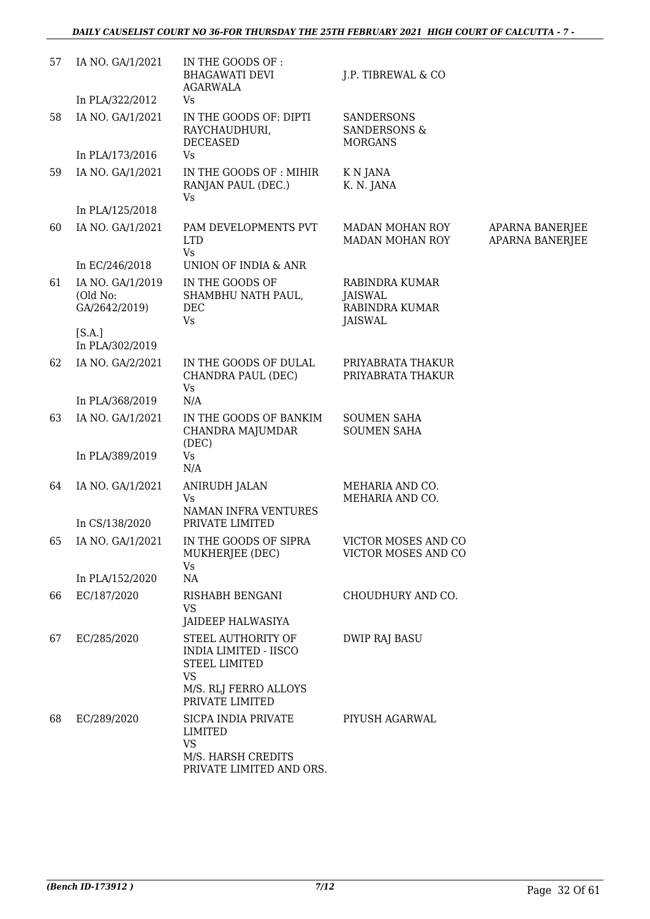### *DAILY CAUSELIST COURT NO 36-FOR THURSDAY THE 25TH FEBRUARY 2021 HIGH COURT OF CALCUTTA - 7 -*

| 57 | IA NO. GA/1/2021                              | IN THE GOODS OF :<br><b>BHAGAWATI DEVI</b><br><b>AGARWALA</b>             | J.P. TIBREWAL & CO                                                   |                                    |
|----|-----------------------------------------------|---------------------------------------------------------------------------|----------------------------------------------------------------------|------------------------------------|
|    | In PLA/322/2012                               | Vs                                                                        |                                                                      |                                    |
| 58 | IA NO. GA/1/2021                              | IN THE GOODS OF: DIPTI<br>RAYCHAUDHURI,<br><b>DECEASED</b>                | <b>SANDERSONS</b><br><b>SANDERSONS &amp;</b><br><b>MORGANS</b>       |                                    |
|    | In PLA/173/2016                               | Vs                                                                        |                                                                      |                                    |
| 59 | IA NO. GA/1/2021                              | IN THE GOODS OF: MIHIR<br>RANJAN PAUL (DEC.)<br>Vs                        | K N JANA<br>K. N. JANA                                               |                                    |
|    | In PLA/125/2018                               |                                                                           |                                                                      |                                    |
| 60 | IA NO. GA/1/2021                              | PAM DEVELOPMENTS PVT<br><b>LTD</b><br>Vs                                  | MADAN MOHAN ROY<br>MADAN MOHAN ROY                                   | APARNA BANERJEE<br>APARNA BANERJEE |
|    | In EC/246/2018                                | UNION OF INDIA & ANR                                                      |                                                                      |                                    |
| 61 | IA NO. GA/1/2019<br>(Old No:<br>GA/2642/2019) | IN THE GOODS OF<br>SHAMBHU NATH PAUL,<br>DEC<br>Vs                        | RABINDRA KUMAR<br><b>JAISWAL</b><br>RABINDRA KUMAR<br><b>JAISWAL</b> |                                    |
|    | [S.A.]<br>In PLA/302/2019                     |                                                                           |                                                                      |                                    |
| 62 | IA NO. GA/2/2021                              | IN THE GOODS OF DULAL<br>CHANDRA PAUL (DEC)<br>Vs                         | PRIYABRATA THAKUR<br>PRIYABRATA THAKUR                               |                                    |
|    | In PLA/368/2019                               | N/A                                                                       |                                                                      |                                    |
| 63 | IA NO. GA/1/2021                              | IN THE GOODS OF BANKIM<br>CHANDRA MAJUMDAR<br>(DEC)                       | <b>SOUMEN SAHA</b><br><b>SOUMEN SAHA</b>                             |                                    |
|    | In PLA/389/2019                               | Vs<br>N/A                                                                 |                                                                      |                                    |
| 64 | IA NO. GA/1/2021                              | <b>ANIRUDH JALAN</b><br><b>Vs</b><br>NAMAN INFRA VENTURES                 | MEHARIA AND CO.<br>MEHARIA AND CO.                                   |                                    |
|    | In CS/138/2020                                | PRIVATE LIMITED                                                           |                                                                      |                                    |
| 65 | IA NO. GA/1/2021                              | IN THE GOODS OF SIPRA<br>MUKHERJEE (DEC)<br>Vs                            | VICTOR MOSES AND CO<br>VICTOR MOSES AND CO                           |                                    |
|    | In PLA/152/2020                               | NA                                                                        |                                                                      |                                    |
| 66 | EC/187/2020                                   | RISHABH BENGANI<br><b>VS</b><br>JAIDEEP HALWASIYA                         | CHOUDHURY AND CO.                                                    |                                    |
| 67 | EC/285/2020                                   | STEEL AUTHORITY OF<br>INDIA LIMITED - IISCO<br>STEEL LIMITED<br><b>VS</b> | <b>DWIP RAJ BASU</b>                                                 |                                    |
|    |                                               | M/S. RLJ FERRO ALLOYS<br>PRIVATE LIMITED                                  |                                                                      |                                    |
| 68 | EC/289/2020                                   | SICPA INDIA PRIVATE<br><b>LIMITED</b><br>VS                               | PIYUSH AGARWAL                                                       |                                    |
|    |                                               | M/S. HARSH CREDITS<br>PRIVATE LIMITED AND ORS.                            |                                                                      |                                    |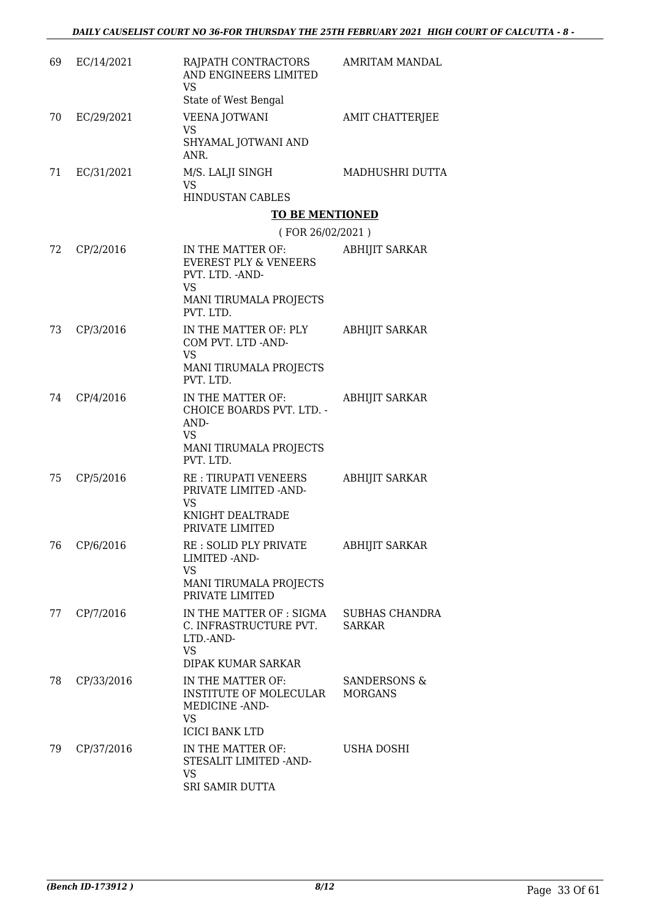| 69 | EC/14/2021 | RAJPATH CONTRACTORS<br>AND ENGINEERS LIMITED<br>VS<br>State of West Bengal                                | <b>AMRITAM MANDAL</b>                  |
|----|------------|-----------------------------------------------------------------------------------------------------------|----------------------------------------|
| 70 | EC/29/2021 | VEENA JOTWANI                                                                                             | AMIT CHATTERJEE                        |
|    |            | VS<br>SHYAMAL JOTWANI AND<br>ANR.                                                                         |                                        |
| 71 | EC/31/2021 | M/S. LALJI SINGH<br>VS                                                                                    | MADHUSHRI DUTTA                        |
|    |            | <b>HINDUSTAN CABLES</b><br><b>TO BE MENTIONED</b>                                                         |                                        |
|    |            | (FOR 26/02/2021)                                                                                          |                                        |
| 72 | CP/2/2016  | IN THE MATTER OF:<br><b>EVEREST PLY &amp; VENEERS</b><br>PVT. LTD. - AND-<br>VS<br>MANI TIRUMALA PROJECTS | ABHIJIT SARKAR                         |
|    |            | PVT. LTD.                                                                                                 |                                        |
| 73 | CP/3/2016  | IN THE MATTER OF: PLY<br>COM PVT. LTD -AND-<br><b>VS</b><br>MANI TIRUMALA PROJECTS<br>PVT. LTD.           | ABHIJIT SARKAR                         |
| 74 | CP/4/2016  | IN THE MATTER OF:                                                                                         | <b>ABHIJIT SARKAR</b>                  |
|    |            | CHOICE BOARDS PVT. LTD. -<br>AND-<br><b>VS</b><br>MANI TIRUMALA PROJECTS<br>PVT. LTD.                     |                                        |
| 75 | CP/5/2016  | RE : TIRUPATI VENEERS<br>PRIVATE LIMITED -AND-<br>VS<br>KNIGHT DEALTRADE                                  | <b>ABHIJIT SARKAR</b>                  |
|    |            | PRIVATE LIMITED                                                                                           |                                        |
| 76 | CP/6/2016  | RE : SOLID PLY PRIVATE<br><b>LIMITED - AND-</b><br>VS<br>MANI TIRUMALA PROJECTS<br>PRIVATE LIMITED        | ABHIJIT SARKAR                         |
| 77 | CP/7/2016  | IN THE MATTER OF : SIGMA<br>C. INFRASTRUCTURE PVT.<br>LTD.-AND-<br><b>VS</b><br><b>DIPAK KUMAR SARKAR</b> | <b>SUBHAS CHANDRA</b><br><b>SARKAR</b> |
| 78 | CP/33/2016 | IN THE MATTER OF:<br>INSTITUTE OF MOLECULAR<br>MEDICINE - AND-<br><b>VS</b>                               | SANDERSONS &<br><b>MORGANS</b>         |
|    |            | <b>ICICI BANK LTD</b>                                                                                     |                                        |
| 79 | CP/37/2016 | IN THE MATTER OF:<br>STESALIT LIMITED -AND-<br>VS<br>SRI SAMIR DUTTA                                      | USHA DOSHI                             |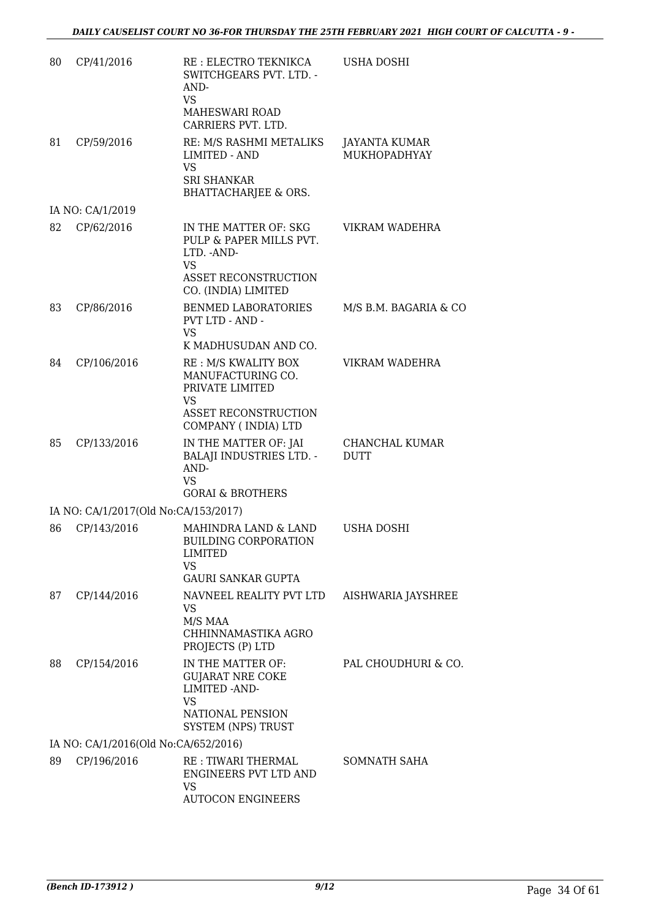| 80 | CP/41/2016                           | RE : ELECTRO TEKNIKCA<br>SWITCHGEARS PVT. LTD. -<br>AND-<br><b>VS</b>                                                 | <b>USHA DOSHI</b>             |
|----|--------------------------------------|-----------------------------------------------------------------------------------------------------------------------|-------------------------------|
|    |                                      | MAHESWARI ROAD<br>CARRIERS PVT. LTD.                                                                                  |                               |
| 81 | CP/59/2016                           | RE: M/S RASHMI METALIKS<br><b>LIMITED - AND</b><br><b>VS</b><br><b>SRI SHANKAR</b><br><b>BHATTACHARJEE &amp; ORS.</b> | JAYANTA KUMAR<br>MUKHOPADHYAY |
|    | IA NO: CA/1/2019                     |                                                                                                                       |                               |
| 82 | CP/62/2016                           | IN THE MATTER OF: SKG<br>PULP & PAPER MILLS PVT.<br>LTD. - AND-<br>VS<br>ASSET RECONSTRUCTION<br>CO. (INDIA) LIMITED  | VIKRAM WADEHRA                |
| 83 | CP/86/2016                           | BENMED LABORATORIES<br>PVT LTD - AND -<br><b>VS</b><br>K MADHUSUDAN AND CO.                                           | M/S B.M. BAGARIA & CO         |
| 84 | CP/106/2016                          | RE : M/S KWALITY BOX<br>MANUFACTURING CO.<br>PRIVATE LIMITED<br>VS.<br>ASSET RECONSTRUCTION<br>COMPANY (INDIA) LTD    | VIKRAM WADEHRA                |
| 85 | CP/133/2016                          | IN THE MATTER OF: JAI<br><b>BALAJI INDUSTRIES LTD. -</b><br>AND-<br>VS.<br><b>GORAI &amp; BROTHERS</b>                | CHANCHAL KUMAR<br><b>DUTT</b> |
|    | IA NO: CA/1/2017(Old No:CA/153/2017) |                                                                                                                       |                               |
| 86 | CP/143/2016                          | MAHINDRA LAND & LAND<br><b>BUILDING CORPORATION</b><br>LIMITED<br>VS<br><b>GAURI SANKAR GUPTA</b>                     | <b>USHA DOSHI</b>             |
| 87 | CP/144/2016                          | NAVNEEL REALITY PVT LTD<br>VS.<br>M/S MAA<br>CHHINNAMASTIKA AGRO<br>PROJECTS (P) LTD                                  | AISHWARIA JAYSHREE            |
| 88 | CP/154/2016                          | IN THE MATTER OF:<br><b>GUJARAT NRE COKE</b><br>LIMITED - AND-<br>VS<br>NATIONAL PENSION<br><b>SYSTEM (NPS) TRUST</b> | PAL CHOUDHURI & CO.           |
|    | IA NO: CA/1/2016(Old No:CA/652/2016) |                                                                                                                       |                               |
| 89 | CP/196/2016                          | RE: TIWARI THERMAL<br>ENGINEERS PVT LTD AND<br>VS<br><b>AUTOCON ENGINEERS</b>                                         | SOMNATH SAHA                  |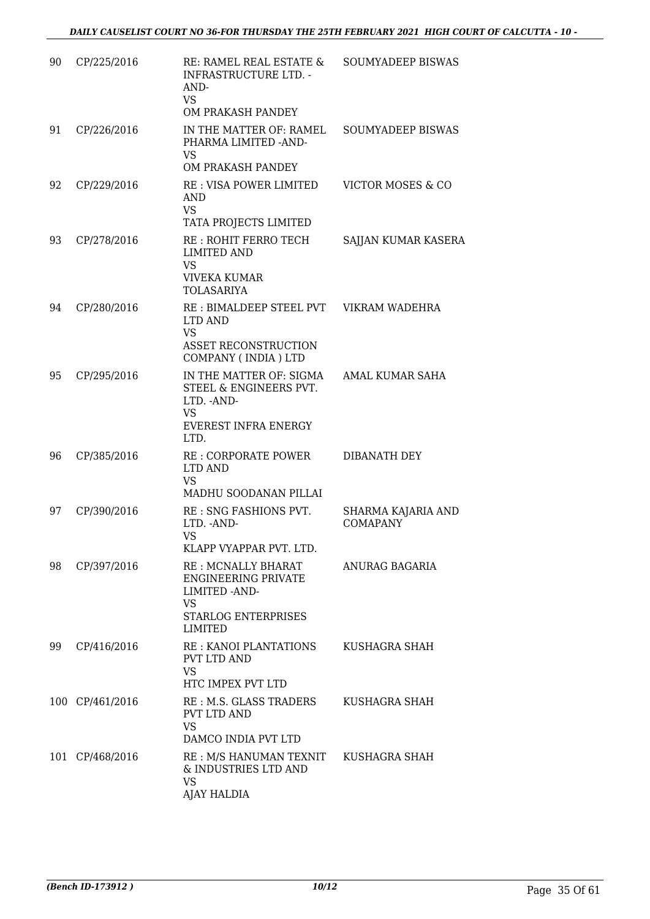| 90  | CP/225/2016     | RE: RAMEL REAL ESTATE &<br><b>INFRASTRUCTURE LTD. -</b><br>AND-<br><b>VS</b><br>OM PRAKASH PANDEY                                                  | <b>SOUMYADEEP BISWAS</b>       |
|-----|-----------------|----------------------------------------------------------------------------------------------------------------------------------------------------|--------------------------------|
| 91  | CP/226/2016     | IN THE MATTER OF: RAMEL<br>PHARMA LIMITED -AND-<br>VS<br>OM PRAKASH PANDEY                                                                         | <b>SOUMYADEEP BISWAS</b>       |
| 92  | CP/229/2016     | RE : VISA POWER LIMITED<br><b>AND</b><br><b>VS</b><br>TATA PROJECTS LIMITED                                                                        | VICTOR MOSES & CO              |
| 93  | CP/278/2016     | RE: ROHIT FERRO TECH<br><b>LIMITED AND</b><br>VS<br><b>VIVEKA KUMAR</b><br><b>TOLASARIYA</b>                                                       | SAJJAN KUMAR KASERA            |
| 94  | CP/280/2016     | RE : BIMALDEEP STEEL PVT<br>LTD AND<br><b>VS</b>                                                                                                   | VIKRAM WADEHRA                 |
|     |                 | <b>ASSET RECONSTRUCTION</b><br>COMPANY (INDIA) LTD                                                                                                 |                                |
| 95  | CP/295/2016     | IN THE MATTER OF: SIGMA<br>STEEL & ENGINEERS PVT.<br>LTD. - AND-<br><b>VS</b><br>EVEREST INFRA ENERGY<br>LTD.                                      | AMAL KUMAR SAHA                |
| 96  | CP/385/2016     | RE : CORPORATE POWER<br>LTD AND<br>VS.<br>MADHU SOODANAN PILLAI                                                                                    | DIBANATH DEY                   |
| 97  | CP/390/2016     | RE: SNG FASHIONS PVT.<br>LTD. - AND-<br>VS                                                                                                         | SHARMA KAJARIA AND<br>COMAPANY |
| 98  | CP/397/2016     | KLAPP VYAPPAR PVT. LTD.<br>RE: MCNALLY BHARAT<br><b>ENGINEERING PRIVATE</b><br><b>LIMITED -AND-</b><br>VS<br><b>STARLOG ENTERPRISES</b><br>LIMITED | ANURAG BAGARIA                 |
| 99  | CP/416/2016     | RE : KANOI PLANTATIONS<br>PVT LTD AND<br><b>VS</b><br>HTC IMPEX PVT LTD                                                                            | KUSHAGRA SHAH                  |
|     | 100 CP/461/2016 | RE : M.S. GLASS TRADERS<br>PVT LTD AND<br>VS.<br>DAMCO INDIA PVT LTD                                                                               | KUSHAGRA SHAH                  |
| 101 | CP/468/2016     | RE : M/S HANUMAN TEXNIT<br>& INDUSTRIES LTD AND<br><b>VS</b><br><b>AJAY HALDIA</b>                                                                 | KUSHAGRA SHAH                  |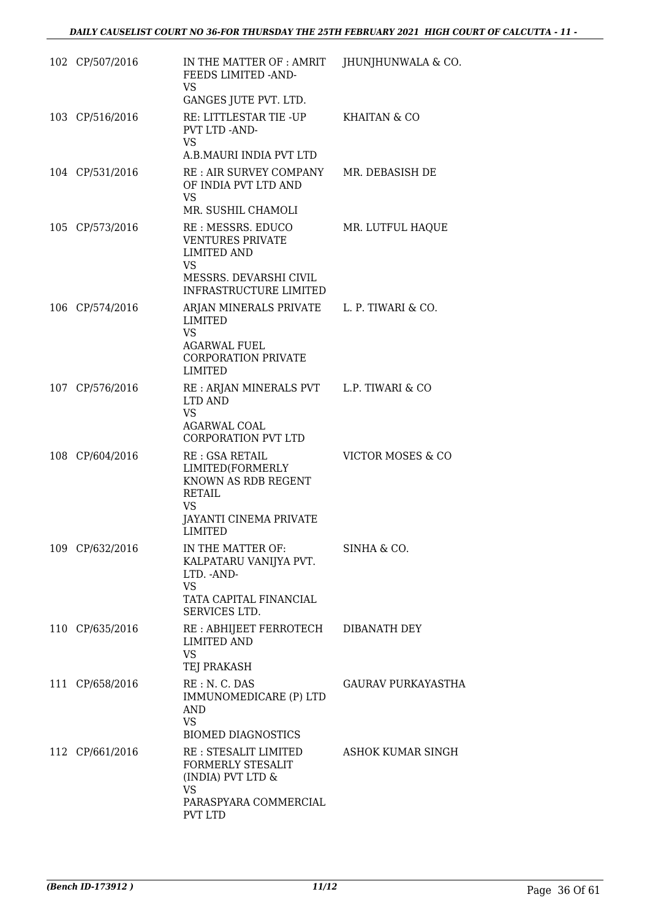| 102 CP/507/2016 | IN THE MATTER OF : AMRIT<br>FEEDS LIMITED -AND-<br>VS                                                                                                             | JHUNJHUNWALA & CO.        |
|-----------------|-------------------------------------------------------------------------------------------------------------------------------------------------------------------|---------------------------|
| 103 CP/516/2016 | GANGES JUTE PVT. LTD.<br>RE: LITTLESTAR TIE -UP<br>PVT LTD -AND-<br><b>VS</b>                                                                                     | <b>KHAITAN &amp; CO</b>   |
| 104 CP/531/2016 | A.B.MAURI INDIA PVT LTD<br>RE : AIR SURVEY COMPANY<br>OF INDIA PVT LTD AND<br>VS                                                                                  | MR. DEBASISH DE           |
| 105 CP/573/2016 | MR. SUSHIL CHAMOLI<br>RE : MESSRS. EDUCO<br><b>VENTURES PRIVATE</b><br><b>LIMITED AND</b><br><b>VS</b><br>MESSRS. DEVARSHI CIVIL<br><b>INFRASTRUCTURE LIMITED</b> | MR. LUTFUL HAQUE          |
| 106 CP/574/2016 | ARJAN MINERALS PRIVATE L. P. TIWARI & CO.<br><b>LIMITED</b><br><b>VS</b><br><b>AGARWAL FUEL</b><br><b>CORPORATION PRIVATE</b><br><b>LIMITED</b>                   |                           |
| 107 CP/576/2016 | RE : ARJAN MINERALS PVT L.P. TIWARI & CO<br><b>LTD AND</b><br><b>VS</b><br>AGARWAL COAL<br><b>CORPORATION PVT LTD</b>                                             |                           |
| 108 CP/604/2016 | <b>RE: GSA RETAIL</b><br>LIMITED(FORMERLY<br>KNOWN AS RDB REGENT<br><b>RETAIL</b><br>VS<br>JAYANTI CINEMA PRIVATE<br><b>LIMITED</b>                               | VICTOR MOSES & CO         |
| 109 CP/632/2016 | IN THE MATTER OF:<br>KALPATARU VANIJYA PVT.<br>LTD. - AND-<br>VS<br>TATA CAPITAL FINANCIAL<br>SERVICES LTD.                                                       | SINHA & CO.               |
| 110 CP/635/2016 | RE : ABHIJEET FERROTECH DIBANATH DEY<br><b>LIMITED AND</b><br><b>VS</b><br>TEJ PRAKASH                                                                            |                           |
| 111 CP/658/2016 | RE: N. C. DAS<br>IMMUNOMEDICARE (P) LTD<br><b>AND</b><br><b>VS</b><br><b>BIOMED DIAGNOSTICS</b>                                                                   | <b>GAURAV PURKAYASTHA</b> |
| 112 CP/661/2016 | RE : STESALIT LIMITED<br>FORMERLY STESALIT<br>(INDIA) PVT LTD &<br><b>VS</b><br>PARASPYARA COMMERCIAL<br>PVT LTD                                                  | ASHOK KUMAR SINGH         |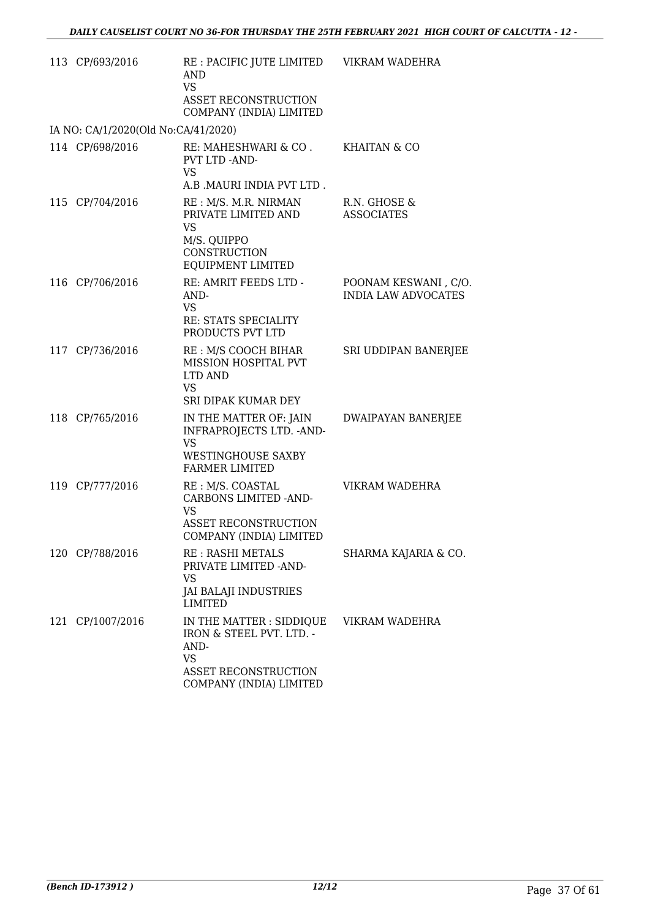| 113 CP/693/2016                     | RE : PACIFIC JUTE LIMITED<br>AND<br><b>VS</b><br><b>ASSET RECONSTRUCTION</b><br>COMPANY (INDIA) LIMITED                      | VIKRAM WADEHRA                                     |
|-------------------------------------|------------------------------------------------------------------------------------------------------------------------------|----------------------------------------------------|
| IA NO: CA/1/2020(Old No:CA/41/2020) |                                                                                                                              |                                                    |
| 114 CP/698/2016                     | RE: MAHESHWARI & CO .<br>PVT LTD -AND-<br><b>VS</b><br>A.B .MAURI INDIA PVT LTD.                                             | KHAITAN & CO                                       |
| 115 CP/704/2016                     | RE : M/S. M.R. NIRMAN<br>PRIVATE LIMITED AND<br><b>VS</b><br>M/S. QUIPPO<br>CONSTRUCTION<br>EQUIPMENT LIMITED                | R.N. GHOSE &<br><b>ASSOCIATES</b>                  |
| 116 CP/706/2016                     | RE: AMRIT FEEDS LTD -<br>AND-<br><b>VS</b><br>RE: STATS SPECIALITY<br>PRODUCTS PVT LTD                                       | POONAM KESWANI, C/O.<br><b>INDIA LAW ADVOCATES</b> |
| 117 CP/736/2016                     | RE : M/S COOCH BIHAR<br>MISSION HOSPITAL PVT<br>LTD AND<br><b>VS</b><br>SRI DIPAK KUMAR DEY                                  | SRI UDDIPAN BANERJEE                               |
| 118 CP/765/2016                     | IN THE MATTER OF: JAIN<br>INFRAPROJECTS LTD. - AND-<br>VS<br>WESTINGHOUSE SAXBY<br><b>FARMER LIMITED</b>                     | <b>DWAIPAYAN BANERJEE</b>                          |
| 119 CP/777/2016                     | RE : M/S. COASTAL<br><b>CARBONS LIMITED -AND-</b><br><b>VS</b><br>ASSET RECONSTRUCTION<br>COMPANY (INDIA) LIMITED            | VIKRAM WADEHRA                                     |
| 120 CP/788/2016                     | RE: RASHI METALS<br>PRIVATE LIMITED - AND-<br>VS<br><b>JAI BALAJI INDUSTRIES</b><br><b>LIMITED</b>                           | SHARMA KAJARIA & CO.                               |
| 121 CP/1007/2016                    | IN THE MATTER : SIDDIQUE<br>IRON & STEEL PVT. LTD. -<br>AND-<br>VS<br><b>ASSET RECONSTRUCTION</b><br>COMPANY (INDIA) LIMITED | VIKRAM WADEHRA                                     |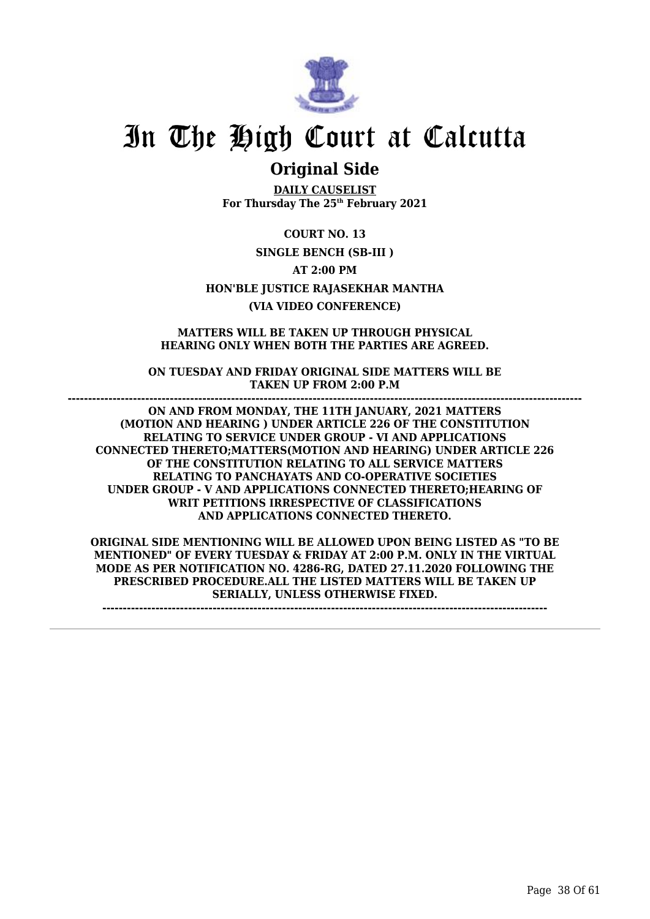

### **Original Side**

**DAILY CAUSELIST For Thursday The 25th February 2021**

**COURT NO. 13 SINGLE BENCH (SB-III ) AT 2:00 PM HON'BLE JUSTICE RAJASEKHAR MANTHA (VIA VIDEO CONFERENCE)**

**MATTERS WILL BE TAKEN UP THROUGH PHYSICAL HEARING ONLY WHEN BOTH THE PARTIES ARE AGREED.**

**ON TUESDAY AND FRIDAY ORIGINAL SIDE MATTERS WILL BE TAKEN UP FROM 2:00 P.M**

**------------------------------------------------------------------------------------------------------------------------------**

**ON AND FROM MONDAY, THE 11TH JANUARY, 2021 MATTERS (MOTION AND HEARING ) UNDER ARTICLE 226 OF THE CONSTITUTION RELATING TO SERVICE UNDER GROUP - VI AND APPLICATIONS CONNECTED THERETO;MATTERS(MOTION AND HEARING) UNDER ARTICLE 226 OF THE CONSTITUTION RELATING TO ALL SERVICE MATTERS RELATING TO PANCHAYATS AND CO-OPERATIVE SOCIETIES UNDER GROUP - V AND APPLICATIONS CONNECTED THERETO;HEARING OF WRIT PETITIONS IRRESPECTIVE OF CLASSIFICATIONS AND APPLICATIONS CONNECTED THERETO.**

**ORIGINAL SIDE MENTIONING WILL BE ALLOWED UPON BEING LISTED AS "TO BE MENTIONED" OF EVERY TUESDAY & FRIDAY AT 2:00 P.M. ONLY IN THE VIRTUAL MODE AS PER NOTIFICATION NO. 4286-RG, DATED 27.11.2020 FOLLOWING THE PRESCRIBED PROCEDURE.ALL THE LISTED MATTERS WILL BE TAKEN UP SERIALLY, UNLESS OTHERWISE FIXED.**

**-------------------------------------------------------------------------------------------------------------**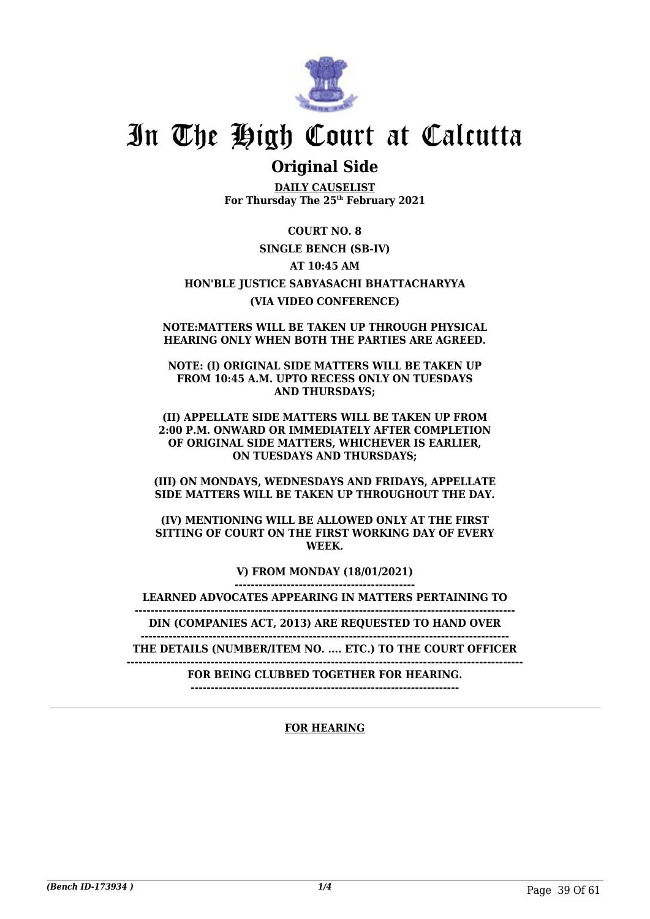

### **Original Side**

**DAILY CAUSELIST For Thursday The 25th February 2021**

### **COURT NO. 8**

### **SINGLE BENCH (SB-IV)**

### **AT 10:45 AM**

### **HON'BLE JUSTICE SABYASACHI BHATTACHARYYA (VIA VIDEO CONFERENCE)**

#### **NOTE:MATTERS WILL BE TAKEN UP THROUGH PHYSICAL HEARING ONLY WHEN BOTH THE PARTIES ARE AGREED.**

#### **NOTE: (I) ORIGINAL SIDE MATTERS WILL BE TAKEN UP FROM 10:45 A.M. UPTO RECESS ONLY ON TUESDAYS AND THURSDAYS;**

### **(II) APPELLATE SIDE MATTERS WILL BE TAKEN UP FROM 2:00 P.M. ONWARD OR IMMEDIATELY AFTER COMPLETION OF ORIGINAL SIDE MATTERS, WHICHEVER IS EARLIER, ON TUESDAYS AND THURSDAYS;**

### **(III) ON MONDAYS, WEDNESDAYS AND FRIDAYS, APPELLATE SIDE MATTERS WILL BE TAKEN UP THROUGHOUT THE DAY.**

### **(IV) MENTIONING WILL BE ALLOWED ONLY AT THE FIRST SITTING OF COURT ON THE FIRST WORKING DAY OF EVERY WEEK.**

**V) FROM MONDAY (18/01/2021)**

**---------------------------------------------**

**LEARNED ADVOCATES APPEARING IN MATTERS PERTAINING TO -----------------------------------------------------------------------------------------------**

**DIN (COMPANIES ACT, 2013) ARE REQUESTED TO HAND OVER**

**-------------------------------------------------------------------------------------------- THE DETAILS (NUMBER/ITEM NO. .... ETC.) TO THE COURT OFFICER**

**---------------------------------------------------------------------------------------------------**

**FOR BEING CLUBBED TOGETHER FOR HEARING.**

**-------------------------------------------------------------------**

### **FOR HEARING**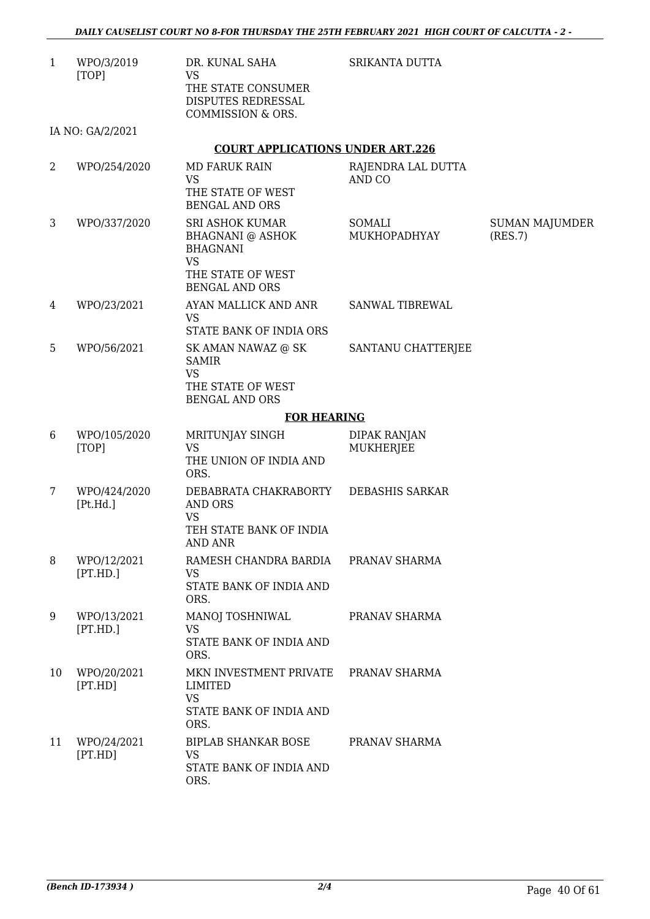SRIKANTA DUTTA

1 WPO/3/2019 [TOP] DR. KUNAL SAHA VS THE STATE CONSUMER DISPUTES REDRESSAL COMMISSION & ORS.

IA NO: GA/2/2021

### **COURT APPLICATIONS UNDER ART.226**

| $\overline{2}$ | WPO/254/2020             | <b>MD FARUK RAIN</b><br><b>VS</b><br>THE STATE OF WEST<br><b>BENGAL AND ORS</b>                                                 | RAJENDRA LAL DUTTA<br>AND CO     |                                  |
|----------------|--------------------------|---------------------------------------------------------------------------------------------------------------------------------|----------------------------------|----------------------------------|
| 3              | WPO/337/2020             | <b>SRI ASHOK KUMAR</b><br><b>BHAGNANI @ ASHOK</b><br><b>BHAGNANI</b><br><b>VS</b><br>THE STATE OF WEST<br><b>BENGAL AND ORS</b> | SOMALI<br>MUKHOPADHYAY           | <b>SUMAN MAJUMDER</b><br>(RES.7) |
| 4              | WPO/23/2021              | AYAN MALLICK AND ANR<br><b>VS</b><br>STATE BANK OF INDIA ORS                                                                    | <b>SANWAL TIBREWAL</b>           |                                  |
| 5              | WPO/56/2021              | SK AMAN NAWAZ @ SK<br><b>SAMIR</b><br><b>VS</b><br>THE STATE OF WEST<br><b>BENGAL AND ORS</b>                                   | SANTANU CHATTERJEE               |                                  |
|                |                          | <b>FOR HEARING</b>                                                                                                              |                                  |                                  |
| 6              | WPO/105/2020<br>[TOP]    | MRITUNJAY SINGH<br><b>VS</b><br>THE UNION OF INDIA AND<br>ORS.                                                                  | <b>DIPAK RANJAN</b><br>MUKHERJEE |                                  |
| 7              | WPO/424/2020<br>[Pt.Hd.] | DEBABRATA CHAKRABORTY<br>AND ORS<br><b>VS</b><br>TEH STATE BANK OF INDIA<br><b>AND ANR</b>                                      | <b>DEBASHIS SARKAR</b>           |                                  |
| 8              | WPO/12/2021<br>[PT.HD.]  | RAMESH CHANDRA BARDIA<br><b>VS</b><br>STATE BANK OF INDIA AND<br>ORS.                                                           | PRANAV SHARMA                    |                                  |
| 9              | WPO/13/2021<br>[PT.HD.]  | MANOJ TOSHNIWAL<br><b>VS</b><br>STATE BANK OF INDIA AND<br>ORS.                                                                 | PRANAV SHARMA                    |                                  |
| 10             | WPO/20/2021<br>[PT.HD]   | MKN INVESTMENT PRIVATE<br>LIMITED<br><b>VS</b><br>STATE BANK OF INDIA AND<br>ORS.                                               | PRANAV SHARMA                    |                                  |
| 11             | WPO/24/2021<br>[PT.HD]   | <b>BIPLAB SHANKAR BOSE</b><br><b>VS</b><br>STATE BANK OF INDIA AND<br>ORS.                                                      | PRANAV SHARMA                    |                                  |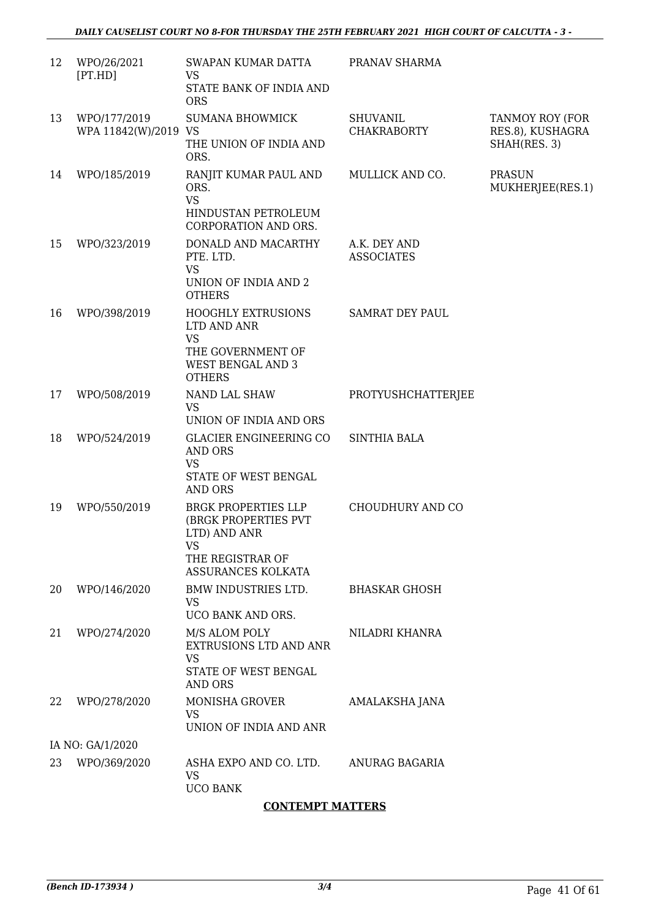| 12 | WPO/26/2021<br>[PT.HD]               | SWAPAN KUMAR DATTA<br><b>VS</b><br>STATE BANK OF INDIA AND<br><b>ORS</b>                                                  | PRANAV SHARMA                         |                                                     |
|----|--------------------------------------|---------------------------------------------------------------------------------------------------------------------------|---------------------------------------|-----------------------------------------------------|
| 13 | WPO/177/2019<br>WPA 11842(W)/2019 VS | <b>SUMANA BHOWMICK</b><br>THE UNION OF INDIA AND<br>ORS.                                                                  | <b>SHUVANIL</b><br><b>CHAKRABORTY</b> | TANMOY ROY (FOR<br>RES.8), KUSHAGRA<br>SHAH(RES. 3) |
| 14 | WPO/185/2019                         | RANJIT KUMAR PAUL AND<br>ORS.<br><b>VS</b><br>HINDUSTAN PETROLEUM<br>CORPORATION AND ORS.                                 | MULLICK AND CO.                       | <b>PRASUN</b><br>MUKHERJEE(RES.1)                   |
| 15 | WPO/323/2019                         | DONALD AND MACARTHY<br>PTE, LTD.<br><b>VS</b><br>UNION OF INDIA AND 2<br><b>OTHERS</b>                                    | A.K. DEY AND<br><b>ASSOCIATES</b>     |                                                     |
| 16 | WPO/398/2019                         | <b>HOOGHLY EXTRUSIONS</b><br>LTD AND ANR<br><b>VS</b><br>THE GOVERNMENT OF<br><b>WEST BENGAL AND 3</b><br><b>OTHERS</b>   | <b>SAMRAT DEY PAUL</b>                |                                                     |
| 17 | WPO/508/2019                         | NAND LAL SHAW<br><b>VS</b><br>UNION OF INDIA AND ORS                                                                      | PROTYUSHCHATTERJEE                    |                                                     |
| 18 | WPO/524/2019                         | GLACIER ENGINEERING CO<br><b>AND ORS</b><br><b>VS</b><br>STATE OF WEST BENGAL<br><b>AND ORS</b>                           | <b>SINTHIA BALA</b>                   |                                                     |
| 19 | WPO/550/2019                         | <b>BRGK PROPERTIES LLP</b><br>(BRGK PROPERTIES PVT<br>LTD) AND ANR<br><b>VS</b><br>THE REGISTRAR OF<br>ASSURANCES KOLKATA | CHOUDHURY AND CO                      |                                                     |
| 20 | WPO/146/2020                         | BMW INDUSTRIES LTD.<br>VS<br>UCO BANK AND ORS.                                                                            | <b>BHASKAR GHOSH</b>                  |                                                     |
| 21 | WPO/274/2020                         | M/S ALOM POLY<br>EXTRUSIONS LTD AND ANR<br><b>VS</b><br>STATE OF WEST BENGAL<br><b>AND ORS</b>                            | NILADRI KHANRA                        |                                                     |
| 22 | WPO/278/2020                         | MONISHA GROVER<br><b>VS</b><br>UNION OF INDIA AND ANR                                                                     | AMALAKSHA JANA                        |                                                     |
|    | IA NO: GA/1/2020                     |                                                                                                                           |                                       |                                                     |
| 23 | WPO/369/2020                         | ASHA EXPO AND CO. LTD.<br><b>VS</b><br><b>UCO BANK</b>                                                                    | ANURAG BAGARIA                        |                                                     |

### **CONTEMPT MATTERS**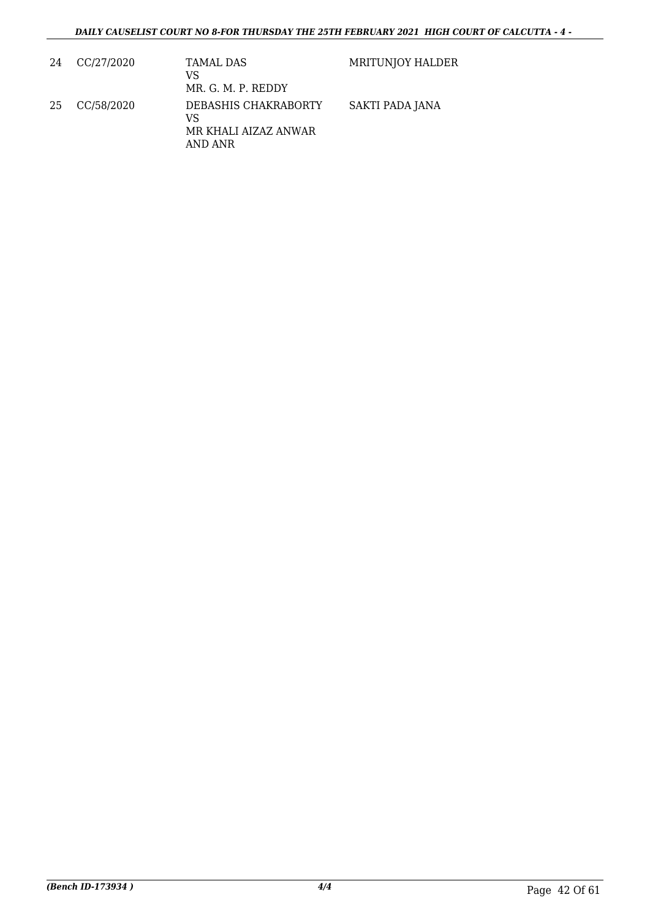| 24 | CC/27/2020 | TAMAL DAS<br>VS<br>MR. G. M. P. REDDY                         | MRITUNJOY HALDER |
|----|------------|---------------------------------------------------------------|------------------|
| 25 | CC/58/2020 | DEBASHIS CHAKRABORTY<br>VS<br>MR KHALI AIZAZ ANWAR<br>AND ANR | SAKTI PADA JANA  |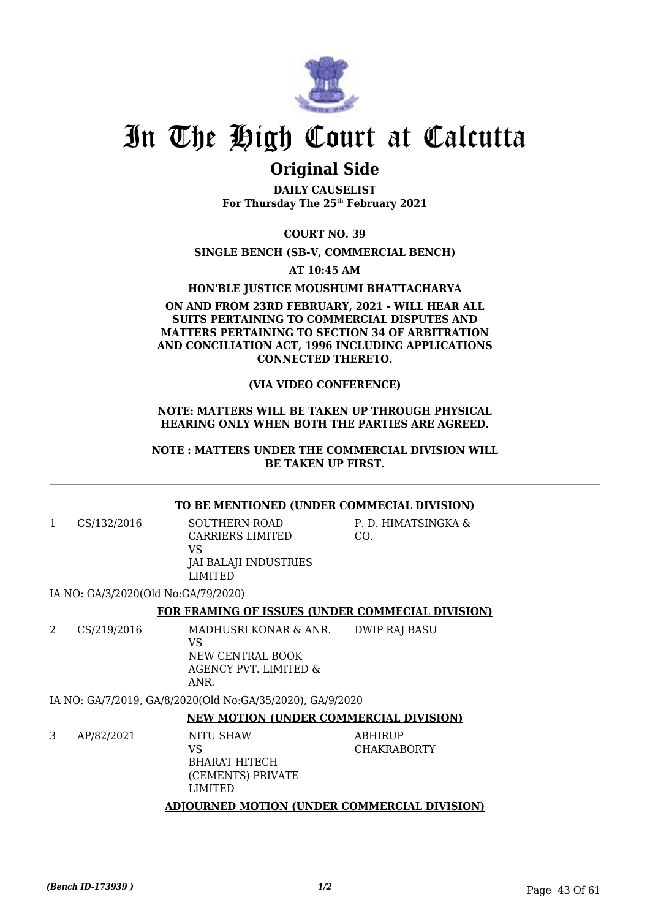

## **Original Side**

**DAILY CAUSELIST For Thursday The 25th February 2021**

**COURT NO. 39**

**SINGLE BENCH (SB-V, COMMERCIAL BENCH)**

**AT 10:45 AM**

**HON'BLE JUSTICE MOUSHUMI BHATTACHARYA**

### **ON AND FROM 23RD FEBRUARY, 2021 - WILL HEAR ALL SUITS PERTAINING TO COMMERCIAL DISPUTES AND MATTERS PERTAINING TO SECTION 34 OF ARBITRATION AND CONCILIATION ACT, 1996 INCLUDING APPLICATIONS CONNECTED THERETO.**

### **(VIA VIDEO CONFERENCE)**

### **NOTE: MATTERS WILL BE TAKEN UP THROUGH PHYSICAL HEARING ONLY WHEN BOTH THE PARTIES ARE AGREED.**

### **NOTE : MATTERS UNDER THE COMMERCIAL DIVISION WILL BE TAKEN UP FIRST.**

### **TO BE MENTIONED (UNDER COMMECIAL DIVISION)**

1 CS/132/2016 SOUTHERN ROAD CARRIERS LIMITED  $V<sub>C</sub>$ JAI BALAJI INDUSTRIES LIMITED

P. D. HIMATSINGKA & CO.

IA NO: GA/3/2020(Old No:GA/79/2020)

### **FOR FRAMING OF ISSUES (UNDER COMMECIAL DIVISION)**

2 CS/219/2016 MADHUSRI KONAR & ANR. VS NEW CENTRAL BOOK AGENCY PVT. LIMITED & ANR. DWIP RAJ BASU

IA NO: GA/7/2019, GA/8/2020(Old No:GA/35/2020), GA/9/2020

### **NEW MOTION (UNDER COMMERCIAL DIVISION)**

3 AP/82/2021 NITU SHAW VS BHARAT HITECH (CEMENTS) PRIVATE LIMITED ABHIRUP CHAKRABORTY

### **ADJOURNED MOTION (UNDER COMMERCIAL DIVISION)**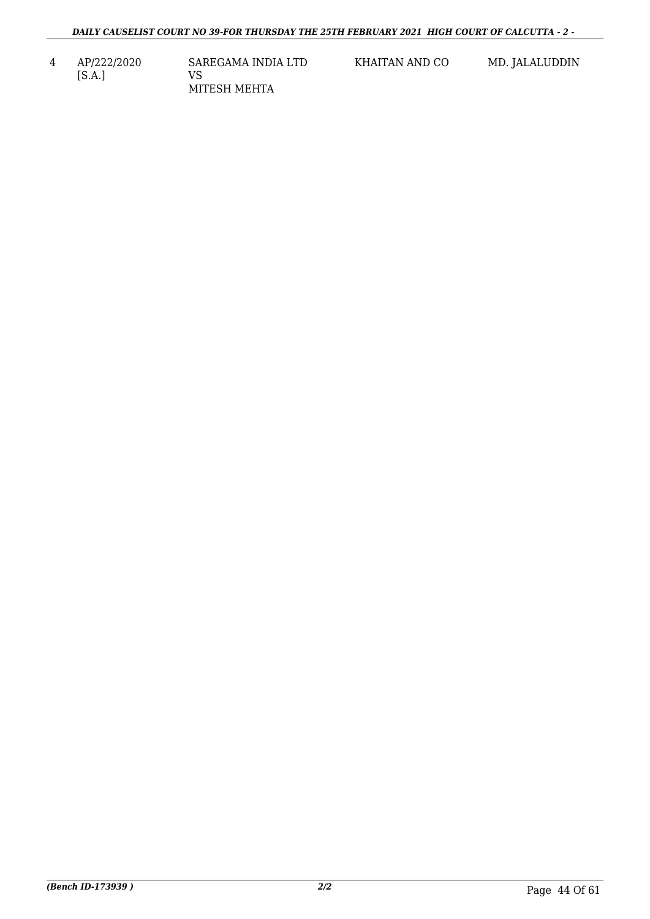4 AP/222/2020 [S.A.] SAREGAMA INDIA LTD VS MITESH MEHTA

KHAITAN AND CO MD. JALALUDDIN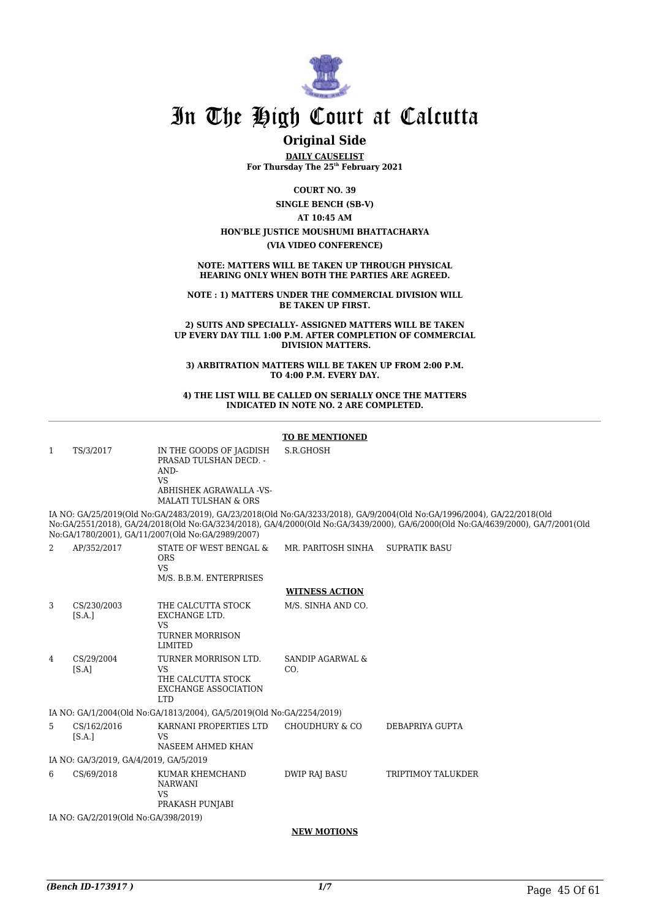

### **Original Side**

**DAILY CAUSELIST For Thursday The 25th February 2021**

**COURT NO. 39**

**SINGLE BENCH (SB-V)**

#### **AT 10:45 AM**

**HON'BLE JUSTICE MOUSHUMI BHATTACHARYA (VIA VIDEO CONFERENCE)**

**NOTE: MATTERS WILL BE TAKEN UP THROUGH PHYSICAL HEARING ONLY WHEN BOTH THE PARTIES ARE AGREED.**

**NOTE : 1) MATTERS UNDER THE COMMERCIAL DIVISION WILL BE TAKEN UP FIRST.** 

**2) SUITS AND SPECIALLY- ASSIGNED MATTERS WILL BE TAKEN UP EVERY DAY TILL 1:00 P.M. AFTER COMPLETION OF COMMERCIAL DIVISION MATTERS.**

**3) ARBITRATION MATTERS WILL BE TAKEN UP FROM 2:00 P.M. TO 4:00 P.M. EVERY DAY.**

#### **4) THE LIST WILL BE CALLED ON SERIALLY ONCE THE MATTERS INDICATED IN NOTE NO. 2 ARE COMPLETED.**

#### **TO BE MENTIONED**

| 1              | TS/3/2017                              | IN THE GOODS OF JAGDISH<br>PRASAD TULSHAN DECD. -<br>AND-<br><b>VS</b><br>ABHISHEK AGRAWALLA -VS-<br><b>MALATI TULSHAN &amp; ORS</b> | S.R.GHOSH                          |                                                                                                                                                                                                                                                             |  |
|----------------|----------------------------------------|--------------------------------------------------------------------------------------------------------------------------------------|------------------------------------|-------------------------------------------------------------------------------------------------------------------------------------------------------------------------------------------------------------------------------------------------------------|--|
|                |                                        | No:GA/1780/2001), GA/11/2007(Old No:GA/2989/2007)                                                                                    |                                    | IA NO: GA/25/2019(Old No:GA/2483/2019), GA/23/2018(Old No:GA/3233/2018), GA/9/2004(Old No:GA/1996/2004), GA/22/2018(Old<br>No:GA/2551/2018), GA/24/2018(Old No:GA/3234/2018), GA/4/2000(Old No:GA/3439/2000), GA/6/2000(Old No:GA/4639/2000), GA/7/2001(Old |  |
| 2              | AP/352/2017                            | STATE OF WEST BENGAL &<br><b>ORS</b><br><b>VS</b><br>M/S. B.B.M. ENTERPRISES                                                         | MR. PARITOSH SINHA                 | <b>SUPRATIK BASU</b>                                                                                                                                                                                                                                        |  |
|                |                                        |                                                                                                                                      | <b>WITNESS ACTION</b>              |                                                                                                                                                                                                                                                             |  |
| 3              | CS/230/2003<br>[S.A.]                  | THE CALCUTTA STOCK<br><b>EXCHANGE LTD.</b><br><b>VS</b><br><b>TURNER MORRISON</b><br>LIMITED                                         | M/S. SINHA AND CO.                 |                                                                                                                                                                                                                                                             |  |
| $\overline{4}$ | CS/29/2004<br>[S.A]                    | TURNER MORRISON LTD.<br><b>VS</b><br>THE CALCUTTA STOCK<br><b>EXCHANGE ASSOCIATION</b><br><b>LTD</b>                                 | <b>SANDIP AGARWAL &amp;</b><br>CO. |                                                                                                                                                                                                                                                             |  |
|                |                                        | IA NO: GA/1/2004(Old No:GA/1813/2004), GA/5/2019(Old No:GA/2254/2019)                                                                |                                    |                                                                                                                                                                                                                                                             |  |
| 5.             | CS/162/2016<br>[S.A.]                  | KARNANI PROPERTIES LTD<br>VS.<br>NASEEM AHMED KHAN                                                                                   | CHOUDHURY & CO                     | DEBAPRIYA GUPTA                                                                                                                                                                                                                                             |  |
|                | IA NO: GA/3/2019, GA/4/2019, GA/5/2019 |                                                                                                                                      |                                    |                                                                                                                                                                                                                                                             |  |
| 6              | CS/69/2018                             | KUMAR KHEMCHAND<br><b>NARWANI</b><br><b>VS</b><br>PRAKASH PUNJABI                                                                    | <b>DWIP RAJ BASU</b>               | <b>TRIPTIMOY TALUKDER</b>                                                                                                                                                                                                                                   |  |
|                | IA NO: GA/2/2019(Old No:GA/398/2019)   |                                                                                                                                      |                                    |                                                                                                                                                                                                                                                             |  |

**NEW MOTIONS**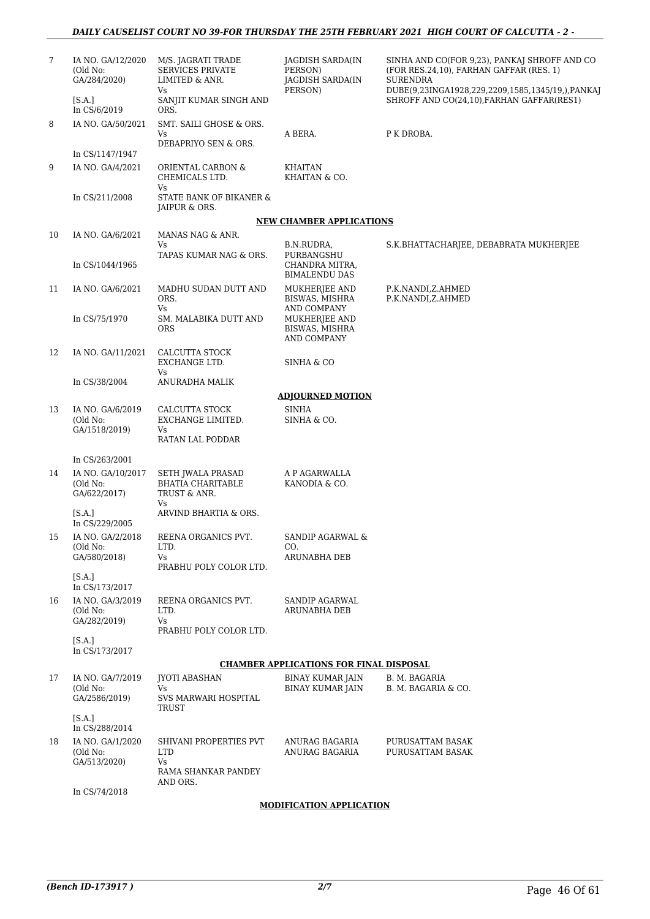| 7  | IA NO. GA/12/2020<br>(Old No:<br>GA/284/2020) | M/S. JAGRATI TRADE<br><b>SERVICES PRIVATE</b><br>LIMITED & ANR.               | JAGDISH SARDA(IN<br>PERSON)<br>JAGDISH SARDA(IN      | SINHA AND CO(FOR 9,23), PANKAJ SHROFF AND CO<br>(FOR RES.24,10), FARHAN GAFFAR (RES. 1)<br>SURENDRA |
|----|-----------------------------------------------|-------------------------------------------------------------------------------|------------------------------------------------------|-----------------------------------------------------------------------------------------------------|
|    | [S.A.]<br>In CS/6/2019                        | Vs<br>SANJIT KUMAR SINGH AND<br>ORS.                                          | PERSON)                                              | DUBE(9,23INGA1928,229,2209,1585,1345/19,),PANKA]<br>SHROFF AND CO(24,10), FARHAN GAFFAR(RES1)       |
| 8  | IA NO. GA/50/2021                             | SMT. SAILI GHOSE & ORS.<br>Vs                                                 | A BERA.                                              | P K DROBA.                                                                                          |
|    | In CS/1147/1947                               | DEBAPRIYO SEN & ORS.                                                          |                                                      |                                                                                                     |
| 9  | IA NO. GA/4/2021                              | ORIENTAL CARBON &<br>CHEMICALS LTD.                                           | KHAITAN<br>KHAITAN & CO.                             |                                                                                                     |
|    | In CS/211/2008                                | Vs<br>STATE BANK OF BIKANER &<br>JAIPUR & ORS.                                |                                                      |                                                                                                     |
|    |                                               |                                                                               | <b>NEW CHAMBER APPLICATIONS</b>                      |                                                                                                     |
| 10 | IA NO. GA/6/2021                              | MANAS NAG & ANR.<br>Vs                                                        | B.N.RUDRA,                                           | S.K.BHATTACHARJEE, DEBABRATA MUKHERJEE                                                              |
|    | In CS/1044/1965                               | TAPAS KUMAR NAG & ORS.                                                        | PURBANGSHU<br>CHANDRA MITRA,<br><b>BIMALENDU DAS</b> |                                                                                                     |
| 11 | IA NO. GA/6/2021                              | MADHU SUDAN DUTT AND<br>ORS.<br>Vs                                            | MUKHERJEE AND<br>BISWAS, MISHRA<br>AND COMPANY       | P.K.NANDI,Z.AHMED<br>P.K.NANDI,Z.AHMED                                                              |
|    | In CS/75/1970                                 | SM. MALABIKA DUTT AND<br><b>ORS</b>                                           | MUKHERJEE AND<br>BISWAS, MISHRA<br>AND COMPANY       |                                                                                                     |
| 12 | IA NO. GA/11/2021                             | CALCUTTA STOCK<br>EXCHANGE LTD.<br>Vs                                         | SINHA & CO                                           |                                                                                                     |
|    | In CS/38/2004                                 | ANURADHA MALIK                                                                |                                                      |                                                                                                     |
|    |                                               |                                                                               | <b>ADJOURNED MOTION</b>                              |                                                                                                     |
| 13 | IA NO. GA/6/2019<br>(Old No:<br>GA/1518/2019) | CALCUTTA STOCK<br>EXCHANGE LIMITED.<br>Vs<br>RATAN LAL PODDAR                 | <b>SINHA</b><br>SINHA & CO.                          |                                                                                                     |
|    | In CS/263/2001                                |                                                                               |                                                      |                                                                                                     |
| 14 | IA NO. GA/10/2017<br>(Old No:<br>GA/622/2017) | SETH JWALA PRASAD<br><b>BHATIA CHARITABLE</b><br>TRUST & ANR.                 | A P AGARWALLA<br>KANODIA & CO.                       |                                                                                                     |
|    | [S.A.]<br>In CS/229/2005                      | Vs<br>ARVIND BHARTIA & ORS.                                                   |                                                      |                                                                                                     |
| 15 | IA NO. GA/2/2018<br>(Old No:                  | REENA ORGANICS PVT.<br>LTD.                                                   | SANDIP AGARWAL &<br>CO.                              |                                                                                                     |
|    | GA/580/2018)                                  | Vs<br>PRABHU POLY COLOR LTD.                                                  | <b>ARUNABHA DEB</b>                                  |                                                                                                     |
|    | [SA.]<br>In CS/173/2017                       |                                                                               |                                                      |                                                                                                     |
| 16 | IA NO. GA/3/2019<br>(Old No:<br>GA/282/2019)  | REENA ORGANICS PVT.<br>LTD.<br>Vs                                             | <b>SANDIP AGARWAL</b><br><b>ARUNABHA DEB</b>         |                                                                                                     |
|    | [S.A.]<br>In CS/173/2017                      | PRABHU POLY COLOR LTD.                                                        |                                                      |                                                                                                     |
|    |                                               |                                                                               | <b>CHAMBER APPLICATIONS FOR FINAL DISPOSAL</b>       |                                                                                                     |
| 17 | IA NO. GA/7/2019<br>(Old No:<br>GA/2586/2019) | <b>JYOTI ABASHAN</b><br>Vs<br>SVS MARWARI HOSPITAL                            | <b>BINAY KUMAR JAIN</b><br><b>BINAY KUMAR JAIN</b>   | B. M. BAGARIA<br>B. M. BAGARIA & CO.                                                                |
|    | [S.A.]<br>In CS/288/2014                      | TRUST                                                                         |                                                      |                                                                                                     |
| 18 | IA NO. GA/1/2020<br>(Old No:<br>GA/513/2020)  | SHIVANI PROPERTIES PVT<br><b>LTD</b><br>Vs<br>RAMA SHANKAR PANDEY<br>AND ORS. | ANURAG BAGARIA<br>ANURAG BAGARIA                     | PURUSATTAM BASAK<br>PURUSATTAM BASAK                                                                |
|    | In CS/74/2018                                 |                                                                               |                                                      |                                                                                                     |

#### **MODIFICATION APPLICATION**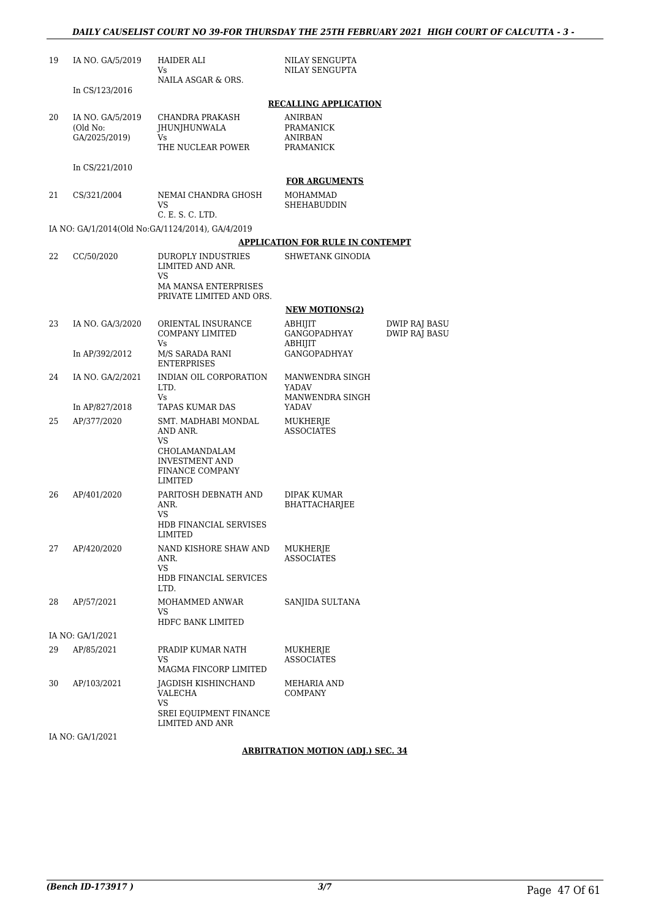| 19     | IA NO. GA/5/2019                              | HAIDER ALI<br>Vs<br>NAILA ASGAR & ORS.                                                                               | NILAY SENGUPTA<br>NILAY SENGUPTA                                                    |                                              |
|--------|-----------------------------------------------|----------------------------------------------------------------------------------------------------------------------|-------------------------------------------------------------------------------------|----------------------------------------------|
|        | In CS/123/2016                                |                                                                                                                      |                                                                                     |                                              |
| 20     | IA NO. GA/5/2019<br>(Old No:<br>GA/2025/2019) | <b>CHANDRA PRAKASH</b><br><b>JHUNJHUNWALA</b><br>Vs<br>THE NUCLEAR POWER                                             | <b>RECALLING APPLICATION</b><br>ANIRBAN<br>PRAMANICK<br><b>ANIRBAN</b><br>PRAMANICK |                                              |
|        | In CS/221/2010                                |                                                                                                                      |                                                                                     |                                              |
| 21     | CS/321/2004                                   | NEMAI CHANDRA GHOSH<br>VS<br>C. E. S. C. LTD.                                                                        | <b>FOR ARGUMENTS</b><br>MOHAMMAD<br>SHEHABUDDIN                                     |                                              |
|        |                                               | IA NO: GA/1/2014(Old No:GA/1124/2014), GA/4/2019                                                                     |                                                                                     |                                              |
|        |                                               |                                                                                                                      | <u>APPLICATION FOR RULE IN CONTEMPT</u>                                             |                                              |
| 22     | CC/50/2020                                    | DUROPLY INDUSTRIES<br>LIMITED AND ANR.<br>VS                                                                         | SHWETANK GINODIA                                                                    |                                              |
|        |                                               | <b>MA MANSA ENTERPRISES</b><br>PRIVATE LIMITED AND ORS.                                                              |                                                                                     |                                              |
|        |                                               |                                                                                                                      | <b>NEW MOTIONS(2)</b>                                                               |                                              |
| 23     | IA NO. GA/3/2020                              | ORIENTAL INSURANCE<br>COMPANY LIMITED<br>Vs.                                                                         | ABHIJIT<br>GANGOPADHYAY<br>ABHIJIT                                                  | <b>DWIP RAJ BASU</b><br><b>DWIP RAJ BASU</b> |
|        | In AP/392/2012                                | M/S SARADA RANI<br>ENTERPRISES                                                                                       | <b>GANGOPADHYAY</b>                                                                 |                                              |
| 24     | IA NO. GA/2/2021                              | INDIAN OIL CORPORATION<br>LTD.<br>Vs                                                                                 | MANWENDRA SINGH<br>YADAV<br>MANWENDRA SINGH                                         |                                              |
|        | In AP/827/2018                                | TAPAS KUMAR DAS                                                                                                      | YADAV                                                                               |                                              |
| 25     | AP/377/2020                                   | SMT. MADHABI MONDAL<br>AND ANR.<br>VS<br>CHOLAMANDALAM<br><b>INVESTMENT AND</b><br><b>FINANCE COMPANY</b><br>LIMITED | MUKHERJE<br><b>ASSOCIATES</b>                                                       |                                              |
| 26     | AP/401/2020                                   | PARITOSH DEBNATH AND<br>ANR.<br>VS<br>HDB FINANCIAL SERVISES                                                         | DIPAK KUMAR<br>BHATTACHARJEE                                                        |                                              |
| 27     | AP/420/2020                                   | LIMITED<br>NAND KISHORE SHAW AND<br>ANR.<br>VS<br><b>HDB FINANCIAL SERVICES</b><br>LTD.                              | MUKHERJE<br><b>ASSOCIATES</b>                                                       |                                              |
| 28     | AP/57/2021                                    | MOHAMMED ANWAR<br>VS                                                                                                 | SANJIDA SULTANA                                                                     |                                              |
|        |                                               | HDFC BANK LIMITED                                                                                                    |                                                                                     |                                              |
| 29     | IA NO: GA/1/2021<br>AP/85/2021                | PRADIP KUMAR NATH                                                                                                    | MUKHERJE                                                                            |                                              |
|        |                                               | VS<br>MAGMA FINCORP LIMITED                                                                                          | <b>ASSOCIATES</b>                                                                   |                                              |
| 30     | AP/103/2021                                   | JAGDISH KISHINCHAND<br>VALECHA<br>VS<br>SREI EQUIPMENT FINANCE                                                       | MEHARIA AND<br><b>COMPANY</b>                                                       |                                              |
| TA NTO | 0.11002                                       | LIMITED AND ANR                                                                                                      |                                                                                     |                                              |

IA NO: GA/1/2021

#### **ARBITRATION MOTION (ADJ.) SEC. 34**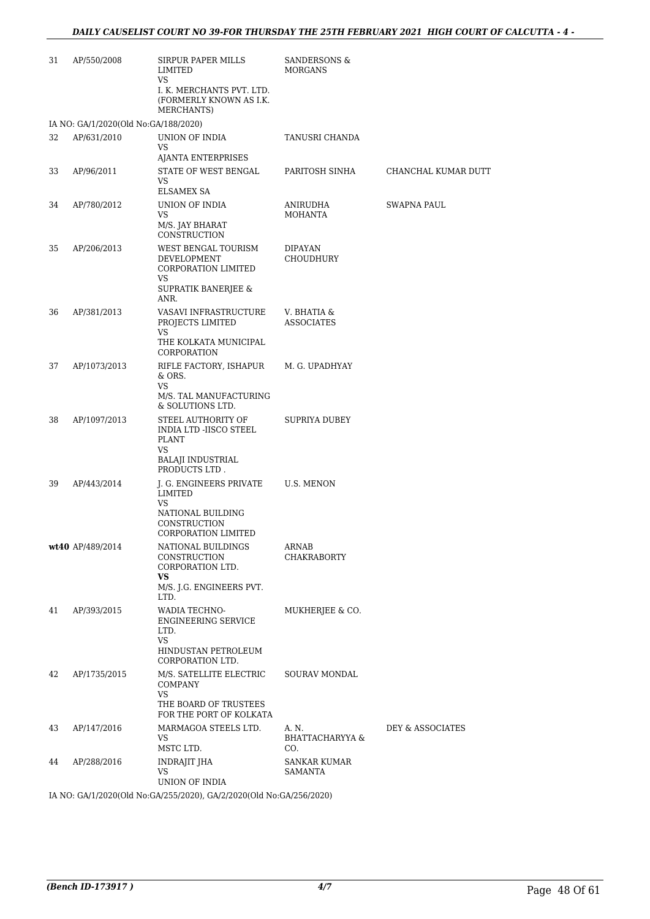| (FORMERLY KNOWN AS I.K.                                                                                                                               |  |
|-------------------------------------------------------------------------------------------------------------------------------------------------------|--|
| MERCHANTS)<br>IA NO: GA/1/2020(Old No:GA/188/2020)                                                                                                    |  |
| 32<br>AP/631/2010<br>UNION OF INDIA<br>TANUSRI CHANDA<br>VS<br>AJANTA ENTERPRISES                                                                     |  |
| 33<br>AP/96/2011<br>STATE OF WEST BENGAL<br>PARITOSH SINHA<br>CHANCHAL KUMAR DUTT<br>VS<br><b>ELSAMEX SA</b>                                          |  |
| 34<br>AP/780/2012<br>UNION OF INDIA<br><b>SWAPNA PAUL</b><br>ANIRUDHA<br>VS<br><b>MOHANTA</b><br>M/S. JAY BHARAT<br>CONSTRUCTION                      |  |
| 35<br>AP/206/2013<br>WEST BENGAL TOURISM<br>DIPAYAN<br>DEVELOPMENT<br>CHOUDHURY<br>CORPORATION LIMITED<br>VS                                          |  |
| SUPRATIK BANERJEE &<br>ANR.                                                                                                                           |  |
| 36<br>AP/381/2013<br>VASAVI INFRASTRUCTURE<br>V. BHATIA &<br>PROJECTS LIMITED<br><b>ASSOCIATES</b><br>VS                                              |  |
| THE KOLKATA MUNICIPAL<br>CORPORATION                                                                                                                  |  |
| RIFLE FACTORY, ISHAPUR<br>37<br>M. G. UPADHYAY<br>AP/1073/2013<br>& ORS.<br>VS                                                                        |  |
| M/S. TAL MANUFACTURING<br>& SOLUTIONS LTD.                                                                                                            |  |
| 38<br>AP/1097/2013<br>STEEL AUTHORITY OF<br>SUPRIYA DUBEY<br>INDIA LTD -IISCO STEEL<br>PLANT<br>VS                                                    |  |
| <b>BALAJI INDUSTRIAL</b><br>PRODUCTS LTD.                                                                                                             |  |
| 39<br>J. G. ENGINEERS PRIVATE<br><b>U.S. MENON</b><br>AP/443/2014<br>LIMITED<br><b>VS</b><br>NATIONAL BUILDING<br>CONSTRUCTION<br>CORPORATION LIMITED |  |
| wt40 AP/489/2014<br>NATIONAL BUILDINGS<br>ARNAB<br>CONSTRUCTION<br><b>CHAKRABORTY</b><br>CORPORATION LTD.                                             |  |
| VS<br>M/S. J.G. ENGINEERS PVT.<br>LTD.                                                                                                                |  |
| 41<br>AP/393/2015<br>WADIA TECHNO-<br>MUKHERJEE & CO.<br><b>ENGINEERING SERVICE</b><br>LTD.<br>VS                                                     |  |
| HINDUSTAN PETROLEUM<br>CORPORATION LTD.                                                                                                               |  |
| M/S. SATELLITE ELECTRIC<br>42<br>AP/1735/2015<br><b>SOURAV MONDAL</b><br>COMPANY<br><b>VS</b>                                                         |  |
| THE BOARD OF TRUSTEES<br>FOR THE PORT OF KOLKATA                                                                                                      |  |
| 43<br>AP/147/2016<br>MARMAGOA STEELS LTD.<br>A. N.<br>DEY & ASSOCIATES<br>VS<br><b>BHATTACHARYYA &amp;</b><br>MSTC LTD.<br>CO.                        |  |
| INDRAJIT JHA<br>44<br>AP/288/2016<br><b>SANKAR KUMAR</b><br>VS<br>SAMANTA<br>UNION OF INDIA                                                           |  |

IA NO: GA/1/2020(Old No:GA/255/2020), GA/2/2020(Old No:GA/256/2020)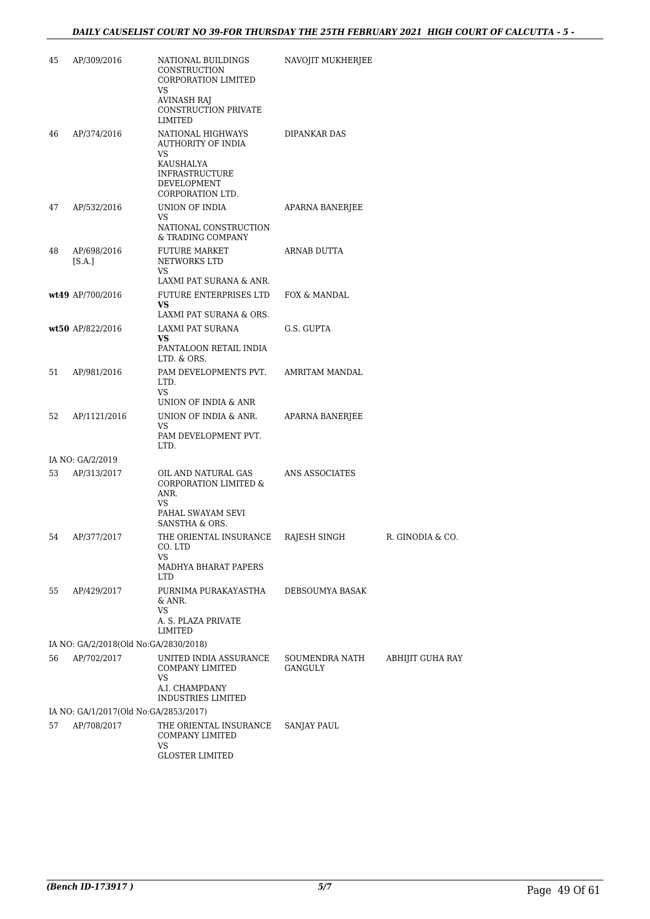| 45 | AP/309/2016                           | NATIONAL BUILDINGS<br>CONSTRUCTION<br><b>CORPORATION LIMITED</b><br>VS<br><b>AVINASH RAJ</b><br>CONSTRUCTION PRIVATE<br>LIMITED | NAVOJIT MUKHERJEE         |                  |
|----|---------------------------------------|---------------------------------------------------------------------------------------------------------------------------------|---------------------------|------------------|
| 46 | AP/374/2016                           | NATIONAL HIGHWAYS<br>AUTHORITY OF INDIA<br>VS<br>KAUSHALYA<br><b>INFRASTRUCTURE</b><br>DEVELOPMENT<br>CORPORATION LTD.          | <b>DIPANKAR DAS</b>       |                  |
| 47 | AP/532/2016                           | UNION OF INDIA<br>VS<br>NATIONAL CONSTRUCTION<br>& TRADING COMPANY                                                              | APARNA BANERJEE           |                  |
| 48 | AP/698/2016<br>[S.A.]                 | <b>FUTURE MARKET</b><br>NETWORKS LTD<br>VS                                                                                      | ARNAB DUTTA               |                  |
|    |                                       | LAXMI PAT SURANA & ANR.                                                                                                         |                           |                  |
|    | wt49 AP/700/2016                      | FUTURE ENTERPRISES LTD<br>VS<br>LAXMI PAT SURANA & ORS.                                                                         | FOX & MANDAL              |                  |
|    | wt50 AP/822/2016                      | LAXMI PAT SURANA                                                                                                                | G.S. GUPTA                |                  |
|    |                                       | VS<br>PANTALOON RETAIL INDIA<br>LTD. & ORS.                                                                                     |                           |                  |
| 51 | AP/981/2016                           | PAM DEVELOPMENTS PVT.<br>LTD.<br>VS                                                                                             | AMRITAM MANDAL            |                  |
|    |                                       | UNION OF INDIA & ANR                                                                                                            |                           |                  |
| 52 | AP/1121/2016                          | UNION OF INDIA & ANR.<br>VS                                                                                                     | APARNA BANERJEE           |                  |
|    |                                       | PAM DEVELOPMENT PVT.<br>LTD.                                                                                                    |                           |                  |
|    | IA NO: GA/2/2019                      |                                                                                                                                 |                           |                  |
| 53 | AP/313/2017                           | OIL AND NATURAL GAS<br><b>CORPORATION LIMITED &amp;</b><br>ANR.<br>VS<br>PAHAL SWAYAM SEVI                                      | ANS ASSOCIATES            |                  |
|    |                                       | SANSTHA & ORS.                                                                                                                  |                           |                  |
| 54 | AP/377/2017                           | THE ORIENTAL INSURANCE<br>CO. LTD<br>VS<br>MADHYA BHARAT PAPERS                                                                 | RAJESH SINGH              | R. GINODIA & CO. |
|    |                                       | LTD.                                                                                                                            |                           |                  |
| 55 | AP/429/2017                           | PURNIMA PURAKAYASTHA<br>& ANR.<br>VS                                                                                            | DEBSOUMYA BASAK           |                  |
|    |                                       | A. S. PLAZA PRIVATE<br>LIMITED                                                                                                  |                           |                  |
|    | IA NO: GA/2/2018(Old No:GA/2830/2018) |                                                                                                                                 |                           |                  |
| 56 | AP/702/2017                           | UNITED INDIA ASSURANCE<br><b>COMPANY LIMITED</b><br>VS<br>A.I. CHAMPDANY<br><b>INDUSTRIES LIMITED</b>                           | SOUMENDRA NATH<br>GANGULY | ABHIJIT GUHA RAY |
|    | IA NO: GA/1/2017(Old No:GA/2853/2017) |                                                                                                                                 |                           |                  |
| 57 | AP/708/2017                           | THE ORIENTAL INSURANCE<br>COMPANY LIMITED<br>VS                                                                                 | SANJAY PAUL               |                  |
|    |                                       | <b>GLOSTER LIMITED</b>                                                                                                          |                           |                  |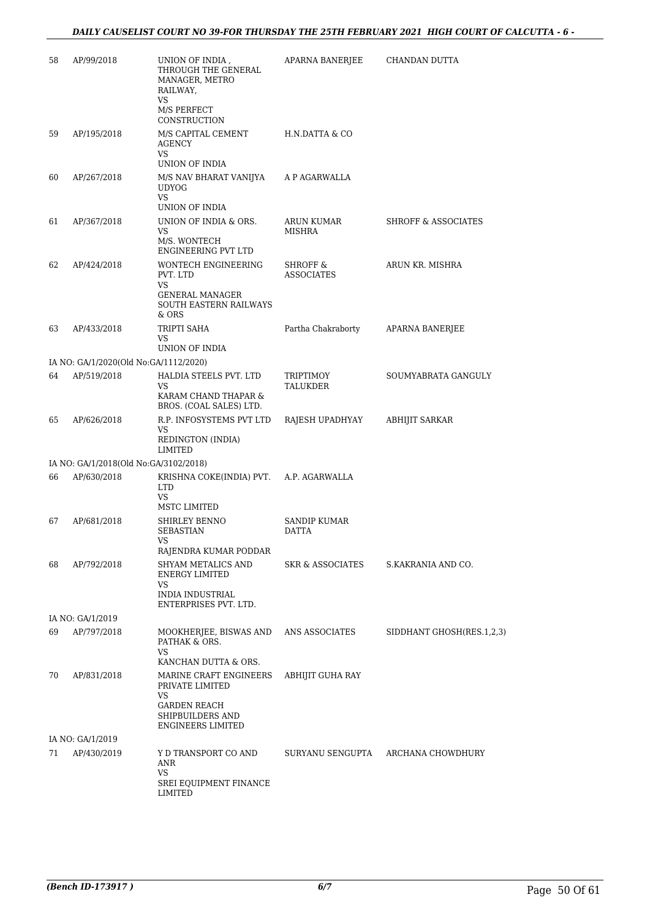| 58 | AP/99/2018                            | UNION OF INDIA,<br>THROUGH THE GENERAL<br>MANAGER, METRO<br>RAILWAY,<br>VS                 | APARNA BANERJEE                          | CHANDAN DUTTA                  |
|----|---------------------------------------|--------------------------------------------------------------------------------------------|------------------------------------------|--------------------------------|
|    |                                       | M/S PERFECT<br>CONSTRUCTION                                                                |                                          |                                |
| 59 | AP/195/2018                           | M/S CAPITAL CEMENT<br>AGENCY<br>VS                                                         | H.N.DATTA & CO                           |                                |
|    |                                       | UNION OF INDIA                                                                             |                                          |                                |
| 60 | AP/267/2018                           | M/S NAV BHARAT VANIJYA<br><b>UDYOG</b><br>VS<br>UNION OF INDIA                             | A P AGARWALLA                            |                                |
| 61 | AP/367/2018                           | UNION OF INDIA & ORS.<br>VS<br>M/S. WONTECH<br>ENGINEERING PVT LTD                         | ARUN KUMAR<br>MISHRA                     | <b>SHROFF &amp; ASSOCIATES</b> |
| 62 | AP/424/2018                           | <b>WONTECH ENGINEERING</b><br>PVT. LTD<br>VS                                               | <b>SHROFF &amp;</b><br><b>ASSOCIATES</b> | ARUN KR. MISHRA                |
|    |                                       | GENERAL MANAGER<br><b>SOUTH EASTERN RAILWAYS</b><br>& ORS                                  |                                          |                                |
| 63 | AP/433/2018                           | TRIPTI SAHA<br>VS<br>UNION OF INDIA                                                        | Partha Chakraborty                       | APARNA BANERJEE                |
|    | IA NO: GA/1/2020(Old No:GA/1112/2020) |                                                                                            |                                          |                                |
| 64 | AP/519/2018                           | HALDIA STEELS PVT. LTD                                                                     | TRIPTIMOY                                | SOUMYABRATA GANGULY            |
|    |                                       | VS<br>KARAM CHAND THAPAR &<br>BROS. (COAL SALES) LTD.                                      | TALUKDER                                 |                                |
| 65 | AP/626/2018                           | R.P. INFOSYSTEMS PVT LTD<br>VS<br>REDINGTON (INDIA)<br>LIMITED                             | RAJESH UPADHYAY                          | ABHIJIT SARKAR                 |
|    | IA NO: GA/1/2018(Old No:GA/3102/2018) |                                                                                            |                                          |                                |
| 66 | AP/630/2018                           | KRISHNA COKE(INDIA) PVT.<br><b>LTD</b><br><b>VS</b>                                        | A.P. AGARWALLA                           |                                |
|    |                                       | MSTC LIMITED                                                                               |                                          |                                |
| 67 | AP/681/2018                           | SHIRLEY BENNO<br><b>SEBASTIAN</b><br>VS.<br>RAJENDRA KUMAR PODDAR                          | SANDIP KUMAR<br><b>DATTA</b>             |                                |
| 68 | AP/792/2018                           | SHYAM METALICS AND<br><b>ENERGY LIMITED</b><br>VS                                          | SKR & ASSOCIATES                         | S.KAKRANIA AND CO.             |
|    |                                       | <b>INDIA INDUSTRIAL</b><br>ENTERPRISES PVT. LTD.                                           |                                          |                                |
|    | IA NO: GA/1/2019                      |                                                                                            |                                          |                                |
| 69 | AP/797/2018                           | MOOKHERJEE, BISWAS AND<br>PATHAK & ORS.<br>VS                                              | ANS ASSOCIATES                           | SIDDHANT GHOSH(RES.1,2,3)      |
|    |                                       | KANCHAN DUTTA & ORS.                                                                       |                                          |                                |
| 70 | AP/831/2018                           | MARINE CRAFT ENGINEERS<br>PRIVATE LIMITED<br>VS<br><b>GARDEN REACH</b><br>SHIPBUILDERS AND | <b>ABHIJIT GUHA RAY</b>                  |                                |
|    | IA NO: GA/1/2019                      | ENGINEERS LIMITED                                                                          |                                          |                                |
| 71 | AP/430/2019                           | Y D TRANSPORT CO AND                                                                       | SURYANU SENGUPTA                         | ARCHANA CHOWDHURY              |
|    |                                       | ANR<br>VS<br>SREI EQUIPMENT FINANCE<br>LIMITED                                             |                                          |                                |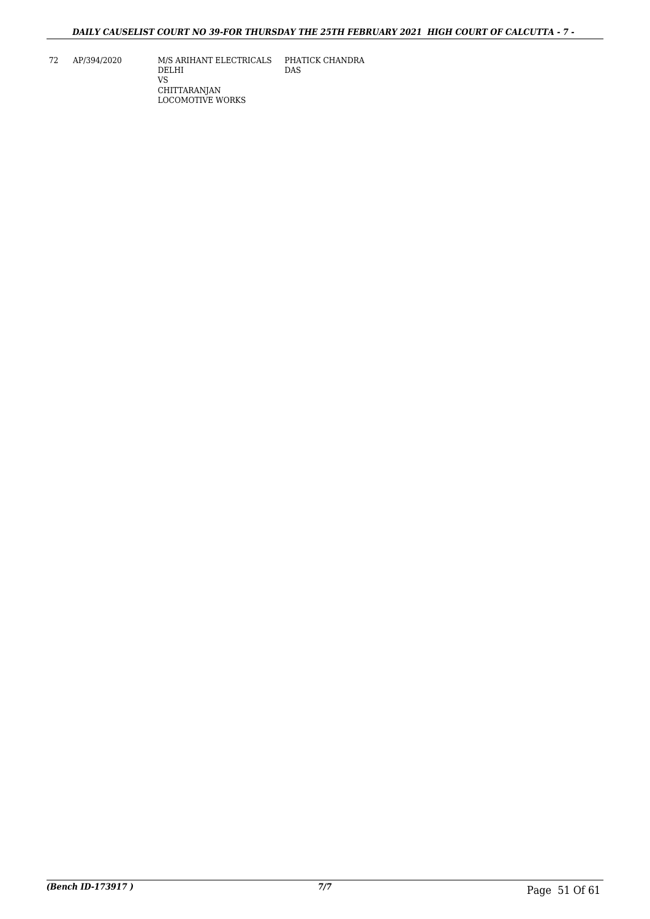72 AP/394/2020 M/S ARIHANT ELECTRICALS DELHI VS CHITTARANJAN LOCOMOTIVE WORKS PHATICK CHANDRA DAS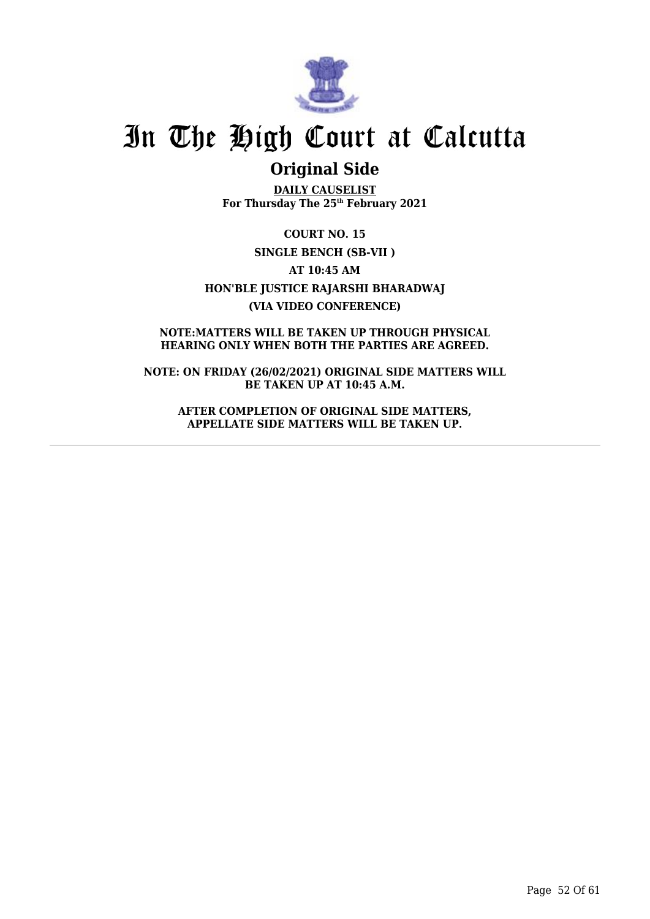

## **Original Side**

**DAILY CAUSELIST For Thursday The 25th February 2021**

**COURT NO. 15 SINGLE BENCH (SB-VII ) AT 10:45 AM HON'BLE JUSTICE RAJARSHI BHARADWAJ (VIA VIDEO CONFERENCE)**

**NOTE:MATTERS WILL BE TAKEN UP THROUGH PHYSICAL HEARING ONLY WHEN BOTH THE PARTIES ARE AGREED.**

**NOTE: ON FRIDAY (26/02/2021) ORIGINAL SIDE MATTERS WILL BE TAKEN UP AT 10:45 A.M.**

**AFTER COMPLETION OF ORIGINAL SIDE MATTERS, APPELLATE SIDE MATTERS WILL BE TAKEN UP.**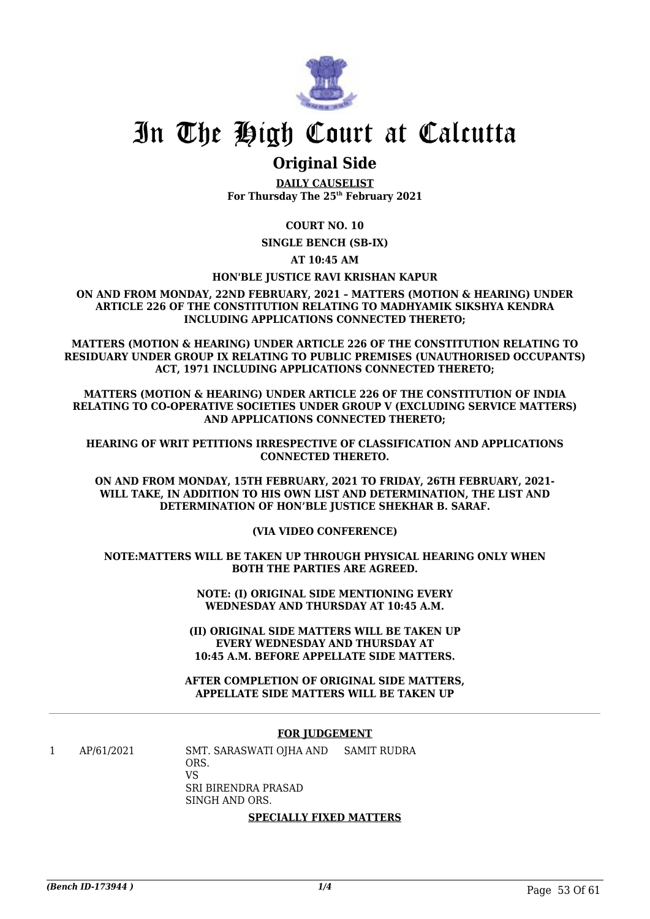

### **Original Side**

**DAILY CAUSELIST For Thursday The 25th February 2021**

**COURT NO. 10**

**SINGLE BENCH (SB-IX)**

**AT 10:45 AM**

### **HON'BLE JUSTICE RAVI KRISHAN KAPUR**

**ON AND FROM MONDAY, 22ND FEBRUARY, 2021 – MATTERS (MOTION & HEARING) UNDER ARTICLE 226 OF THE CONSTITUTION RELATING TO MADHYAMIK SIKSHYA KENDRA INCLUDING APPLICATIONS CONNECTED THERETO;**

**MATTERS (MOTION & HEARING) UNDER ARTICLE 226 OF THE CONSTITUTION RELATING TO RESIDUARY UNDER GROUP IX RELATING TO PUBLIC PREMISES (UNAUTHORISED OCCUPANTS) ACT, 1971 INCLUDING APPLICATIONS CONNECTED THERETO;**

**MATTERS (MOTION & HEARING) UNDER ARTICLE 226 OF THE CONSTITUTION OF INDIA RELATING TO CO-OPERATIVE SOCIETIES UNDER GROUP V (EXCLUDING SERVICE MATTERS) AND APPLICATIONS CONNECTED THERETO;**

**HEARING OF WRIT PETITIONS IRRESPECTIVE OF CLASSIFICATION AND APPLICATIONS CONNECTED THERETO.**

**ON AND FROM MONDAY, 15TH FEBRUARY, 2021 TO FRIDAY, 26TH FEBRUARY, 2021- WILL TAKE, IN ADDITION TO HIS OWN LIST AND DETERMINATION, THE LIST AND DETERMINATION OF HON'BLE JUSTICE SHEKHAR B. SARAF.**

**(VIA VIDEO CONFERENCE)**

**NOTE:MATTERS WILL BE TAKEN UP THROUGH PHYSICAL HEARING ONLY WHEN BOTH THE PARTIES ARE AGREED.**

> **NOTE: (I) ORIGINAL SIDE MENTIONING EVERY WEDNESDAY AND THURSDAY AT 10:45 A.M.**

**(II) ORIGINAL SIDE MATTERS WILL BE TAKEN UP EVERY WEDNESDAY AND THURSDAY AT 10:45 A.M. BEFORE APPELLATE SIDE MATTERS.**

**AFTER COMPLETION OF ORIGINAL SIDE MATTERS, APPELLATE SIDE MATTERS WILL BE TAKEN UP**

#### **FOR JUDGEMENT**

1 AP/61/2021 SMT. SARASWATI OJHA AND ORS. VS SRI BIRENDRA PRASAD SINGH AND ORS. SAMIT RUDRA

#### **SPECIALLY FIXED MATTERS**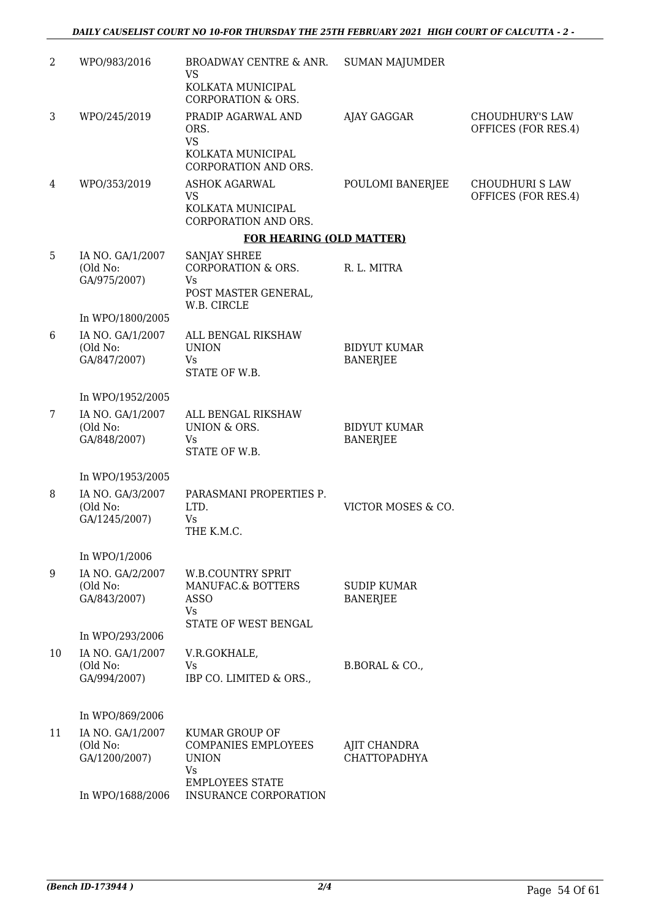| $\overline{2}$ | WPO/983/2016                        | BROADWAY CENTRE & ANR.<br><b>VS</b>                    | <b>SUMAN MAJUMDER</b>                  |                                               |
|----------------|-------------------------------------|--------------------------------------------------------|----------------------------------------|-----------------------------------------------|
|                |                                     | KOLKATA MUNICIPAL<br><b>CORPORATION &amp; ORS.</b>     |                                        |                                               |
| 3              | WPO/245/2019                        | PRADIP AGARWAL AND<br>ORS.                             | AJAY GAGGAR                            | <b>CHOUDHURY'S LAW</b><br>OFFICES (FOR RES.4) |
|                |                                     | <b>VS</b><br>KOLKATA MUNICIPAL<br>CORPORATION AND ORS. |                                        |                                               |
| 4              | WPO/353/2019                        | <b>ASHOK AGARWAL</b><br><b>VS</b>                      | POULOMI BANERJEE                       | <b>CHOUDHURI S LAW</b><br>OFFICES (FOR RES.4) |
|                |                                     | KOLKATA MUNICIPAL<br>CORPORATION AND ORS.              |                                        |                                               |
|                |                                     | <b>FOR HEARING (OLD MATTER)</b>                        |                                        |                                               |
| 5              | IA NO. GA/1/2007<br>(Old No:        | <b>SANJAY SHREE</b><br><b>CORPORATION &amp; ORS.</b>   | R. L. MITRA                            |                                               |
|                | GA/975/2007)                        | Vs<br>POST MASTER GENERAL,<br>W.B. CIRCLE              |                                        |                                               |
|                | In WPO/1800/2005                    |                                                        |                                        |                                               |
| 6              | IA NO. GA/1/2007<br>(Old No:        | ALL BENGAL RIKSHAW<br><b>UNION</b>                     | <b>BIDYUT KUMAR</b>                    |                                               |
|                | GA/847/2007)                        | Vs<br>STATE OF W.B.                                    | <b>BANERJEE</b>                        |                                               |
|                | In WPO/1952/2005                    |                                                        |                                        |                                               |
| 7              | IA NO. GA/1/2007                    | ALL BENGAL RIKSHAW                                     |                                        |                                               |
|                | (Old No:<br>GA/848/2007)            | UNION & ORS.<br>Vs                                     | <b>BIDYUT KUMAR</b><br><b>BANERJEE</b> |                                               |
|                |                                     | STATE OF W.B.                                          |                                        |                                               |
|                | In WPO/1953/2005                    |                                                        |                                        |                                               |
| 8              | IA NO. GA/3/2007<br>(Old No:        | PARASMANI PROPERTIES P.<br>LTD.                        | VICTOR MOSES & CO.                     |                                               |
|                | GA/1245/2007)                       | Vs<br>THE K.M.C.                                       |                                        |                                               |
|                |                                     |                                                        |                                        |                                               |
|                | In WPO/1/2006                       |                                                        |                                        |                                               |
| 9              | IA NO. GA/2/2007<br>(Old No:        | <b>W.B.COUNTRY SPRIT</b><br>MANUFAC.& BOTTERS          | <b>SUDIP KUMAR</b>                     |                                               |
|                | GA/843/2007)                        | <b>ASSO</b><br>Vs                                      | <b>BANERJEE</b>                        |                                               |
|                |                                     | STATE OF WEST BENGAL                                   |                                        |                                               |
| 10             | In WPO/293/2006<br>IA NO. GA/1/2007 | V.R.GOKHALE,                                           |                                        |                                               |
|                | (Old No:                            | Vs                                                     | B.BORAL & CO.,                         |                                               |
|                | GA/994/2007)                        | IBP CO. LIMITED & ORS.,                                |                                        |                                               |
|                | In WPO/869/2006                     |                                                        |                                        |                                               |
| 11             | IA NO. GA/1/2007                    | <b>KUMAR GROUP OF</b>                                  |                                        |                                               |
|                | (Old No:<br>GA/1200/2007)           | <b>COMPANIES EMPLOYEES</b><br><b>UNION</b>             | AJIT CHANDRA<br><b>CHATTOPADHYA</b>    |                                               |
|                |                                     | Vs<br><b>EMPLOYEES STATE</b>                           |                                        |                                               |
|                | In WPO/1688/2006                    | INSURANCE CORPORATION                                  |                                        |                                               |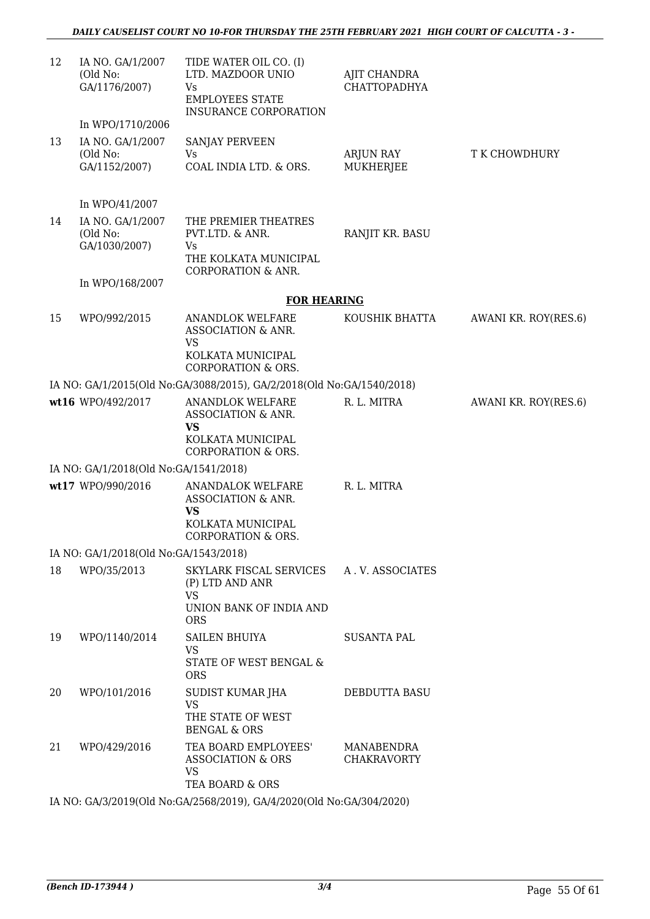| 12 | IA NO. GA/1/2007<br>(Old No:<br>GA/1176/2007)                     | TIDE WATER OIL CO. (I)<br>LTD. MAZDOOR UNIO<br>Vs<br><b>EMPLOYEES STATE</b><br>INSURANCE CORPORATION              | AJIT CHANDRA<br><b>CHATTOPADHYA</b> |                      |
|----|-------------------------------------------------------------------|-------------------------------------------------------------------------------------------------------------------|-------------------------------------|----------------------|
| 13 | In WPO/1710/2006<br>IA NO. GA/1/2007<br>(Old No:<br>GA/1152/2007) | SANJAY PERVEEN<br>Vs<br>COAL INDIA LTD. & ORS.                                                                    | ARJUN RAY<br><b>MUKHERJEE</b>       | T K CHOWDHURY        |
|    | In WPO/41/2007                                                    |                                                                                                                   |                                     |                      |
| 14 | IA NO. GA/1/2007<br>(Old No:<br>GA/1030/2007)                     | THE PREMIER THEATRES<br>PVT.LTD. & ANR.<br>Vs<br>THE KOLKATA MUNICIPAL<br><b>CORPORATION &amp; ANR.</b>           | RANJIT KR. BASU                     |                      |
|    | In WPO/168/2007                                                   | <b>FOR HEARING</b>                                                                                                |                                     |                      |
| 15 | WPO/992/2015                                                      | ANANDLOK WELFARE<br>ASSOCIATION & ANR.<br><b>VS</b><br>KOLKATA MUNICIPAL<br><b>CORPORATION &amp; ORS.</b>         | KOUSHIK BHATTA                      | AWANI KR. ROY(RES.6) |
|    |                                                                   | IA NO: GA/1/2015(Old No:GA/3088/2015), GA/2/2018(Old No:GA/1540/2018)                                             |                                     |                      |
|    | wt16 WPO/492/2017                                                 | <b>ANANDLOK WELFARE</b><br>ASSOCIATION & ANR.<br><b>VS</b><br>KOLKATA MUNICIPAL<br><b>CORPORATION &amp; ORS.</b>  | R. L. MITRA                         | AWANI KR. ROY(RES.6) |
|    | IA NO: GA/1/2018(Old No:GA/1541/2018)                             |                                                                                                                   |                                     |                      |
|    | wt17 WPO/990/2016                                                 | <b>ANANDALOK WELFARE</b><br>ASSOCIATION & ANR.<br><b>VS</b><br>KOLKATA MUNICIPAL<br><b>CORPORATION &amp; ORS.</b> | R. L. MITRA                         |                      |
|    | IA NO: GA/1/2018(Old No:GA/1543/2018)                             |                                                                                                                   |                                     |                      |
| 18 | WPO/35/2013                                                       | SKYLARK FISCAL SERVICES A.V. ASSOCIATES<br>(P) LTD AND ANR<br><b>VS</b><br>UNION BANK OF INDIA AND<br><b>ORS</b>  |                                     |                      |
| 19 | WPO/1140/2014                                                     | SAILEN BHUIYA<br><b>VS</b><br>STATE OF WEST BENGAL &<br><b>ORS</b>                                                | <b>SUSANTA PAL</b>                  |                      |
| 20 | WPO/101/2016                                                      | SUDIST KUMAR JHA<br><b>VS</b><br>THE STATE OF WEST<br><b>BENGAL &amp; ORS</b>                                     | DEBDUTTA BASU                       |                      |
| 21 | WPO/429/2016                                                      | TEA BOARD EMPLOYEES'<br>ASSOCIATION & ORS<br><b>VS</b><br>TEA BOARD & ORS                                         | MANABENDRA<br><b>CHAKRAVORTY</b>    |                      |
|    |                                                                   |                                                                                                                   |                                     |                      |

IA NO: GA/3/2019(Old No:GA/2568/2019), GA/4/2020(Old No:GA/304/2020)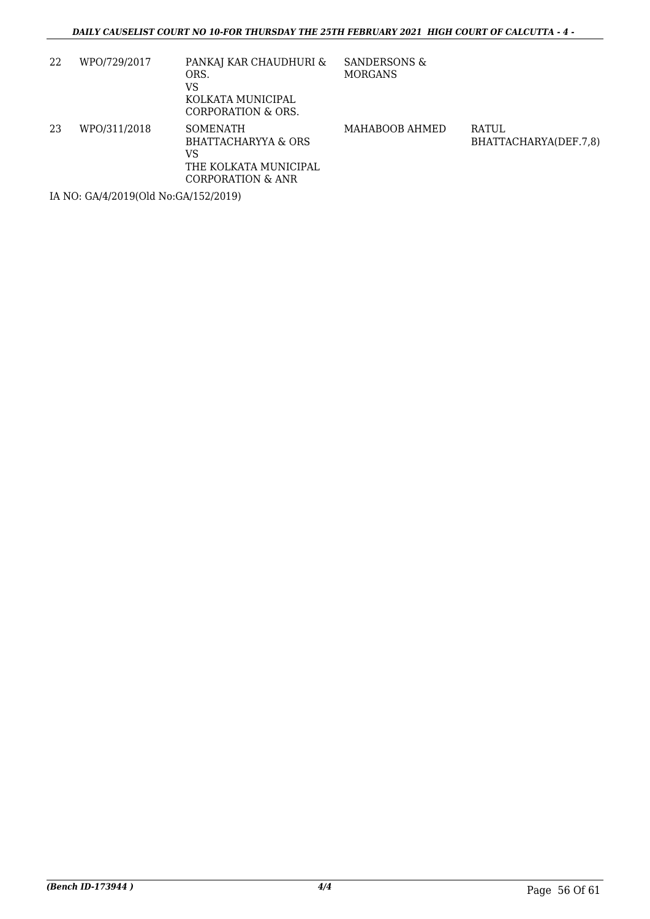| WPO/729/2017 | PANKAJ KAR CHAUDHURI &<br>ORS.<br>VS<br>KOLKATA MUNICIPAL<br>CORPORATION & ORS.            | SANDERSONS &<br><b>MORGANS</b> |                                       |
|--------------|--------------------------------------------------------------------------------------------|--------------------------------|---------------------------------------|
| WPO/311/2018 | <b>SOMENATH</b><br>BHATTACHARYYA & ORS<br>VS<br>THE KOLKATA MUNICIPAL<br>CORPORATION & ANR | MAHABOOB AHMED                 | <b>RATUL</b><br>BHATTACHARYA(DEF.7,8) |
|              |                                                                                            |                                |                                       |

IA NO: GA/4/2019(Old No:GA/152/2019)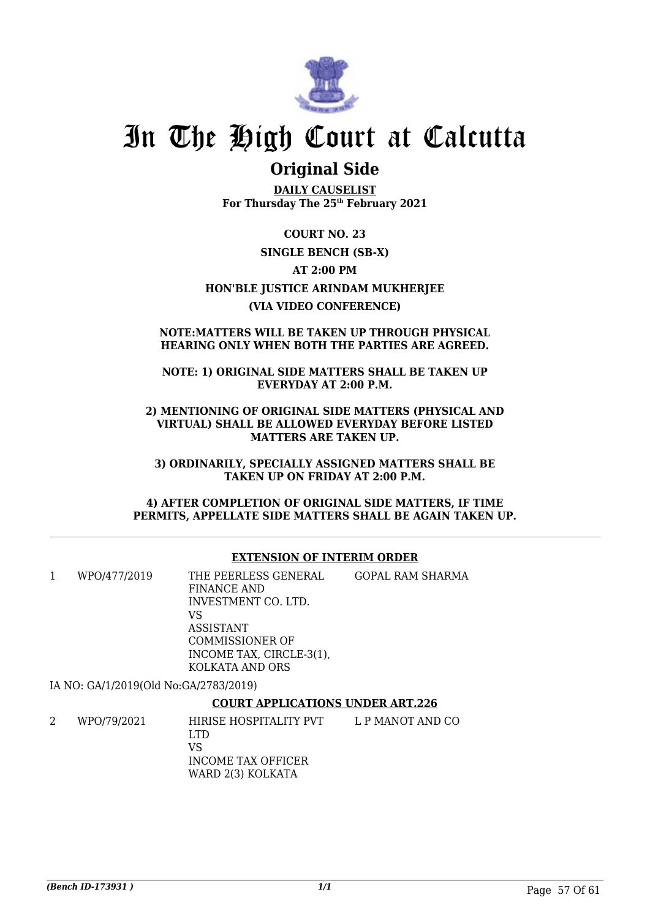

### **Original Side**

**DAILY CAUSELIST For Thursday The 25th February 2021**

**COURT NO. 23 SINGLE BENCH (SB-X) AT 2:00 PM HON'BLE JUSTICE ARINDAM MUKHERJEE (VIA VIDEO CONFERENCE)**

### **NOTE:MATTERS WILL BE TAKEN UP THROUGH PHYSICAL HEARING ONLY WHEN BOTH THE PARTIES ARE AGREED.**

**NOTE: 1) ORIGINAL SIDE MATTERS SHALL BE TAKEN UP EVERYDAY AT 2:00 P.M.**

**2) MENTIONING OF ORIGINAL SIDE MATTERS (PHYSICAL AND VIRTUAL) SHALL BE ALLOWED EVERYDAY BEFORE LISTED MATTERS ARE TAKEN UP.**

**3) ORDINARILY, SPECIALLY ASSIGNED MATTERS SHALL BE TAKEN UP ON FRIDAY AT 2:00 P.M.**

**4) AFTER COMPLETION OF ORIGINAL SIDE MATTERS, IF TIME PERMITS, APPELLATE SIDE MATTERS SHALL BE AGAIN TAKEN UP.**

### **EXTENSION OF INTERIM ORDER**

| WPO/477/2019                          | THE PEERLESS GENERAL<br>FINANCE AND<br>INVESTMENT CO. LTD.<br>VS                   | GOPAL RAM SHARMA |
|---------------------------------------|------------------------------------------------------------------------------------|------------------|
|                                       | ASSISTANT<br><b>COMMISSIONER OF</b><br>INCOME TAX, CIRCLE-3(1),<br>KOLKATA AND ORS |                  |
| IA NO: GA/1/2019(Old No:GA/2783/2019) |                                                                                    |                  |
|                                       | <b>COURT APPLICATIONS UNDER ART.226</b>                                            |                  |

#### 2 WPO/79/2021 HIRISE HOSPITALITY PVT LTD VS INCOME TAX OFFICER WARD 2(3) KOLKATA L P MANOT AND CO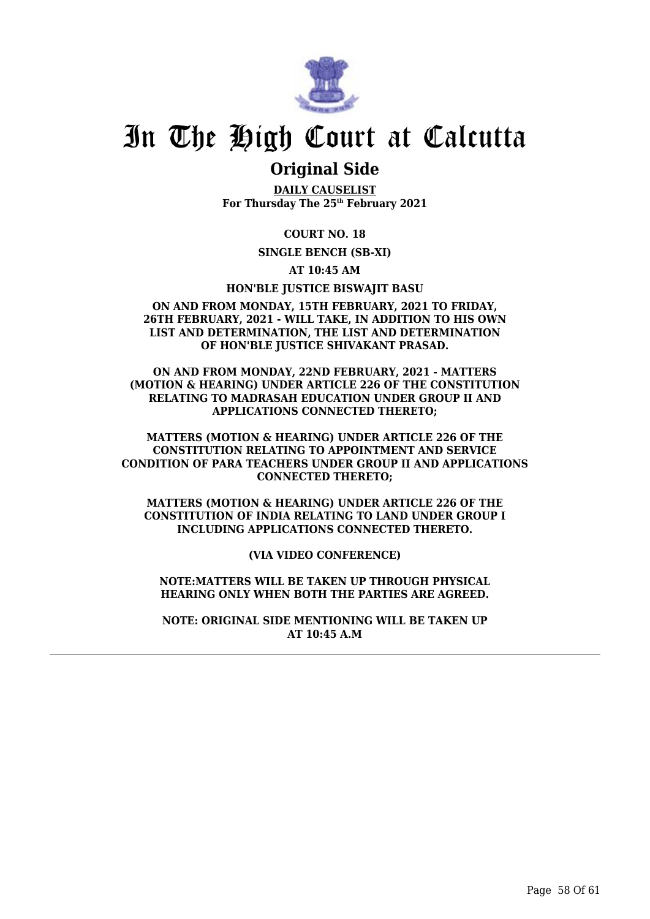

### **Original Side**

**DAILY CAUSELIST For Thursday The 25th February 2021**

**COURT NO. 18**

**SINGLE BENCH (SB-XI)**

**AT 10:45 AM**

**HON'BLE JUSTICE BISWAJIT BASU**

### **ON AND FROM MONDAY, 15TH FEBRUARY, 2021 TO FRIDAY, 26TH FEBRUARY, 2021 - WILL TAKE, IN ADDITION TO HIS OWN LIST AND DETERMINATION, THE LIST AND DETERMINATION OF HON'BLE JUSTICE SHIVAKANT PRASAD.**

**ON AND FROM MONDAY, 22ND FEBRUARY, 2021 - MATTERS (MOTION & HEARING) UNDER ARTICLE 226 OF THE CONSTITUTION RELATING TO MADRASAH EDUCATION UNDER GROUP II AND APPLICATIONS CONNECTED THERETO;**

**MATTERS (MOTION & HEARING) UNDER ARTICLE 226 OF THE CONSTITUTION RELATING TO APPOINTMENT AND SERVICE CONDITION OF PARA TEACHERS UNDER GROUP II AND APPLICATIONS CONNECTED THERETO;**

**MATTERS (MOTION & HEARING) UNDER ARTICLE 226 OF THE CONSTITUTION OF INDIA RELATING TO LAND UNDER GROUP I INCLUDING APPLICATIONS CONNECTED THERETO.**

**(VIA VIDEO CONFERENCE)**

**NOTE:MATTERS WILL BE TAKEN UP THROUGH PHYSICAL HEARING ONLY WHEN BOTH THE PARTIES ARE AGREED.**

**NOTE: ORIGINAL SIDE MENTIONING WILL BE TAKEN UP AT 10:45 A.M**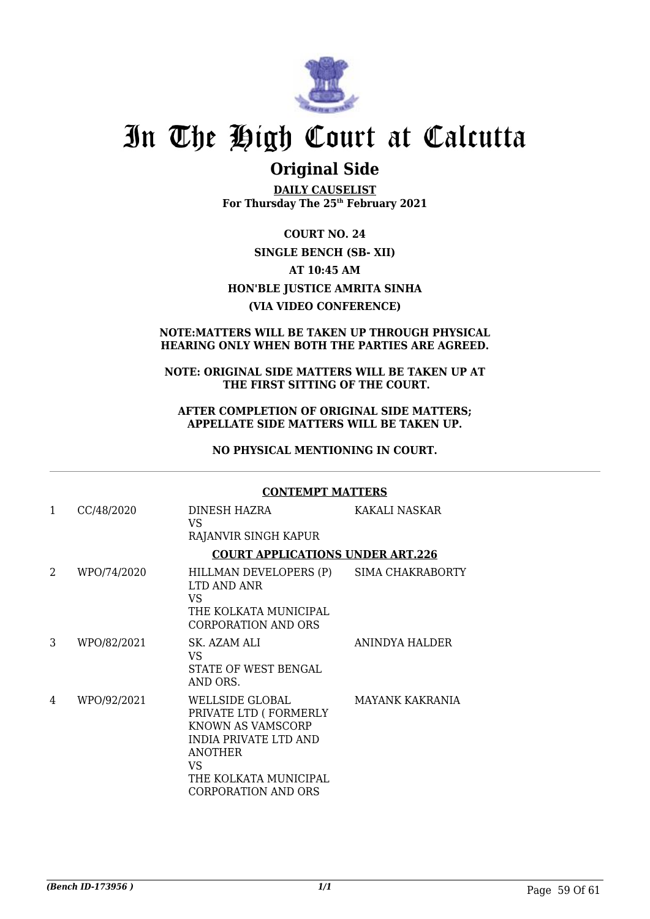

### **Original Side**

**DAILY CAUSELIST For Thursday The 25th February 2021**

**COURT NO. 24 SINGLE BENCH (SB- XII) AT 10:45 AM HON'BLE JUSTICE AMRITA SINHA (VIA VIDEO CONFERENCE)**

### **NOTE:MATTERS WILL BE TAKEN UP THROUGH PHYSICAL HEARING ONLY WHEN BOTH THE PARTIES ARE AGREED.**

### **NOTE: ORIGINAL SIDE MATTERS WILL BE TAKEN UP AT THE FIRST SITTING OF THE COURT.**

### **AFTER COMPLETION OF ORIGINAL SIDE MATTERS; APPELLATE SIDE MATTERS WILL BE TAKEN UP.**

**NO PHYSICAL MENTIONING IN COURT.**

**CONTEMPT MATTERS**

#### 1 CC/48/2020 DINESH HAZRA VS RAJANVIR SINGH KAPUR KAKALI NASKAR **COURT APPLICATIONS UNDER ART.226** 2 WPO/74/2020 HILLMAN DEVELOPERS (P) LTD AND ANR VS THE KOLKATA MUNICIPAL CORPORATION AND ORS SIMA CHAKRABORTY 3 WPO/82/2021 SK. AZAM ALI VS STATE OF WEST BENGAL AND ORS. ANINDYA HALDER 4 WPO/92/2021 WELLSIDE GLOBAL PRIVATE LTD ( FORMERLY KNOWN AS VAMSCORP INDIA PRIVATE LTD AND ANOTHER VS THE KOLKATA MUNICIPAL CORPORATION AND ORS MAYANK KAKRANIA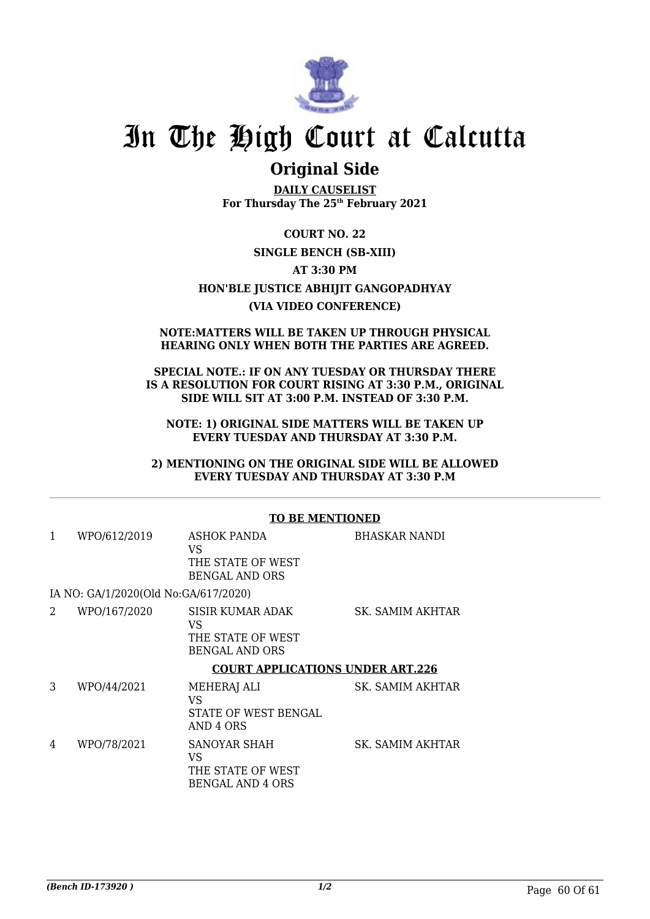

### **Original Side**

**DAILY CAUSELIST For Thursday The 25th February 2021**

**COURT NO. 22 SINGLE BENCH (SB-XIII) AT 3:30 PM HON'BLE JUSTICE ABHIJIT GANGOPADHYAY (VIA VIDEO CONFERENCE)**

### **NOTE:MATTERS WILL BE TAKEN UP THROUGH PHYSICAL HEARING ONLY WHEN BOTH THE PARTIES ARE AGREED.**

**SPECIAL NOTE.: IF ON ANY TUESDAY OR THURSDAY THERE IS A RESOLUTION FOR COURT RISING AT 3:30 P.M., ORIGINAL SIDE WILL SIT AT 3:00 P.M. INSTEAD OF 3:30 P.M.**

**NOTE: 1) ORIGINAL SIDE MATTERS WILL BE TAKEN UP EVERY TUESDAY AND THURSDAY AT 3:30 P.M.**

**2) MENTIONING ON THE ORIGINAL SIDE WILL BE ALLOWED EVERY TUESDAY AND THURSDAY AT 3:30 P.M**

### **TO BE MENTIONED**

| 1 | WPO/612/2019                         | <b>ASHOK PANDA</b><br>VS<br>THE STATE OF WEST<br><b>BENGAL AND ORS</b>      | <b>BHASKAR NANDI</b> |
|---|--------------------------------------|-----------------------------------------------------------------------------|----------------------|
|   | IA NO: GA/1/2020(Old No:GA/617/2020) |                                                                             |                      |
| 2 | WPO/167/2020                         | <b>SISIR KUMAR ADAK</b><br>VS<br>THE STATE OF WEST<br><b>BENGAL AND ORS</b> | SK. SAMIM AKHTAR     |
|   |                                      | <b>COURT APPLICATIONS UNDER ART.226</b>                                     |                      |
| 3 | WPO/44/2021                          | MEHERAJ ALI<br>VS<br>STATE OF WEST BENGAL<br>AND 4 ORS                      | SK. SAMIM AKHTAR     |
|   |                                      |                                                                             |                      |